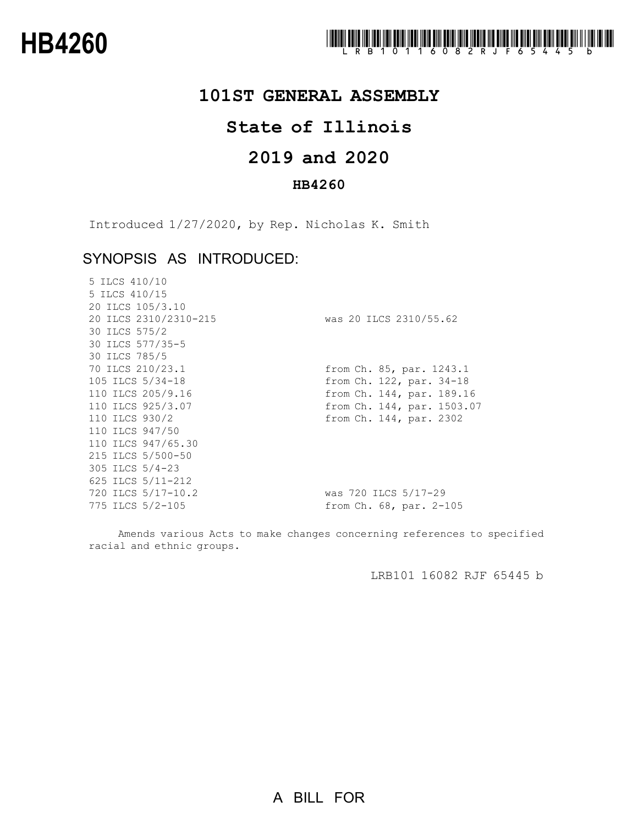

## **101ST GENERAL ASSEMBLY**

# **State of Illinois**

# **and 2020**

### **HB4260**

Introduced 1/27/2020, by Rep. Nicholas K. Smith

## SYNOPSIS AS INTRODUCED:

| 5 ILCS 410/10         |                            |
|-----------------------|----------------------------|
| 5 ILCS 410/15         |                            |
| 20 ILCS 105/3.10      |                            |
| 20 ILCS 2310/2310-215 | was 20 ILCS 2310/55.62     |
| 30 ILCS 575/2         |                            |
| 30 ILCS 577/35-5      |                            |
| 30 ILCS 785/5         |                            |
| 70 ILCS 210/23.1      | from Ch. 85, par. 1243.1   |
| 105 ILCS 5/34-18      | from Ch. 122, par. 34-18   |
| 110 ILCS 205/9.16     | from Ch. 144, par. 189.16  |
| 110 ILCS 925/3.07     | from Ch. 144, par. 1503.07 |
| 110 ILCS 930/2        | from Ch. 144, par. 2302    |
| 110 ILCS 947/50       |                            |
| 110 ILCS 947/65.30    |                            |
| 215 ILCS 5/500-50     |                            |
| 305 ILCS 5/4-23       |                            |
| 625 ILCS 5/11-212     |                            |
| 720 ILCS 5/17-10.2    | was 720 ILCS 5/17-29       |
| 775 ILCS 5/2-105      | from Ch. 68, par. 2-105    |

Amends various Acts to make changes concerning references to specified racial and ethnic groups.

LRB101 16082 RJF 65445 b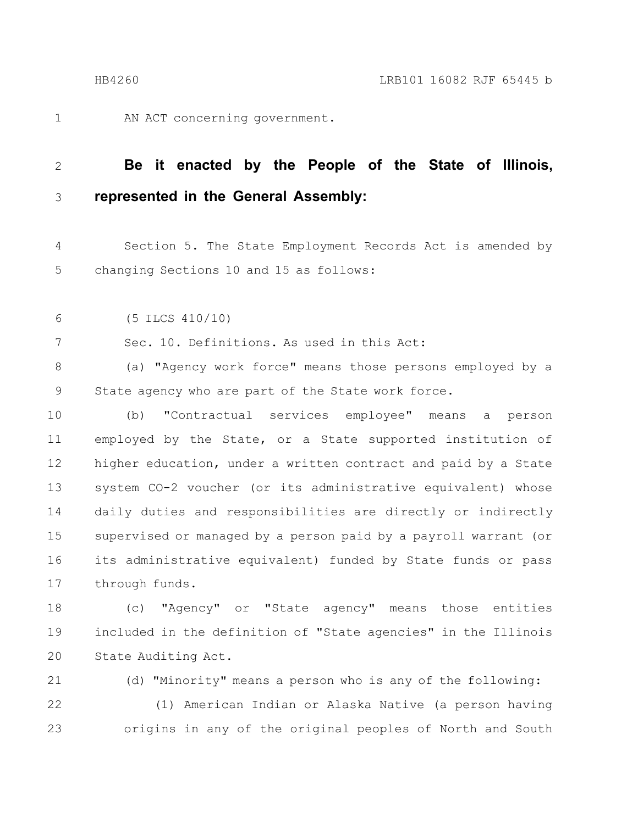1

AN ACT concerning government.

#### **Be it enacted by the People of the State of Illinois, represented in the General Assembly:** 2 3

Section 5. The State Employment Records Act is amended by changing Sections 10 and 15 as follows: 4 5

(5 ILCS 410/10) 6

7

Sec. 10. Definitions. As used in this Act:

(a) "Agency work force" means those persons employed by a State agency who are part of the State work force. 8 9

(b) "Contractual services employee" means a person employed by the State, or a State supported institution of higher education, under a written contract and paid by a State system CO-2 voucher (or its administrative equivalent) whose daily duties and responsibilities are directly or indirectly supervised or managed by a person paid by a payroll warrant (or its administrative equivalent) funded by State funds or pass through funds. 10 11 12 13 14 15 16 17

(c) "Agency" or "State agency" means those entities included in the definition of "State agencies" in the Illinois State Auditing Act. 18 19 20

(d) "Minority" means a person who is any of the following: 21

(1) American Indian or Alaska Native (a person having origins in any of the original peoples of North and South 22 23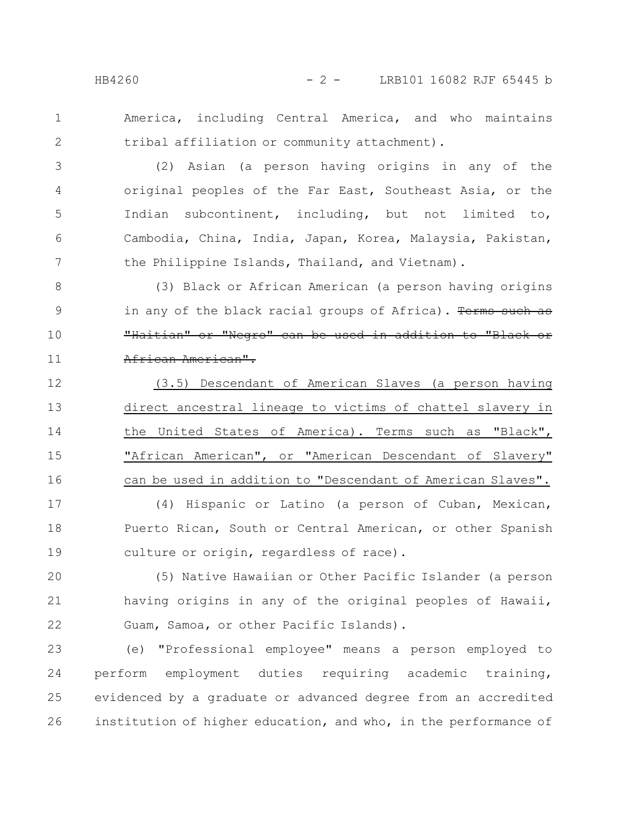1 2 America, including Central America, and who maintains tribal affiliation or community attachment).

(2) Asian (a person having origins in any of the original peoples of the Far East, Southeast Asia, or the Indian subcontinent, including, but not limited to, Cambodia, China, India, Japan, Korea, Malaysia, Pakistan, the Philippine Islands, Thailand, and Vietnam). 3 4 5 6 7

(3) Black or African American (a person having origins in any of the black racial groups of Africa). Terms such as "Haitian" or "Negro" can be used in addition to "Black or African American". 8 9 10 11

(3.5) Descendant of American Slaves (a person having direct ancestral lineage to victims of chattel slavery in the United States of America). Terms such as "Black", "African American", or "American Descendant of Slavery" can be used in addition to "Descendant of American Slaves". 12 13 14 15 16

(4) Hispanic or Latino (a person of Cuban, Mexican, Puerto Rican, South or Central American, or other Spanish culture or origin, regardless of race). 17 18 19

(5) Native Hawaiian or Other Pacific Islander (a person having origins in any of the original peoples of Hawaii, Guam, Samoa, or other Pacific Islands). 20 21 22

(e) "Professional employee" means a person employed to perform employment duties requiring academic training, evidenced by a graduate or advanced degree from an accredited institution of higher education, and who, in the performance of 23 24 25 26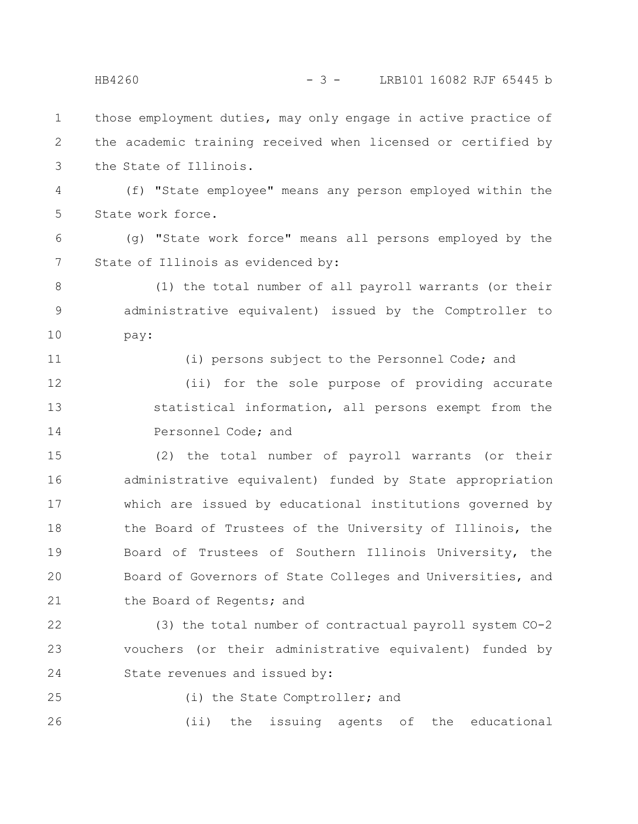those employment duties, may only engage in active practice of the academic training received when licensed or certified by the State of Illinois. 1 2 3

(f) "State employee" means any person employed within the State work force. 4 5

(g) "State work force" means all persons employed by the State of Illinois as evidenced by: 6 7

(1) the total number of all payroll warrants (or their administrative equivalent) issued by the Comptroller to pay: 8 9 10

11

(i) persons subject to the Personnel Code; and

(ii) for the sole purpose of providing accurate statistical information, all persons exempt from the Personnel Code; and 12 13 14

(2) the total number of payroll warrants (or their administrative equivalent) funded by State appropriation which are issued by educational institutions governed by the Board of Trustees of the University of Illinois, the Board of Trustees of Southern Illinois University, the Board of Governors of State Colleges and Universities, and the Board of Regents; and 15 16 17 18 19 20 21

(3) the total number of contractual payroll system CO-2 vouchers (or their administrative equivalent) funded by State revenues and issued by: 22 23 24

25

(i) the State Comptroller; and

(ii) the issuing agents of the educational 26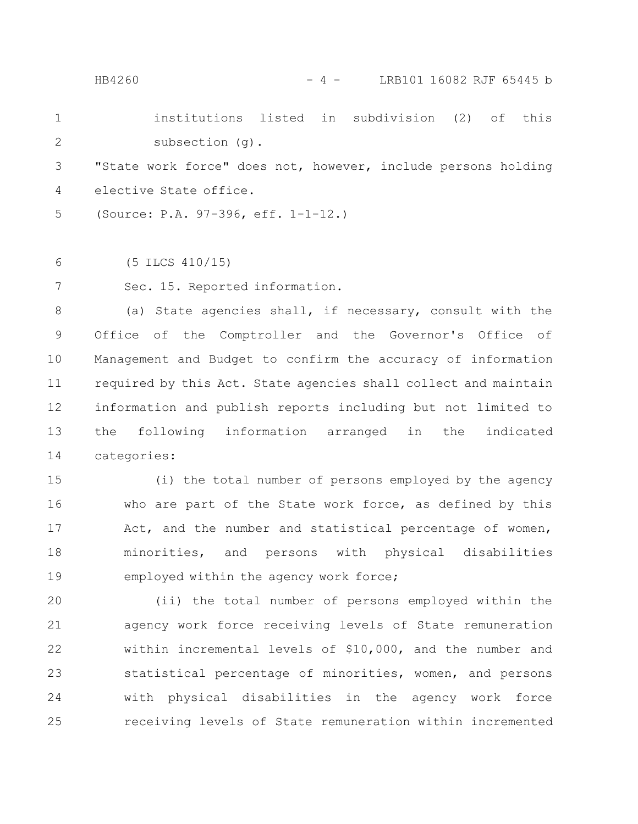HB4260 - 4 - LRB101 16082 RJF 65445 b

|   | institutions listed in subdivision (2) of this                |  |  |  |
|---|---------------------------------------------------------------|--|--|--|
| 2 | subsection (g).                                               |  |  |  |
|   | 3 That work force" does not, however, include persons holding |  |  |  |
|   | 4 elective State office.                                      |  |  |  |

(Source: P.A. 97-396, eff. 1-1-12.) 5

(5 ILCS 410/15) 6

Sec. 15. Reported information. 7

(a) State agencies shall, if necessary, consult with the Office of the Comptroller and the Governor's Office of Management and Budget to confirm the accuracy of information required by this Act. State agencies shall collect and maintain information and publish reports including but not limited to the following information arranged in the indicated categories: 8 9 10 11 12 13 14

(i) the total number of persons employed by the agency who are part of the State work force, as defined by this Act, and the number and statistical percentage of women, minorities, and persons with physical disabilities employed within the agency work force; 15 16 17 18 19

(ii) the total number of persons employed within the agency work force receiving levels of State remuneration within incremental levels of \$10,000, and the number and statistical percentage of minorities, women, and persons with physical disabilities in the agency work force receiving levels of State remuneration within incremented 20 21 22 23 24 25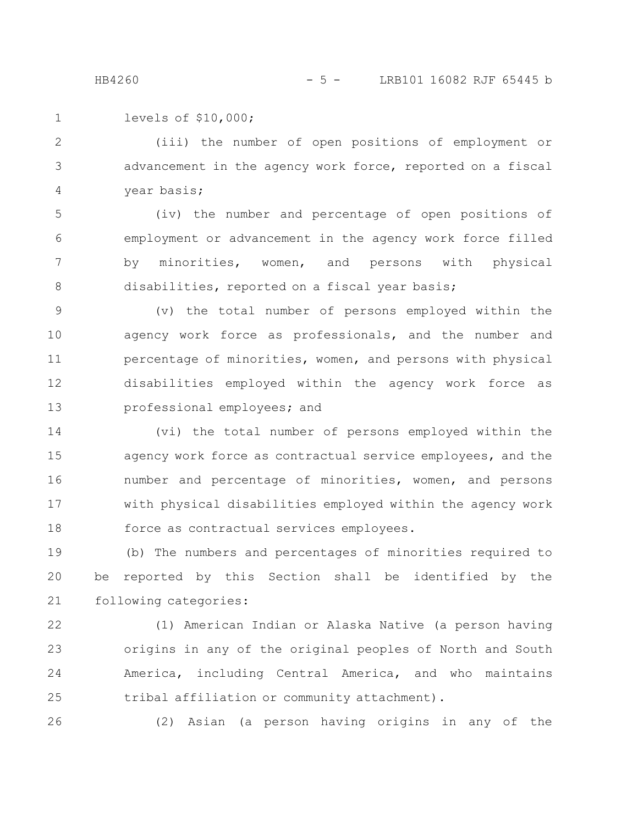```
levels of $10,000;
1
```
(iii) the number of open positions of employment or advancement in the agency work force, reported on a fiscal year basis; 2 3 4

(iv) the number and percentage of open positions of employment or advancement in the agency work force filled by minorities, women, and persons with physical disabilities, reported on a fiscal year basis; 5 6 7 8

(v) the total number of persons employed within the agency work force as professionals, and the number and percentage of minorities, women, and persons with physical disabilities employed within the agency work force as professional employees; and 9 10 11 12 13

(vi) the total number of persons employed within the agency work force as contractual service employees, and the number and percentage of minorities, women, and persons with physical disabilities employed within the agency work force as contractual services employees. 14 15 16 17 18

(b) The numbers and percentages of minorities required to be reported by this Section shall be identified by the following categories: 19 20 21

22

23

24

25

(1) American Indian or Alaska Native (a person having origins in any of the original peoples of North and South America, including Central America, and who maintains tribal affiliation or community attachment).

26

(2) Asian (a person having origins in any of the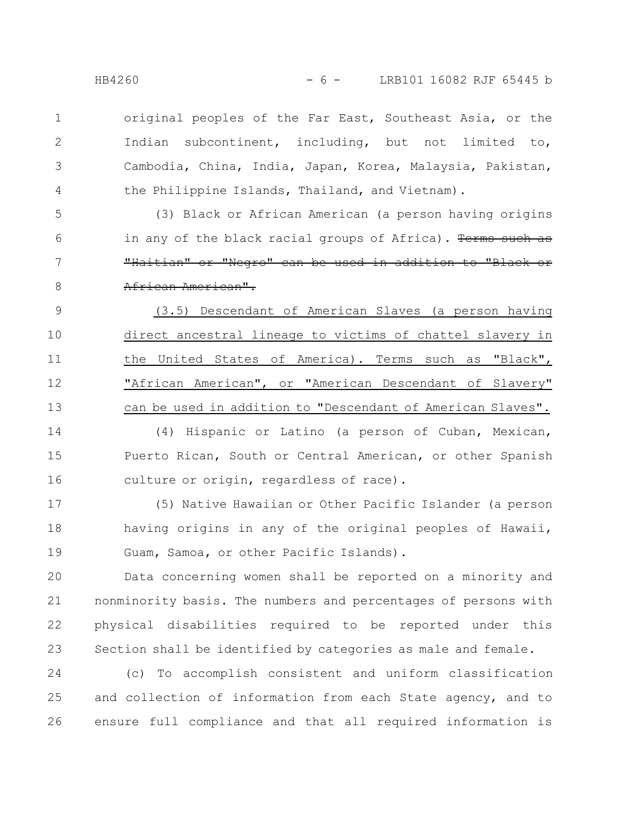original peoples of the Far East, Southeast Asia, or the Indian subcontinent, including, but not limited to, Cambodia, China, India, Japan, Korea, Malaysia, Pakistan, the Philippine Islands, Thailand, and Vietnam). 1 2 3

(3) Black or African American (a person having origins in any of the black racial groups of Africa). Terms such as "Haitian" or "Negro" can be used in addition to "Black African American". 5 6 7 8

(3.5) Descendant of American Slaves (a person having direct ancestral lineage to victims of chattel slavery in the United States of America). Terms such as "Black", "African American", or "American Descendant of Slavery" can be used in addition to "Descendant of American Slaves". 9 10 11 12 13

(4) Hispanic or Latino (a person of Cuban, Mexican, Puerto Rican, South or Central American, or other Spanish culture or origin, regardless of race). 14 15 16

(5) Native Hawaiian or Other Pacific Islander (a person having origins in any of the original peoples of Hawaii, Guam, Samoa, or other Pacific Islands). 17 18 19

Data concerning women shall be reported on a minority and nonminority basis. The numbers and percentages of persons with physical disabilities required to be reported under this Section shall be identified by categories as male and female. 20 21 22 23

(c) To accomplish consistent and uniform classification and collection of information from each State agency, and to ensure full compliance and that all required information is 24 25 26

4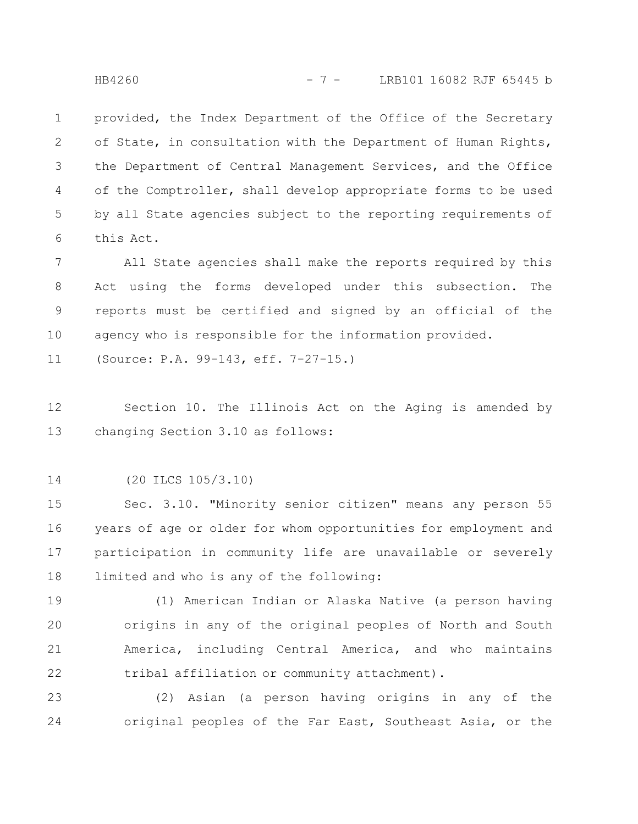provided, the Index Department of the Office of the Secretary of State, in consultation with the Department of Human Rights, the Department of Central Management Services, and the Office of the Comptroller, shall develop appropriate forms to be used by all State agencies subject to the reporting requirements of this Act. 1 2 3 4 5 6

All State agencies shall make the reports required by this Act using the forms developed under this subsection. The reports must be certified and signed by an official of the agency who is responsible for the information provided. 7 8 9 10

(Source: P.A. 99-143, eff. 7-27-15.) 11

Section 10. The Illinois Act on the Aging is amended by changing Section 3.10 as follows: 12 13

(20 ILCS 105/3.10) 14

Sec. 3.10. "Minority senior citizen" means any person 55 years of age or older for whom opportunities for employment and participation in community life are unavailable or severely limited and who is any of the following: 15 16 17 18

(1) American Indian or Alaska Native (a person having origins in any of the original peoples of North and South America, including Central America, and who maintains tribal affiliation or community attachment). 19 20 21 22

(2) Asian (a person having origins in any of the original peoples of the Far East, Southeast Asia, or the 23 24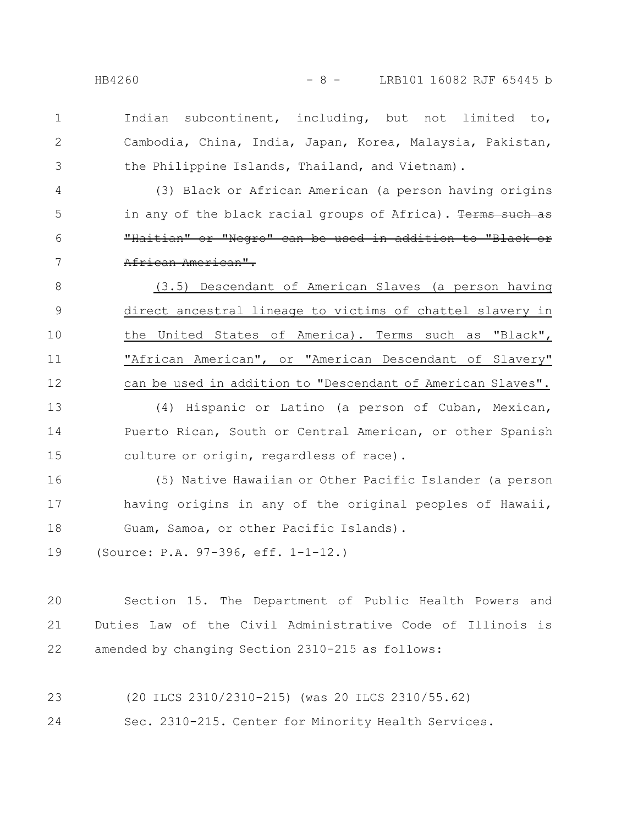1

2

3

Indian subcontinent, including, but not limited to, Cambodia, China, India, Japan, Korea, Malaysia, Pakistan, the Philippine Islands, Thailand, and Vietnam).

(3) Black or African American (a person having origins in any of the black racial groups of Africa). Terms such as "Haitian" or "Negro" can be used in addition to "Black or African American". 4 5 6 7

(3.5) Descendant of American Slaves (a person having direct ancestral lineage to victims of chattel slavery in the United States of America). Terms such as "Black", "African American", or "American Descendant of Slavery" can be used in addition to "Descendant of American Slaves". 8 9 10 11 12

(4) Hispanic or Latino (a person of Cuban, Mexican, Puerto Rican, South or Central American, or other Spanish culture or origin, regardless of race). 13 14 15

(5) Native Hawaiian or Other Pacific Islander (a person having origins in any of the original peoples of Hawaii, Guam, Samoa, or other Pacific Islands). 16 17 18

(Source: P.A. 97-396, eff. 1-1-12.) 19

Section 15. The Department of Public Health Powers and Duties Law of the Civil Administrative Code of Illinois is amended by changing Section 2310-215 as follows: 20 21 22

(20 ILCS 2310/2310-215) (was 20 ILCS 2310/55.62) 23

Sec. 2310-215. Center for Minority Health Services. 24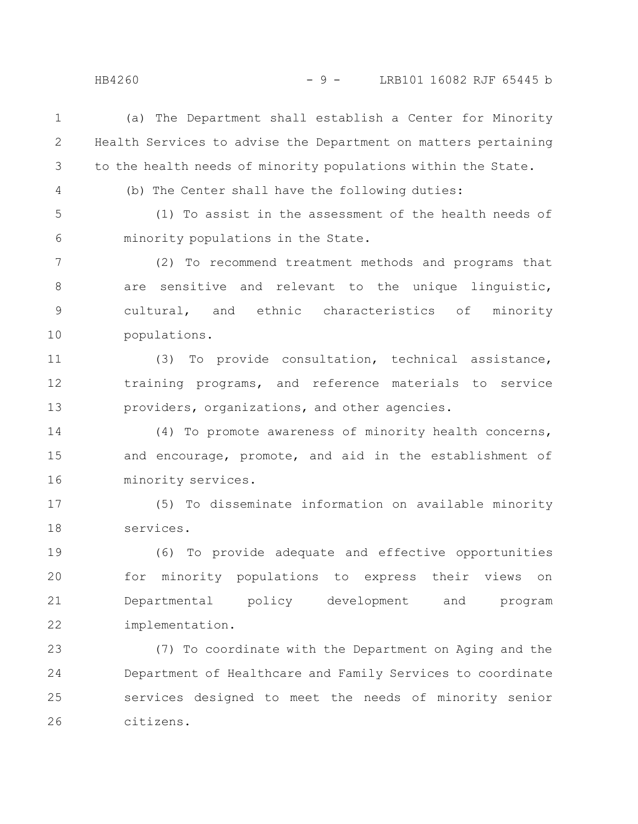(a) The Department shall establish a Center for Minority Health Services to advise the Department on matters pertaining to the health needs of minority populations within the State. 1 2 3

4

(b) The Center shall have the following duties:

(1) To assist in the assessment of the health needs of minority populations in the State. 5 6

(2) To recommend treatment methods and programs that are sensitive and relevant to the unique linguistic, cultural, and ethnic characteristics of minority populations. 7 8 9 10

(3) To provide consultation, technical assistance, training programs, and reference materials to service providers, organizations, and other agencies. 11 12 13

(4) To promote awareness of minority health concerns, and encourage, promote, and aid in the establishment of minority services. 14 15 16

(5) To disseminate information on available minority services. 17 18

(6) To provide adequate and effective opportunities for minority populations to express their views on Departmental policy development and program implementation. 19 20 21 22

(7) To coordinate with the Department on Aging and the Department of Healthcare and Family Services to coordinate services designed to meet the needs of minority senior citizens. 23 24 25 26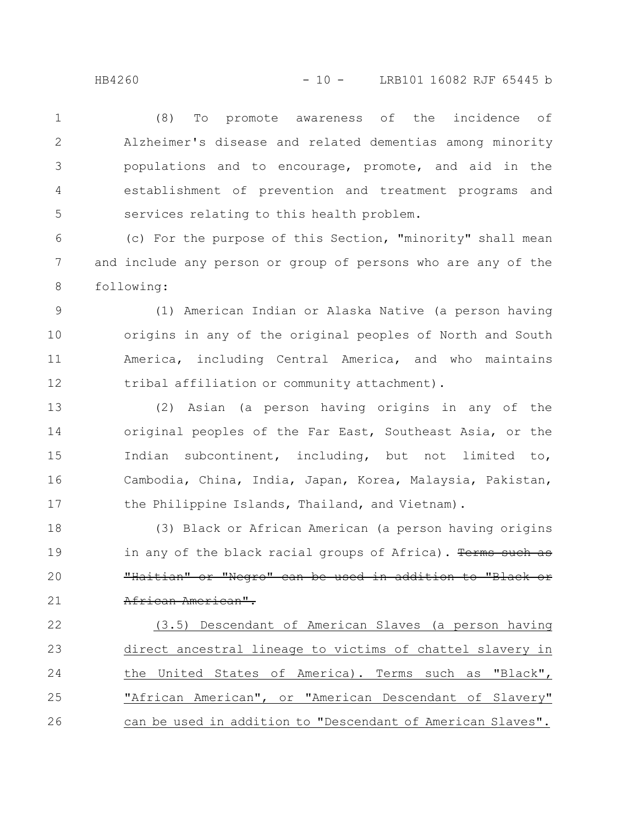(8) To promote awareness of the incidence of Alzheimer's disease and related dementias among minority populations and to encourage, promote, and aid in the establishment of prevention and treatment programs and services relating to this health problem. 1 2 3 4 5

(c) For the purpose of this Section, "minority" shall mean and include any person or group of persons who are any of the following: 6 7 8

(1) American Indian or Alaska Native (a person having origins in any of the original peoples of North and South America, including Central America, and who maintains tribal affiliation or community attachment). 9 10 11 12

(2) Asian (a person having origins in any of the original peoples of the Far East, Southeast Asia, or the Indian subcontinent, including, but not limited to, Cambodia, China, India, Japan, Korea, Malaysia, Pakistan, the Philippine Islands, Thailand, and Vietnam). 13 14 15 16 17

(3) Black or African American (a person having origins in any of the black racial groups of Africa). Terms such as "Haitian" or "Negro" can be used in addition to "Black African American". 18 19 20 21

(3.5) Descendant of American Slaves (a person having direct ancestral lineage to victims of chattel slavery in the United States of America). Terms such as "Black", "African American", or "American Descendant of Slavery" can be used in addition to "Descendant of American Slaves". 22 23 24 25 26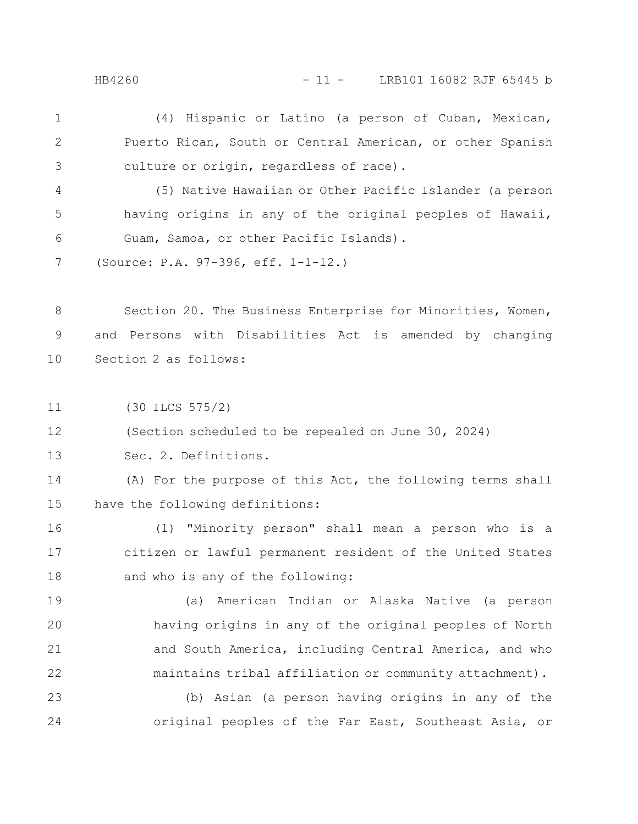(4) Hispanic or Latino (a person of Cuban, Mexican, Puerto Rican, South or Central American, or other Spanish culture or origin, regardless of race). 1 2 3

(5) Native Hawaiian or Other Pacific Islander (a person having origins in any of the original peoples of Hawaii, Guam, Samoa, or other Pacific Islands). 4 5 6

(Source: P.A. 97-396, eff. 1-1-12.) 7

Section 20. The Business Enterprise for Minorities, Women, and Persons with Disabilities Act is amended by changing Section 2 as follows: 8 9 10

(30 ILCS 575/2) 11

(Section scheduled to be repealed on June 30, 2024) 12

Sec. 2. Definitions. 13

(A) For the purpose of this Act, the following terms shall have the following definitions: 14 15

(1) "Minority person" shall mean a person who is a citizen or lawful permanent resident of the United States and who is any of the following: 16 17 18

(a) American Indian or Alaska Native (a person having origins in any of the original peoples of North and South America, including Central America, and who maintains tribal affiliation or community attachment). 19 20 21 22

(b) Asian (a person having origins in any of the original peoples of the Far East, Southeast Asia, or 23 24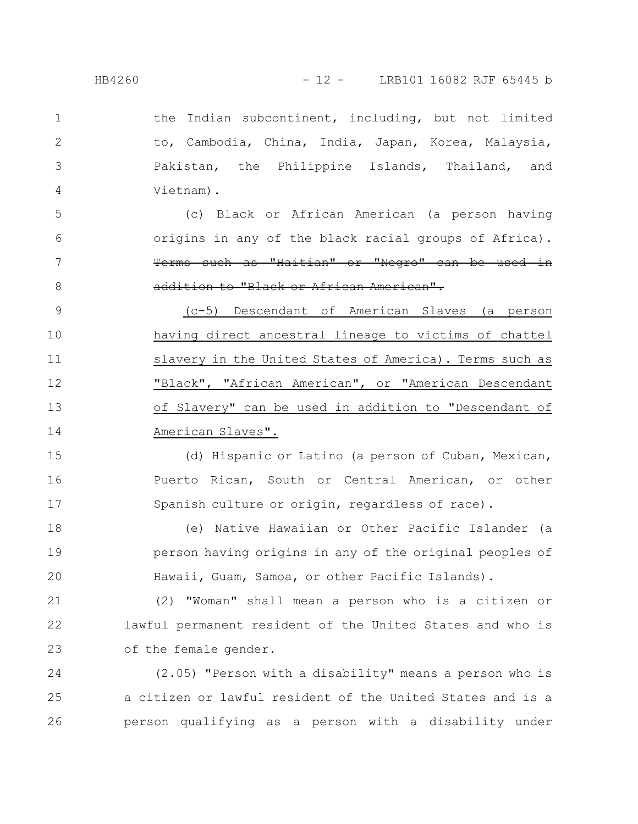1

2

3

4

the Indian subcontinent, including, but not limited to, Cambodia, China, India, Japan, Korea, Malaysia, Pakistan, the Philippine Islands, Thailand, and Vietnam).

(c) Black or African American (a person having origins in any of the black racial groups of Africa). Terms such as "Haitian" or "Negro" can be used in addition to "Black or African American". 5 6 7 8

(c-5) Descendant of American Slaves (a person having direct ancestral lineage to victims of chattel slavery in the United States of America). Terms such as "Black", "African American", or "American Descendant of Slavery" can be used in addition to "Descendant of American Slaves". 9 10 11 12 13 14

(d) Hispanic or Latino (a person of Cuban, Mexican, Puerto Rican, South or Central American, or other Spanish culture or origin, regardless of race). 15 16 17

(e) Native Hawaiian or Other Pacific Islander (a person having origins in any of the original peoples of Hawaii, Guam, Samoa, or other Pacific Islands). 18 19 20

(2) "Woman" shall mean a person who is a citizen or lawful permanent resident of the United States and who is of the female gender. 21 22 23

(2.05) "Person with a disability" means a person who is a citizen or lawful resident of the United States and is a person qualifying as a person with a disability under 24 25 26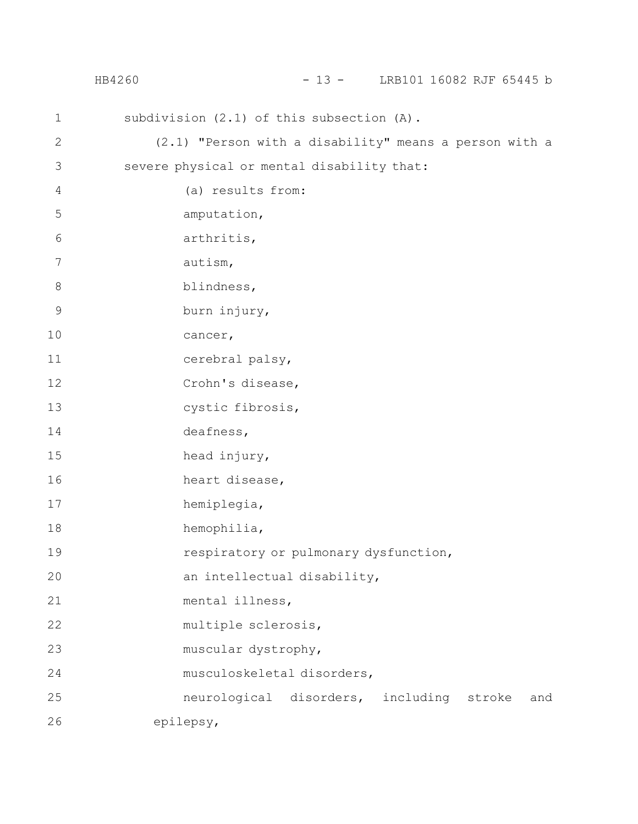|                | HB4260 | - 13 - LRB101 16082 RJF 65445 b                        |
|----------------|--------|--------------------------------------------------------|
| $\mathbf 1$    |        | subdivision (2.1) of this subsection (A).              |
| $\mathbf 2$    |        | (2.1) "Person with a disability" means a person with a |
| $\mathfrak{Z}$ |        | severe physical or mental disability that:             |
| $\overline{4}$ |        | (a) results from:                                      |
| 5              |        | amputation,                                            |
| 6              |        | arthritis,                                             |
| 7              |        | autism,                                                |
| $\,8\,$        |        | blindness,                                             |
| $\mathsf 9$    |        | burn injury,                                           |
| 10             |        | cancer,                                                |
| 11             |        | cerebral palsy,                                        |
| 12             |        | Crohn's disease,                                       |
| 13             |        | cystic fibrosis,                                       |
| 14             |        | deafness,                                              |
| 15             |        | head injury,                                           |
| 16             |        | heart disease,                                         |
| 17             |        | hemiplegia,                                            |
| 18             |        | hemophilia,                                            |
| 19             |        | respiratory or pulmonary dysfunction,                  |
| 20             |        | an intellectual disability,                            |
| 21             |        | mental illness,                                        |
| 22             |        | multiple sclerosis,                                    |
| 23             |        | muscular dystrophy,                                    |
| 24             |        | musculoskeletal disorders,                             |
| 25             |        | neurological disorders, including stroke<br>and        |
| 26             |        | epilepsy,                                              |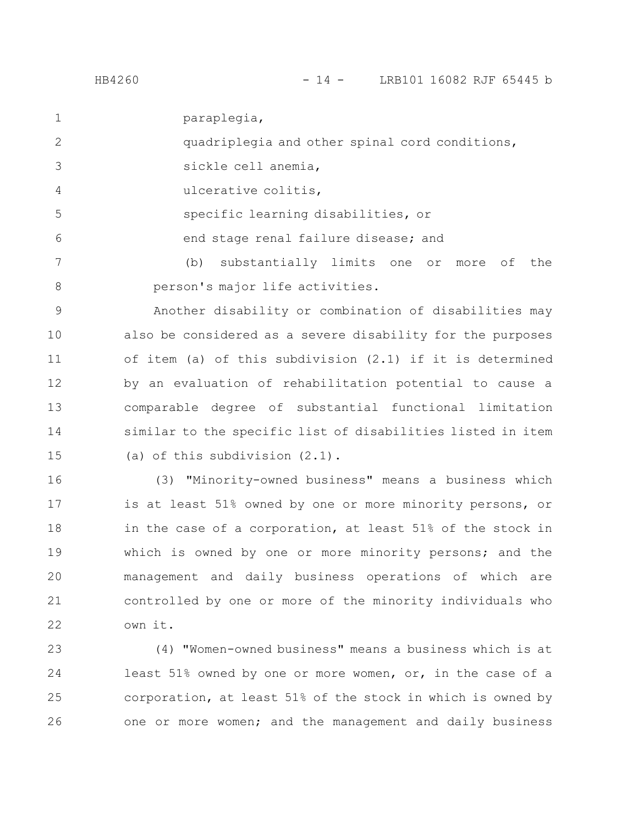paraplegia, 1

quadriplegia and other spinal cord conditions, 2

- sickle cell anemia, 3
- ulcerative colitis, 4

specific learning disabilities, or

end stage renal failure disease; and

(b) substantially limits one or more of the person's major life activities. 7 8

Another disability or combination of disabilities may also be considered as a severe disability for the purposes of item (a) of this subdivision (2.1) if it is determined by an evaluation of rehabilitation potential to cause a comparable degree of substantial functional limitation similar to the specific list of disabilities listed in item (a) of this subdivision (2.1). 9 10 11 12 13 14 15

(3) "Minority-owned business" means a business which is at least 51% owned by one or more minority persons, or in the case of a corporation, at least 51% of the stock in which is owned by one or more minority persons; and the management and daily business operations of which are controlled by one or more of the minority individuals who own it. 16 17 18 19 20 21 22

(4) "Women-owned business" means a business which is at least 51% owned by one or more women, or, in the case of a corporation, at least 51% of the stock in which is owned by one or more women; and the management and daily business 23 24 25 26

5

6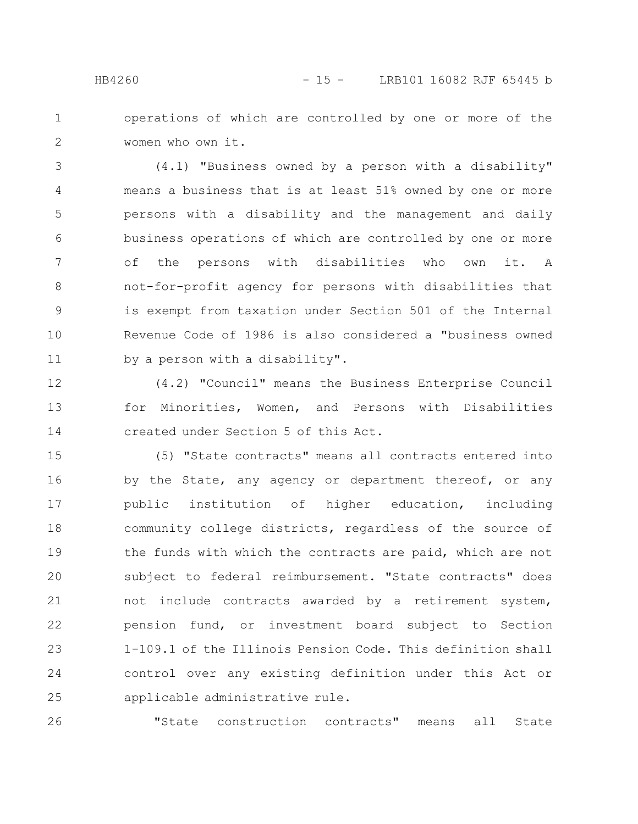operations of which are controlled by one or more of the women who own it. 1 2

(4.1) "Business owned by a person with a disability" means a business that is at least 51% owned by one or more persons with a disability and the management and daily business operations of which are controlled by one or more of the persons with disabilities who own it. A not-for-profit agency for persons with disabilities that is exempt from taxation under Section 501 of the Internal Revenue Code of 1986 is also considered a "business owned by a person with a disability". 3 4 5 6 7 8 9 10 11

(4.2) "Council" means the Business Enterprise Council for Minorities, Women, and Persons with Disabilities created under Section 5 of this Act. 12 13 14

(5) "State contracts" means all contracts entered into by the State, any agency or department thereof, or any public institution of higher education, including community college districts, regardless of the source of the funds with which the contracts are paid, which are not subject to federal reimbursement. "State contracts" does not include contracts awarded by a retirement system, pension fund, or investment board subject to Section 1-109.1 of the Illinois Pension Code. This definition shall control over any existing definition under this Act or applicable administrative rule. 15 16 17 18 19 20 21 22 23 24 25

"State construction contracts" means all State 26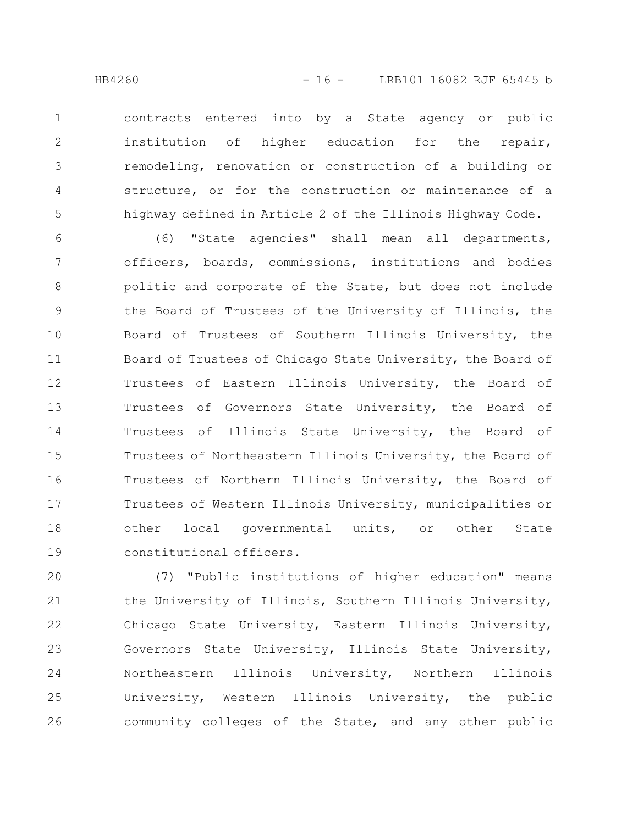contracts entered into by a State agency or public institution of higher education for the repair, remodeling, renovation or construction of a building or structure, or for the construction or maintenance of a highway defined in Article 2 of the Illinois Highway Code. 1 2 3 4 5

(6) "State agencies" shall mean all departments, officers, boards, commissions, institutions and bodies politic and corporate of the State, but does not include the Board of Trustees of the University of Illinois, the Board of Trustees of Southern Illinois University, the Board of Trustees of Chicago State University, the Board of Trustees of Eastern Illinois University, the Board of Trustees of Governors State University, the Board of Trustees of Illinois State University, the Board of Trustees of Northeastern Illinois University, the Board of Trustees of Northern Illinois University, the Board of Trustees of Western Illinois University, municipalities or other local governmental units, or other State constitutional officers. 6 7 8 9 10 11 12 13 14 15 16 17 18 19

(7) "Public institutions of higher education" means the University of Illinois, Southern Illinois University, Chicago State University, Eastern Illinois University, Governors State University, Illinois State University, Northeastern Illinois University, Northern Illinois University, Western Illinois University, the public community colleges of the State, and any other public 20 21 22 23 24 25 26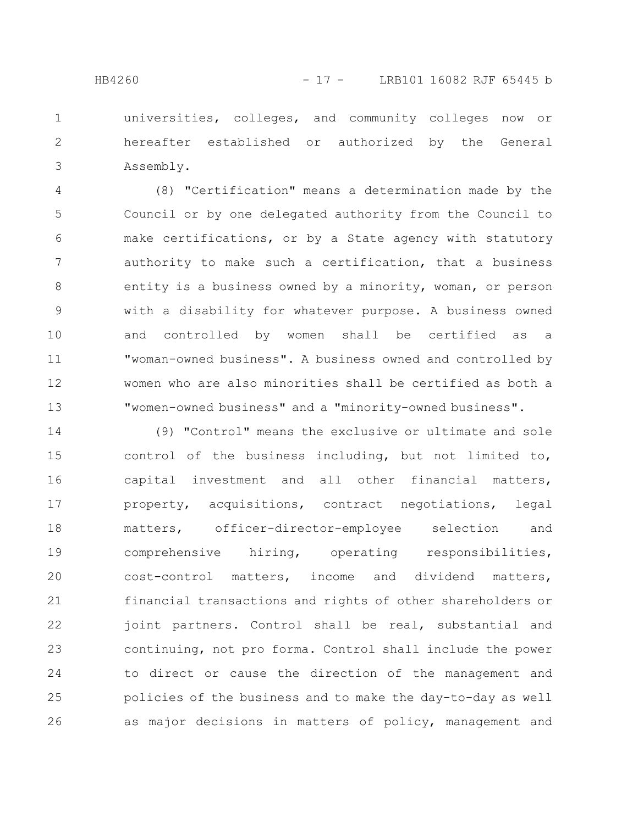universities, colleges, and community colleges now or hereafter established or authorized by the General Assembly. 1 2 3

(8) "Certification" means a determination made by the Council or by one delegated authority from the Council to make certifications, or by a State agency with statutory authority to make such a certification, that a business entity is a business owned by a minority, woman, or person with a disability for whatever purpose. A business owned and controlled by women shall be certified as a "woman-owned business". A business owned and controlled by women who are also minorities shall be certified as both a "women-owned business" and a "minority-owned business". 4 5 6 7 8 9 10 11 12 13

(9) "Control" means the exclusive or ultimate and sole control of the business including, but not limited to, capital investment and all other financial matters, property, acquisitions, contract negotiations, legal matters, officer-director-employee selection and comprehensive hiring, operating responsibilities, cost-control matters, income and dividend matters, financial transactions and rights of other shareholders or joint partners. Control shall be real, substantial and continuing, not pro forma. Control shall include the power to direct or cause the direction of the management and policies of the business and to make the day-to-day as well as major decisions in matters of policy, management and 14 15 16 17 18 19 20 21 22 23 24 25 26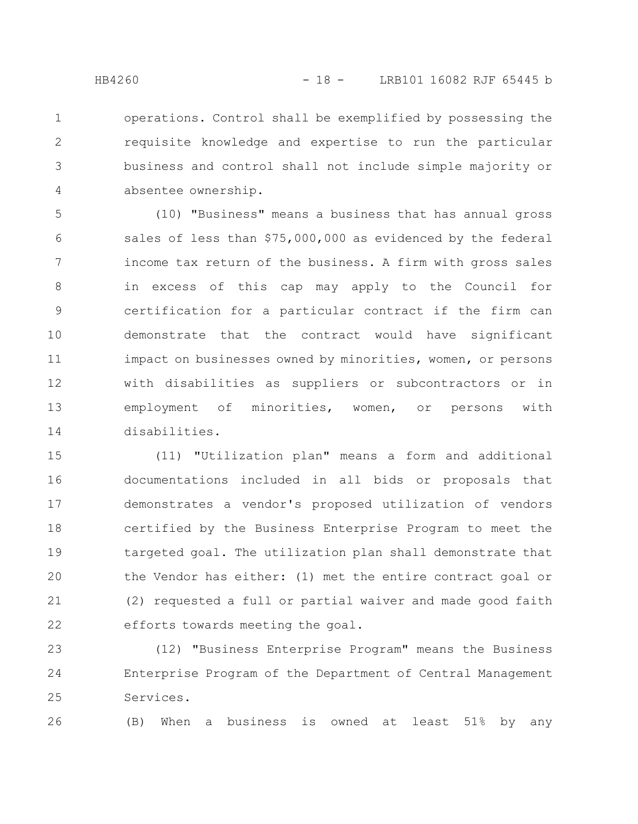operations. Control shall be exemplified by possessing the requisite knowledge and expertise to run the particular business and control shall not include simple majority or absentee ownership. 1 2 3 4

(10) "Business" means a business that has annual gross sales of less than \$75,000,000 as evidenced by the federal income tax return of the business. A firm with gross sales in excess of this cap may apply to the Council for certification for a particular contract if the firm can demonstrate that the contract would have significant impact on businesses owned by minorities, women, or persons with disabilities as suppliers or subcontractors or in employment of minorities, women, or persons with disabilities. 5 6 7 8 9 10 11 12 13 14

(11) "Utilization plan" means a form and additional documentations included in all bids or proposals that demonstrates a vendor's proposed utilization of vendors certified by the Business Enterprise Program to meet the targeted goal. The utilization plan shall demonstrate that the Vendor has either: (1) met the entire contract goal or (2) requested a full or partial waiver and made good faith efforts towards meeting the goal. 15 16 17 18 19 20 21 22

(12) "Business Enterprise Program" means the Business Enterprise Program of the Department of Central Management Services. 23 24 25

(B) When a business is owned at least 51% by any 26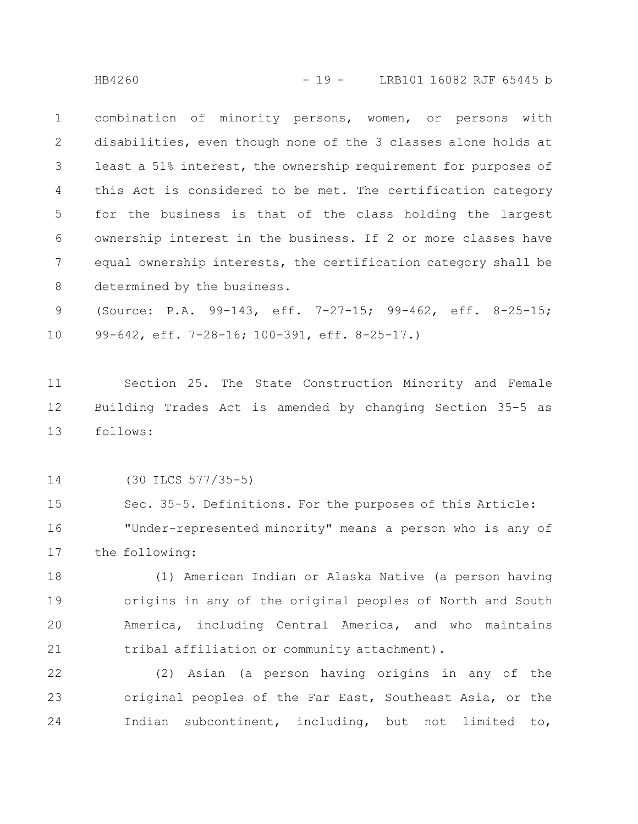combination of minority persons, women, or persons with disabilities, even though none of the 3 classes alone holds at least a 51% interest, the ownership requirement for purposes of this Act is considered to be met. The certification category for the business is that of the class holding the largest ownership interest in the business. If 2 or more classes have equal ownership interests, the certification category shall be determined by the business. 1 2 3 4 5 6 7 8

(Source: P.A. 99-143, eff. 7-27-15; 99-462, eff. 8-25-15; 99-642, eff. 7-28-16; 100-391, eff. 8-25-17.) 9 10

Section 25. The State Construction Minority and Female Building Trades Act is amended by changing Section 35-5 as follows: 11 12 13

(30 ILCS 577/35-5) 14

Sec. 35-5. Definitions. For the purposes of this Article: "Under-represented minority" means a person who is any of the following: 15 16 17

(1) American Indian or Alaska Native (a person having origins in any of the original peoples of North and South America, including Central America, and who maintains tribal affiliation or community attachment). 18 19 20 21

(2) Asian (a person having origins in any of the original peoples of the Far East, Southeast Asia, or the Indian subcontinent, including, but not limited to, 22 23 24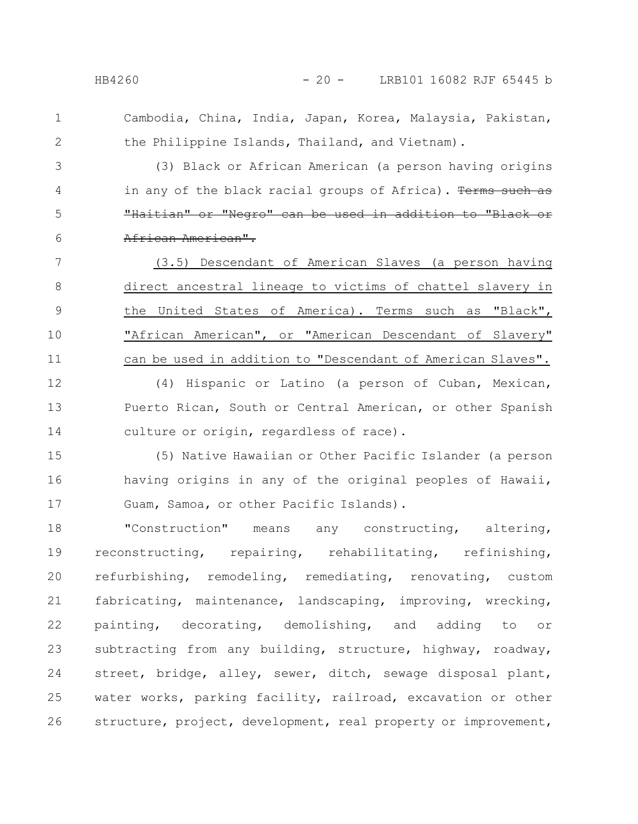1

2

Cambodia, China, India, Japan, Korea, Malaysia, Pakistan, the Philippine Islands, Thailand, and Vietnam).

(3) Black or African American (a person having origins in any of the black racial groups of Africa). Terms such "Haitian" or "Negro" can be used in addition to "Black or African American". 3 4 5 6

(3.5) Descendant of American Slaves (a person having direct ancestral lineage to victims of chattel slavery in the United States of America). Terms such as "Black", "African American", or "American Descendant of Slavery" can be used in addition to "Descendant of American Slaves". 7 8 9 10 11

(4) Hispanic or Latino (a person of Cuban, Mexican, Puerto Rican, South or Central American, or other Spanish culture or origin, regardless of race). 12 13 14

(5) Native Hawaiian or Other Pacific Islander (a person having origins in any of the original peoples of Hawaii, Guam, Samoa, or other Pacific Islands). 15 16 17

"Construction" means any constructing, altering, reconstructing, repairing, rehabilitating, refinishing, refurbishing, remodeling, remediating, renovating, custom fabricating, maintenance, landscaping, improving, wrecking, painting, decorating, demolishing, and adding to or subtracting from any building, structure, highway, roadway, street, bridge, alley, sewer, ditch, sewage disposal plant, water works, parking facility, railroad, excavation or other structure, project, development, real property or improvement, 18 19 20 21 22 23 24 25 26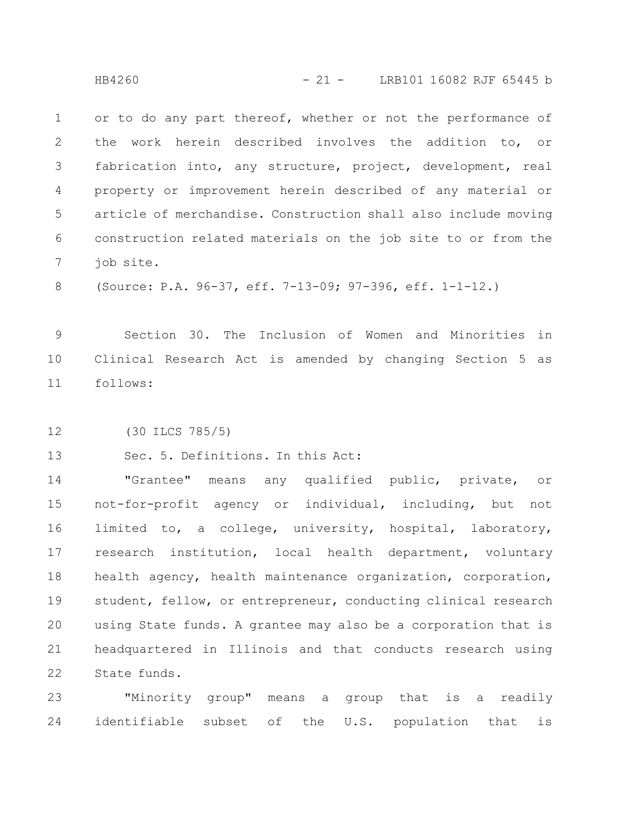or to do any part thereof, whether or not the performance of the work herein described involves the addition to, or fabrication into, any structure, project, development, real property or improvement herein described of any material or article of merchandise. Construction shall also include moving construction related materials on the job site to or from the job site. 1 2 3 4 5 6 7

(Source: P.A. 96-37, eff. 7-13-09; 97-396, eff. 1-1-12.) 8

Section 30. The Inclusion of Women and Minorities in Clinical Research Act is amended by changing Section 5 as follows: 9 10 11

(30 ILCS 785/5) 12

Sec. 5. Definitions. In this Act: 13

"Grantee" means any qualified public, private, or not-for-profit agency or individual, including, but not limited to, a college, university, hospital, laboratory, research institution, local health department, voluntary health agency, health maintenance organization, corporation, student, fellow, or entrepreneur, conducting clinical research using State funds. A grantee may also be a corporation that is headquartered in Illinois and that conducts research using State funds. 14 15 16 17 18 19 20 21 22

"Minority group" means a group that is a readily identifiable subset of the U.S. population that is 23 24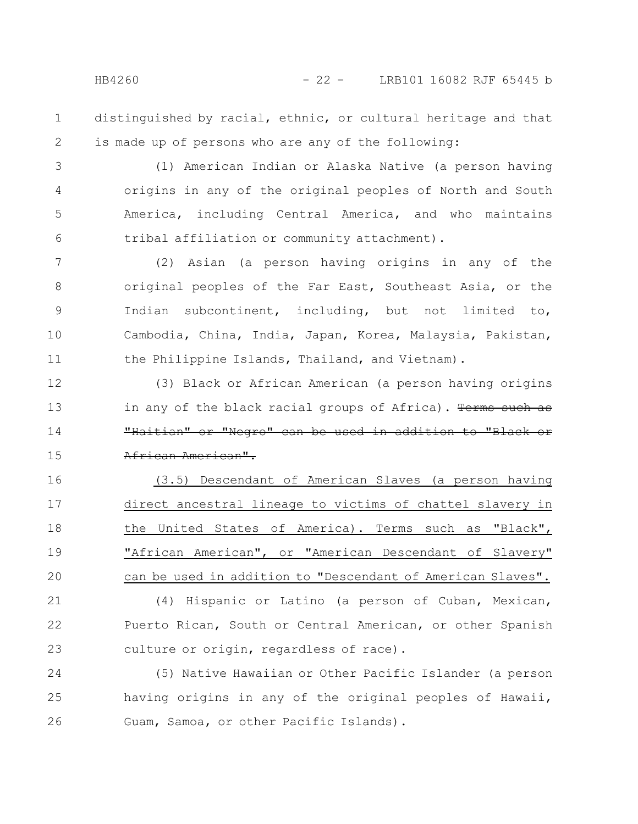distinguished by racial, ethnic, or cultural heritage and that is made up of persons who are any of the following: 1 2

(1) American Indian or Alaska Native (a person having origins in any of the original peoples of North and South America, including Central America, and who maintains tribal affiliation or community attachment). 3 4 5 6

(2) Asian (a person having origins in any of the original peoples of the Far East, Southeast Asia, or the Indian subcontinent, including, but not limited to, Cambodia, China, India, Japan, Korea, Malaysia, Pakistan, the Philippine Islands, Thailand, and Vietnam). 7 8 9 10 11

(3) Black or African American (a person having origins in any of the black racial groups of Africa). Terms such as "Haitian" or "Negro" can be used in addition to "Black or African American". 12 13 14 15

(3.5) Descendant of American Slaves (a person having direct ancestral lineage to victims of chattel slavery in the United States of America). Terms such as "Black", "African American", or "American Descendant of Slavery" can be used in addition to "Descendant of American Slaves". 16 17 18 19 20

(4) Hispanic or Latino (a person of Cuban, Mexican, Puerto Rican, South or Central American, or other Spanish culture or origin, regardless of race). 21 22 23

(5) Native Hawaiian or Other Pacific Islander (a person having origins in any of the original peoples of Hawaii, Guam, Samoa, or other Pacific Islands). 24 25 26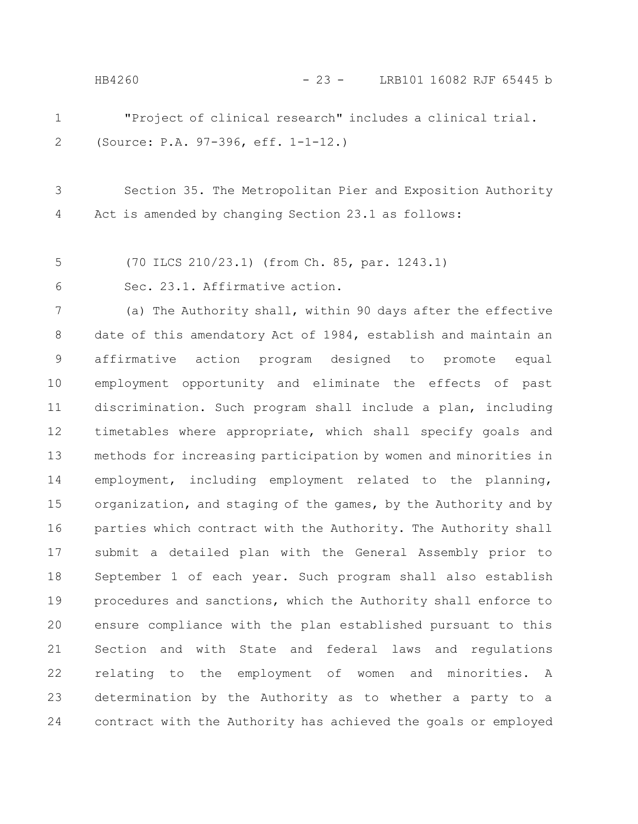"Project of clinical research" includes a clinical trial. (Source: P.A. 97-396, eff. 1-1-12.) Section 35. The Metropolitan Pier and Exposition Authority Act is amended by changing Section 23.1 as follows: (70 ILCS 210/23.1) (from Ch. 85, par. 1243.1) Sec. 23.1. Affirmative action. (a) The Authority shall, within 90 days after the effective date of this amendatory Act of 1984, establish and maintain an affirmative action program designed to promote equal employment opportunity and eliminate the effects of past discrimination. Such program shall include a plan, including timetables where appropriate, which shall specify goals and methods for increasing participation by women and minorities in employment, including employment related to the planning, organization, and staging of the games, by the Authority and by parties which contract with the Authority. The Authority shall submit a detailed plan with the General Assembly prior to September 1 of each year. Such program shall also establish procedures and sanctions, which the Authority shall enforce to ensure compliance with the plan established pursuant to this Section and with State and federal laws and regulations relating to the employment of women and minorities. A 1 2 3 4 5 6 7 8 9 10 11 12 13 14 15 16 17 18 19 20 21 22 HB4260 - 23 - LRB101 16082 RJF 65445 b

determination by the Authority as to whether a party to a contract with the Authority has achieved the goals or employed 23 24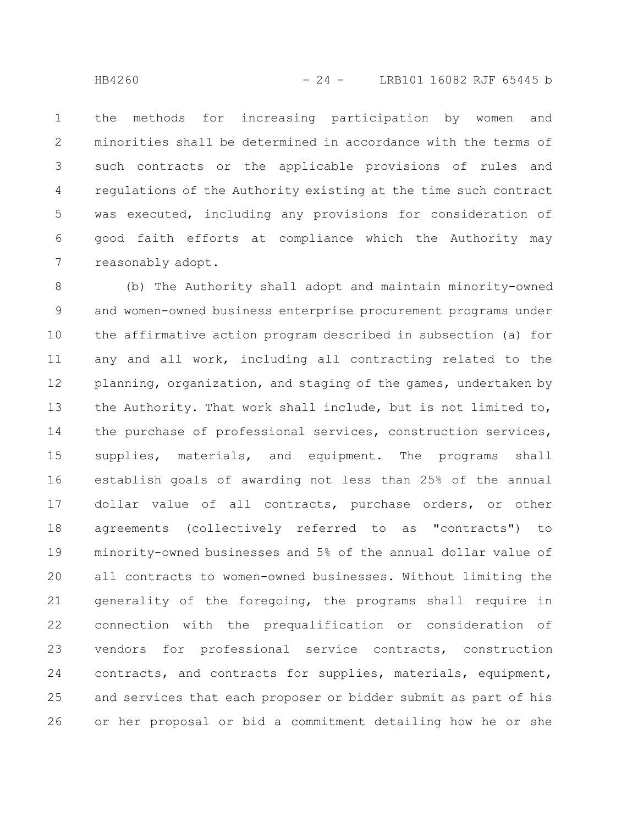the methods for increasing participation by women and minorities shall be determined in accordance with the terms of such contracts or the applicable provisions of rules and regulations of the Authority existing at the time such contract was executed, including any provisions for consideration of good faith efforts at compliance which the Authority may reasonably adopt. 1 2 3 4 5 6 7

(b) The Authority shall adopt and maintain minority-owned and women-owned business enterprise procurement programs under the affirmative action program described in subsection (a) for any and all work, including all contracting related to the planning, organization, and staging of the games, undertaken by the Authority. That work shall include, but is not limited to, the purchase of professional services, construction services, supplies, materials, and equipment. The programs shall establish goals of awarding not less than 25% of the annual dollar value of all contracts, purchase orders, or other agreements (collectively referred to as "contracts") to minority-owned businesses and 5% of the annual dollar value of all contracts to women-owned businesses. Without limiting the generality of the foregoing, the programs shall require in connection with the prequalification or consideration of vendors for professional service contracts, construction contracts, and contracts for supplies, materials, equipment, and services that each proposer or bidder submit as part of his or her proposal or bid a commitment detailing how he or she 8 9 10 11 12 13 14 15 16 17 18 19 20 21 22 23 24 25 26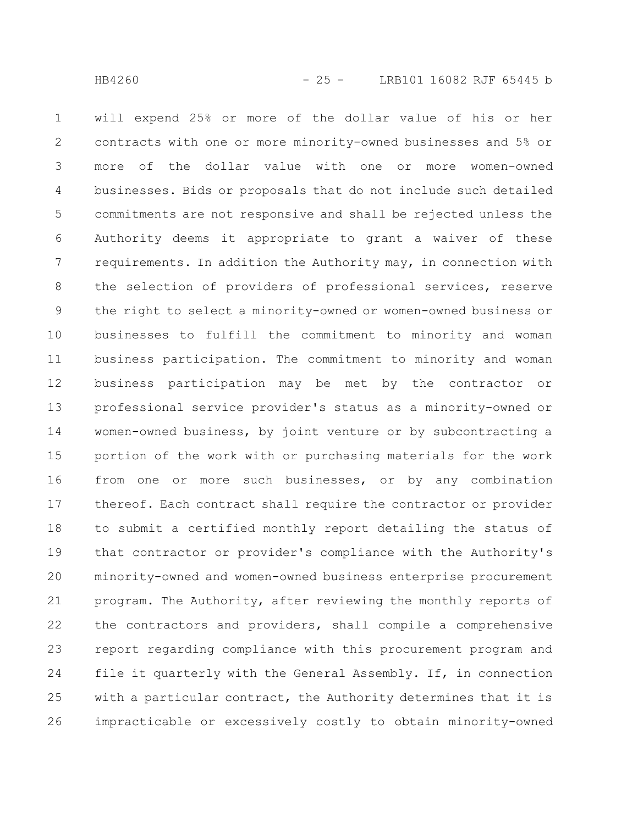will expend 25% or more of the dollar value of his or her contracts with one or more minority-owned businesses and 5% or more of the dollar value with one or more women-owned businesses. Bids or proposals that do not include such detailed commitments are not responsive and shall be rejected unless the Authority deems it appropriate to grant a waiver of these requirements. In addition the Authority may, in connection with the selection of providers of professional services, reserve the right to select a minority-owned or women-owned business or businesses to fulfill the commitment to minority and woman business participation. The commitment to minority and woman business participation may be met by the contractor or professional service provider's status as a minority-owned or women-owned business, by joint venture or by subcontracting a portion of the work with or purchasing materials for the work from one or more such businesses, or by any combination thereof. Each contract shall require the contractor or provider to submit a certified monthly report detailing the status of that contractor or provider's compliance with the Authority's minority-owned and women-owned business enterprise procurement program. The Authority, after reviewing the monthly reports of the contractors and providers, shall compile a comprehensive report regarding compliance with this procurement program and file it quarterly with the General Assembly. If, in connection with a particular contract, the Authority determines that it is impracticable or excessively costly to obtain minority-owned 1 2 3 4 5 6 7 8 9 10 11 12 13 14 15 16 17 18 19 20 21 22 23 24 25 26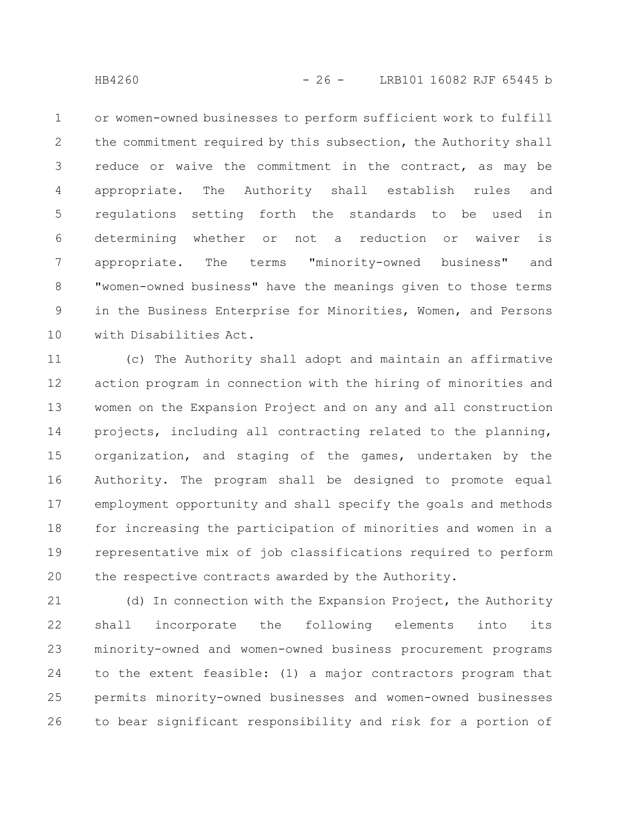or women-owned businesses to perform sufficient work to fulfill the commitment required by this subsection, the Authority shall reduce or waive the commitment in the contract, as may be appropriate. The Authority shall establish rules and regulations setting forth the standards to be used in determining whether or not a reduction or waiver is appropriate. The terms "minority-owned business" and "women-owned business" have the meanings given to those terms in the Business Enterprise for Minorities, Women, and Persons with Disabilities Act. 1 2 3 4 5 6 7 8 9 10

(c) The Authority shall adopt and maintain an affirmative action program in connection with the hiring of minorities and women on the Expansion Project and on any and all construction projects, including all contracting related to the planning, organization, and staging of the games, undertaken by the Authority. The program shall be designed to promote equal employment opportunity and shall specify the goals and methods for increasing the participation of minorities and women in a representative mix of job classifications required to perform the respective contracts awarded by the Authority. 11 12 13 14 15 16 17 18 19 20

(d) In connection with the Expansion Project, the Authority shall incorporate the following elements into its minority-owned and women-owned business procurement programs to the extent feasible: (1) a major contractors program that permits minority-owned businesses and women-owned businesses to bear significant responsibility and risk for a portion of 21 22 23 24 25 26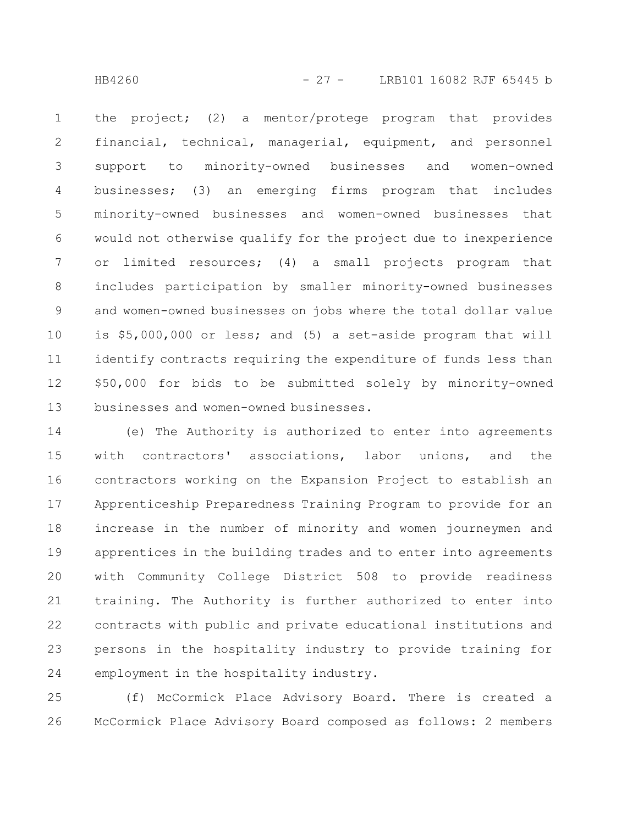the project; (2) a mentor/protege program that provides financial, technical, managerial, equipment, and personnel support to minority-owned businesses and women-owned businesses; (3) an emerging firms program that includes minority-owned businesses and women-owned businesses that would not otherwise qualify for the project due to inexperience or limited resources; (4) a small projects program that includes participation by smaller minority-owned businesses and women-owned businesses on jobs where the total dollar value is \$5,000,000 or less; and (5) a set-aside program that will identify contracts requiring the expenditure of funds less than \$50,000 for bids to be submitted solely by minority-owned businesses and women-owned businesses. 1 2 3 4 5 6 7 8 9 10 11 12 13

(e) The Authority is authorized to enter into agreements with contractors' associations, labor unions, and the contractors working on the Expansion Project to establish an Apprenticeship Preparedness Training Program to provide for an increase in the number of minority and women journeymen and apprentices in the building trades and to enter into agreements with Community College District 508 to provide readiness training. The Authority is further authorized to enter into contracts with public and private educational institutions and persons in the hospitality industry to provide training for employment in the hospitality industry. 14 15 16 17 18 19 20 21 22 23 24

(f) McCormick Place Advisory Board. There is created a McCormick Place Advisory Board composed as follows: 2 members 25 26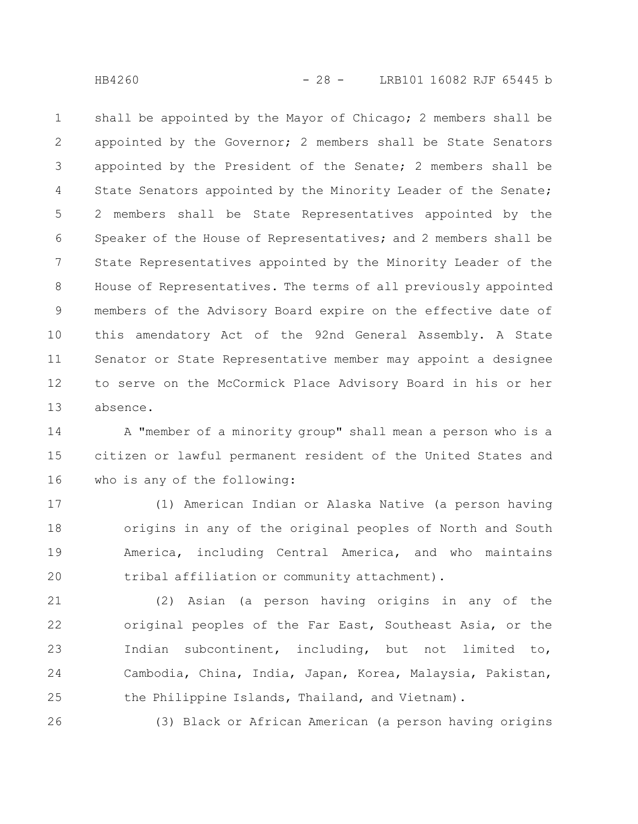shall be appointed by the Mayor of Chicago; 2 members shall be appointed by the Governor; 2 members shall be State Senators appointed by the President of the Senate; 2 members shall be State Senators appointed by the Minority Leader of the Senate; 2 members shall be State Representatives appointed by the Speaker of the House of Representatives; and 2 members shall be State Representatives appointed by the Minority Leader of the House of Representatives. The terms of all previously appointed members of the Advisory Board expire on the effective date of this amendatory Act of the 92nd General Assembly. A State Senator or State Representative member may appoint a designee to serve on the McCormick Place Advisory Board in his or her absence. 1 2 3 4 5 6 7 8 9 10 11 12 13

A "member of a minority group" shall mean a person who is a citizen or lawful permanent resident of the United States and who is any of the following: 14 15 16

(1) American Indian or Alaska Native (a person having origins in any of the original peoples of North and South America, including Central America, and who maintains tribal affiliation or community attachment). 17 18 19 20

(2) Asian (a person having origins in any of the original peoples of the Far East, Southeast Asia, or the Indian subcontinent, including, but not limited to, Cambodia, China, India, Japan, Korea, Malaysia, Pakistan, the Philippine Islands, Thailand, and Vietnam). 21 22 23 24 25

(3) Black or African American (a person having origins

26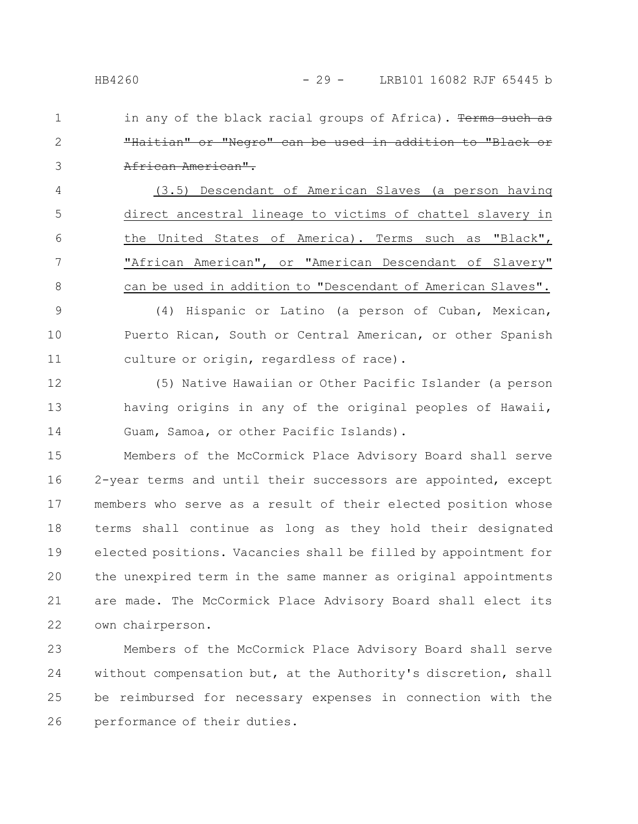in any of the black racial groups of Africa). Terms such "Haitian" or "Negro" can be used in addition to "Black or African American". 1 2 3

(3.5) Descendant of American Slaves (a person having direct ancestral lineage to victims of chattel slavery in the United States of America). Terms such as "Black", "African American", or "American Descendant of Slavery" can be used in addition to "Descendant of American Slaves". 4 5 6 7 8

(4) Hispanic or Latino (a person of Cuban, Mexican, Puerto Rican, South or Central American, or other Spanish culture or origin, regardless of race). 9 10 11

(5) Native Hawaiian or Other Pacific Islander (a person having origins in any of the original peoples of Hawaii, Guam, Samoa, or other Pacific Islands). 12 13 14

Members of the McCormick Place Advisory Board shall serve 2-year terms and until their successors are appointed, except members who serve as a result of their elected position whose terms shall continue as long as they hold their designated elected positions. Vacancies shall be filled by appointment for the unexpired term in the same manner as original appointments are made. The McCormick Place Advisory Board shall elect its own chairperson. 15 16 17 18 19 20 21 22

Members of the McCormick Place Advisory Board shall serve without compensation but, at the Authority's discretion, shall be reimbursed for necessary expenses in connection with the performance of their duties. 23 24 25 26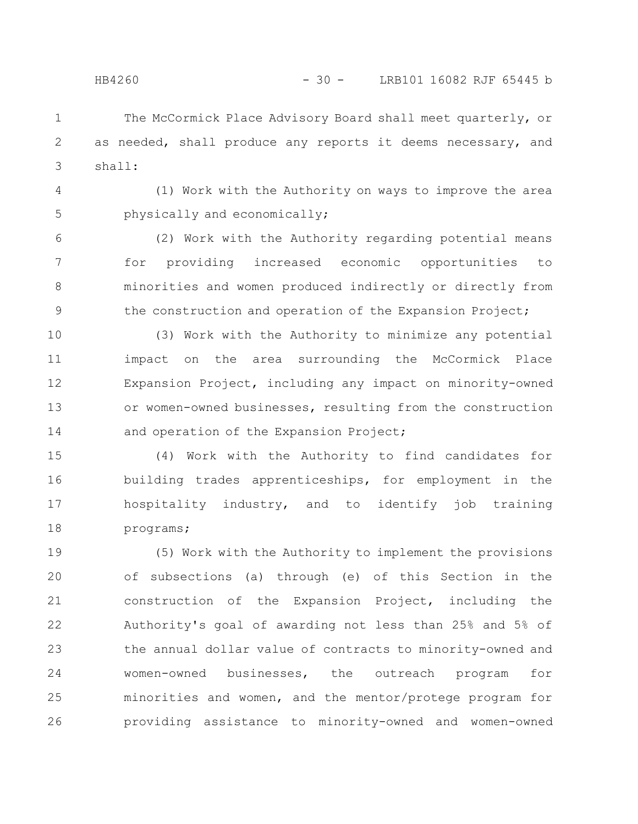The McCormick Place Advisory Board shall meet quarterly, or as needed, shall produce any reports it deems necessary, and shall: 1 2 3

(1) Work with the Authority on ways to improve the area physically and economically; 4 5

(2) Work with the Authority regarding potential means for providing increased economic opportunities to minorities and women produced indirectly or directly from the construction and operation of the Expansion Project; 6 7 8 9

(3) Work with the Authority to minimize any potential impact on the area surrounding the McCormick Place Expansion Project, including any impact on minority-owned or women-owned businesses, resulting from the construction and operation of the Expansion Project; 10 11 12 13 14

(4) Work with the Authority to find candidates for building trades apprenticeships, for employment in the hospitality industry, and to identify job training programs; 15 16 17 18

(5) Work with the Authority to implement the provisions of subsections (a) through (e) of this Section in the construction of the Expansion Project, including the Authority's goal of awarding not less than 25% and 5% of the annual dollar value of contracts to minority-owned and women-owned businesses, the outreach program for minorities and women, and the mentor/protege program for providing assistance to minority-owned and women-owned 19 20 21 22 23 24 25 26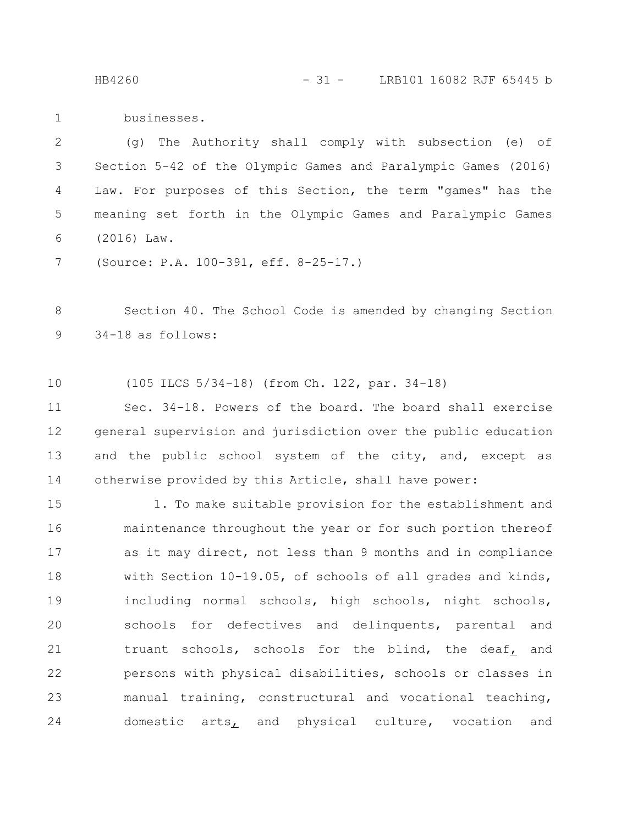HB4260 - 31 - LRB101 16082 RJF 65445 b

businesses. 1

(g) The Authority shall comply with subsection (e) of Section 5-42 of the Olympic Games and Paralympic Games (2016) Law. For purposes of this Section, the term "games" has the meaning set forth in the Olympic Games and Paralympic Games (2016) Law. 2 3 4 5 6

(Source: P.A. 100-391, eff. 8-25-17.) 7

Section 40. The School Code is amended by changing Section 34-18 as follows: 8 9

(105 ILCS 5/34-18) (from Ch. 122, par. 34-18) 10

Sec. 34-18. Powers of the board. The board shall exercise general supervision and jurisdiction over the public education and the public school system of the city, and, except as otherwise provided by this Article, shall have power: 11 12 13 14

1. To make suitable provision for the establishment and maintenance throughout the year or for such portion thereof as it may direct, not less than 9 months and in compliance with Section 10-19.05, of schools of all grades and kinds, including normal schools, high schools, night schools, schools for defectives and delinquents, parental and truant schools, schools for the blind, the deaf, and persons with physical disabilities, schools or classes in manual training, constructural and vocational teaching, domestic arts, and physical culture, vocation and 15 16 17 18 19 20 21 22 23 24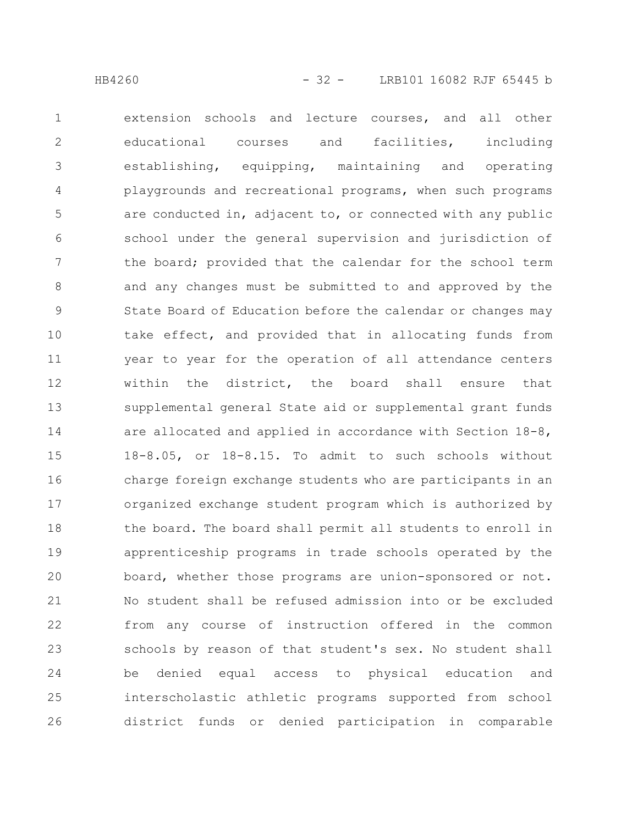extension schools and lecture courses, and all other educational courses and facilities, including establishing, equipping, maintaining and operating playgrounds and recreational programs, when such programs are conducted in, adjacent to, or connected with any public school under the general supervision and jurisdiction of the board; provided that the calendar for the school term and any changes must be submitted to and approved by the State Board of Education before the calendar or changes may take effect, and provided that in allocating funds from year to year for the operation of all attendance centers within the district, the board shall ensure that supplemental general State aid or supplemental grant funds are allocated and applied in accordance with Section 18-8, 18-8.05, or 18-8.15. To admit to such schools without charge foreign exchange students who are participants in an organized exchange student program which is authorized by the board. The board shall permit all students to enroll in apprenticeship programs in trade schools operated by the board, whether those programs are union-sponsored or not. No student shall be refused admission into or be excluded from any course of instruction offered in the common schools by reason of that student's sex. No student shall be denied equal access to physical education and interscholastic athletic programs supported from school district funds or denied participation in comparable 1 2 3 4 5 6 7 8 9 10 11 12 13 14 15 16 17 18 19 20 21 22 23 24 25 26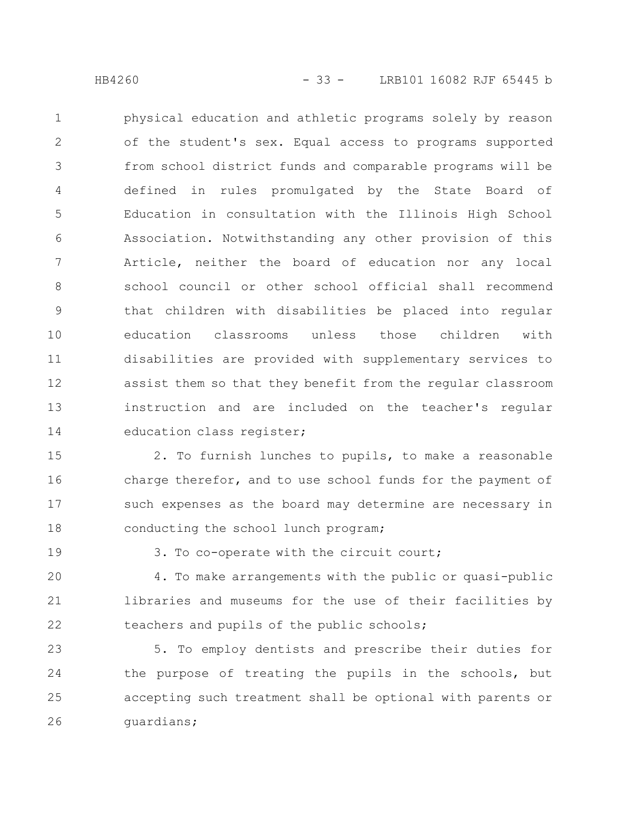physical education and athletic programs solely by reason of the student's sex. Equal access to programs supported from school district funds and comparable programs will be defined in rules promulgated by the State Board of Education in consultation with the Illinois High School Association. Notwithstanding any other provision of this Article, neither the board of education nor any local school council or other school official shall recommend that children with disabilities be placed into regular education classrooms unless those children with disabilities are provided with supplementary services to assist them so that they benefit from the regular classroom instruction and are included on the teacher's regular education class register; 1 2 3 4 5 6 7 8 9 10 11 12 13 14

2. To furnish lunches to pupils, to make a reasonable charge therefor, and to use school funds for the payment of such expenses as the board may determine are necessary in conducting the school lunch program; 15 16 17 18

19

3. To co-operate with the circuit court;

4. To make arrangements with the public or quasi-public libraries and museums for the use of their facilities by teachers and pupils of the public schools; 20 21 22

5. To employ dentists and prescribe their duties for the purpose of treating the pupils in the schools, but accepting such treatment shall be optional with parents or guardians; 23 24 25 26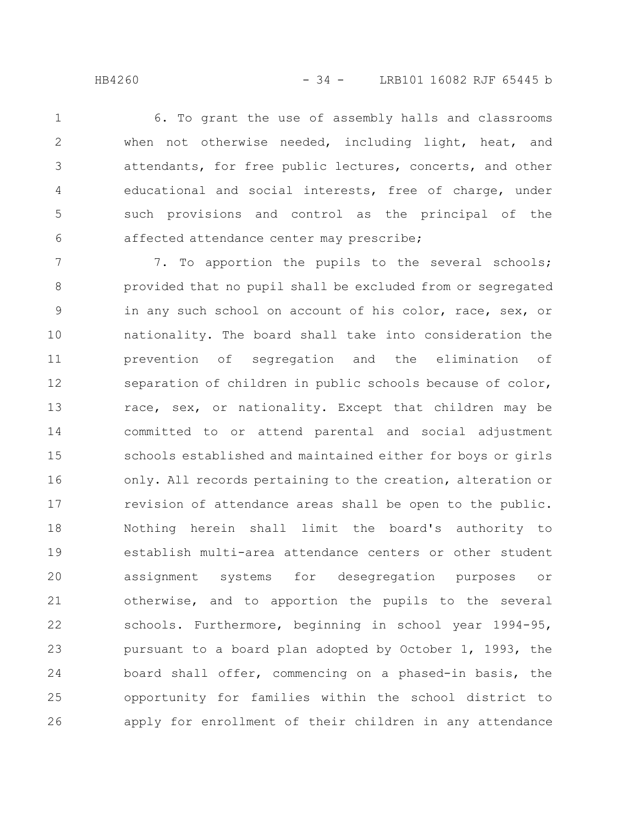6. To grant the use of assembly halls and classrooms when not otherwise needed, including light, heat, and attendants, for free public lectures, concerts, and other educational and social interests, free of charge, under such provisions and control as the principal of the affected attendance center may prescribe; 1 2 3 4 5 6

7. To apportion the pupils to the several schools; provided that no pupil shall be excluded from or segregated in any such school on account of his color, race, sex, or nationality. The board shall take into consideration the prevention of segregation and the elimination of separation of children in public schools because of color, race, sex, or nationality. Except that children may be committed to or attend parental and social adjustment schools established and maintained either for boys or girls only. All records pertaining to the creation, alteration or revision of attendance areas shall be open to the public. Nothing herein shall limit the board's authority to establish multi-area attendance centers or other student assignment systems for desegregation purposes or otherwise, and to apportion the pupils to the several schools. Furthermore, beginning in school year 1994-95, pursuant to a board plan adopted by October 1, 1993, the board shall offer, commencing on a phased-in basis, the opportunity for families within the school district to apply for enrollment of their children in any attendance 7 8 9 10 11 12 13 14 15 16 17 18 19 20 21 22 23 24 25 26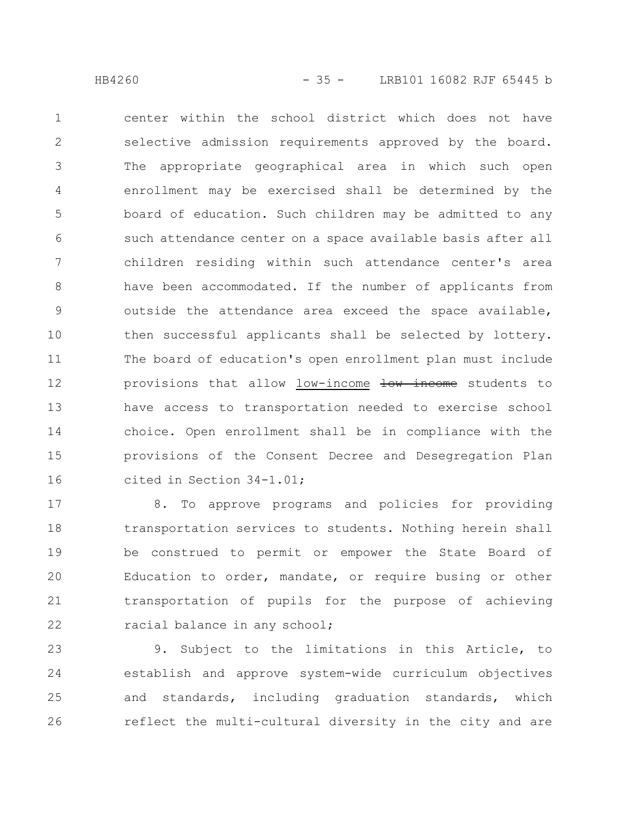center within the school district which does not have selective admission requirements approved by the board. The appropriate geographical area in which such open enrollment may be exercised shall be determined by the board of education. Such children may be admitted to any such attendance center on a space available basis after all children residing within such attendance center's area have been accommodated. If the number of applicants from outside the attendance area exceed the space available, then successful applicants shall be selected by lottery. The board of education's open enrollment plan must include provisions that allow low-income low income students to have access to transportation needed to exercise school choice. Open enrollment shall be in compliance with the provisions of the Consent Decree and Desegregation Plan cited in Section 34-1.01; 1 2 3 4 5 6 7 8 9 10 11 12 13 14 15 16

8. To approve programs and policies for providing transportation services to students. Nothing herein shall be construed to permit or empower the State Board of Education to order, mandate, or require busing or other transportation of pupils for the purpose of achieving racial balance in any school; 17 18 19 20 21 22

9. Subject to the limitations in this Article, to establish and approve system-wide curriculum objectives and standards, including graduation standards, which reflect the multi-cultural diversity in the city and are 23 24 25 26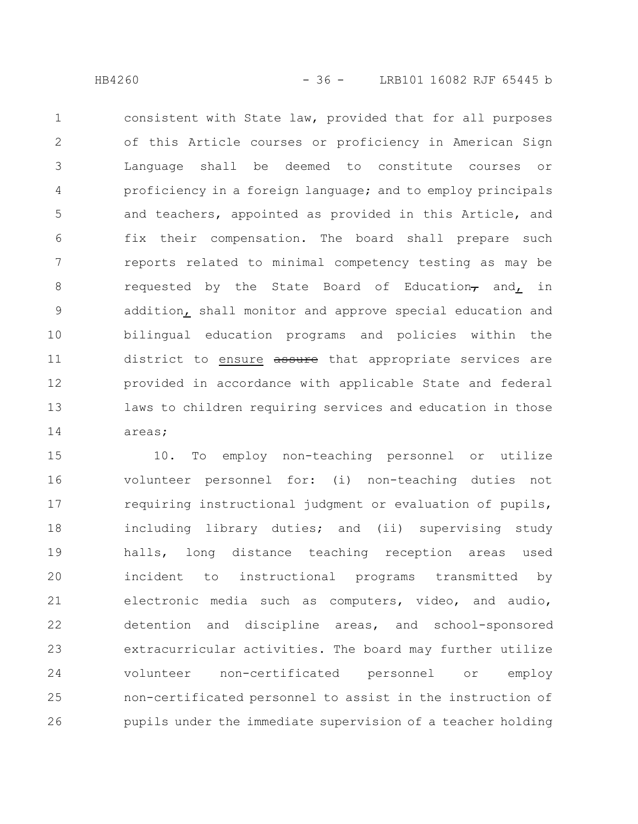consistent with State law, provided that for all purposes of this Article courses or proficiency in American Sign Language shall be deemed to constitute courses or proficiency in a foreign language; and to employ principals and teachers, appointed as provided in this Article, and fix their compensation. The board shall prepare such reports related to minimal competency testing as may be requested by the State Board of Education $<sub>7</sub>$  and, in</sub> addition, shall monitor and approve special education and bilingual education programs and policies within the district to ensure assure that appropriate services are provided in accordance with applicable State and federal laws to children requiring services and education in those areas; 1 2 3 4 5 6 7 8 9 10 11 12 13 14

10. To employ non-teaching personnel or utilize volunteer personnel for: (i) non-teaching duties not requiring instructional judgment or evaluation of pupils, including library duties; and (ii) supervising study halls, long distance teaching reception areas used incident to instructional programs transmitted by electronic media such as computers, video, and audio, detention and discipline areas, and school-sponsored extracurricular activities. The board may further utilize volunteer non-certificated personnel or employ non-certificated personnel to assist in the instruction of pupils under the immediate supervision of a teacher holding 15 16 17 18 19 20 21 22 23 24 25 26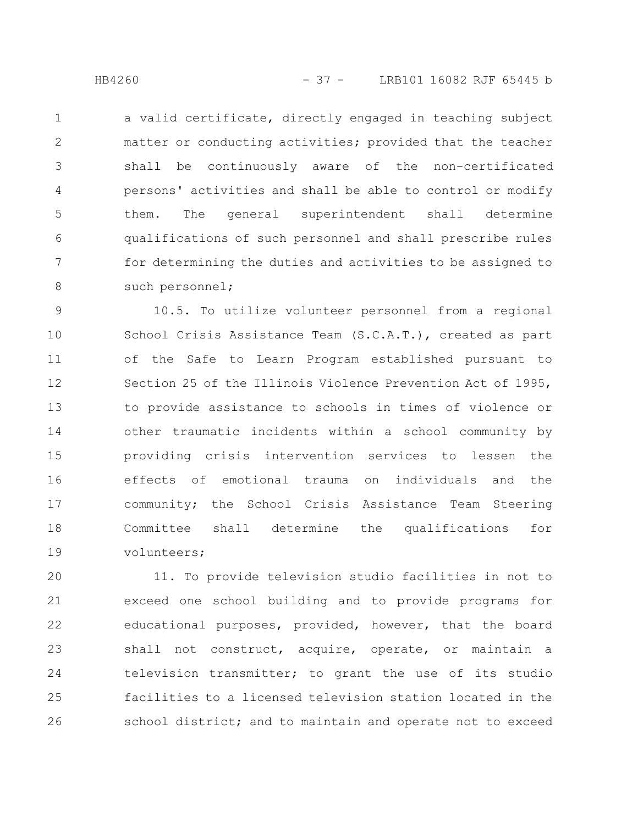a valid certificate, directly engaged in teaching subject matter or conducting activities; provided that the teacher shall be continuously aware of the non-certificated persons' activities and shall be able to control or modify them. The general superintendent shall determine qualifications of such personnel and shall prescribe rules for determining the duties and activities to be assigned to such personnel; 1 2 3 4 5 6 7 8

10.5. To utilize volunteer personnel from a regional School Crisis Assistance Team (S.C.A.T.), created as part of the Safe to Learn Program established pursuant to Section 25 of the Illinois Violence Prevention Act of 1995, to provide assistance to schools in times of violence or other traumatic incidents within a school community by providing crisis intervention services to lessen the effects of emotional trauma on individuals and the community; the School Crisis Assistance Team Steering Committee shall determine the qualifications for volunteers; 9 10 11 12 13 14 15 16 17 18 19

11. To provide television studio facilities in not to exceed one school building and to provide programs for educational purposes, provided, however, that the board shall not construct, acquire, operate, or maintain a television transmitter; to grant the use of its studio facilities to a licensed television station located in the school district; and to maintain and operate not to exceed 20 21 22 23 24 25 26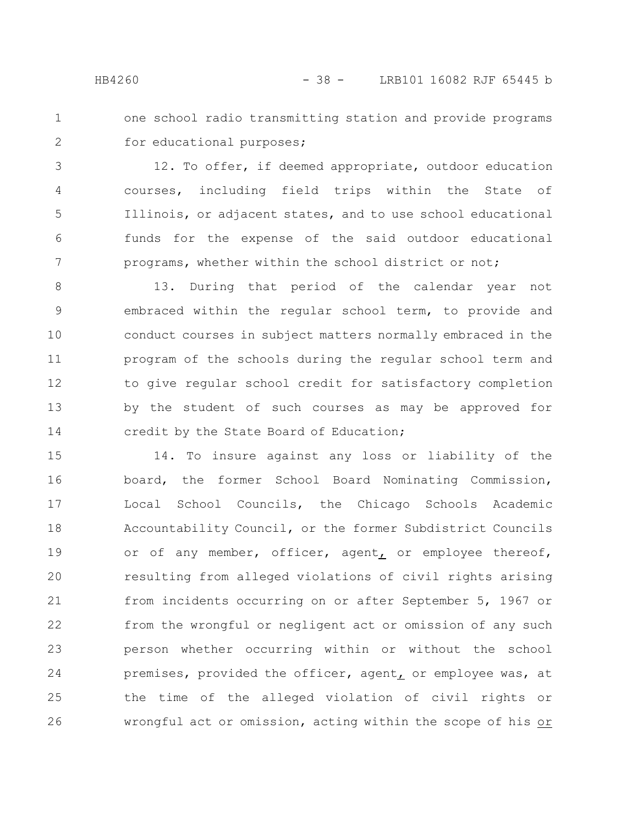- 
- one school radio transmitting station and provide programs for educational purposes; 1 2

12. To offer, if deemed appropriate, outdoor education courses, including field trips within the State of Illinois, or adjacent states, and to use school educational funds for the expense of the said outdoor educational programs, whether within the school district or not; 3 4 5 6 7

13. During that period of the calendar year not embraced within the regular school term, to provide and conduct courses in subject matters normally embraced in the program of the schools during the regular school term and to give regular school credit for satisfactory completion by the student of such courses as may be approved for credit by the State Board of Education; 8 9 10 11 12 13 14

14. To insure against any loss or liability of the board, the former School Board Nominating Commission, Local School Councils, the Chicago Schools Academic Accountability Council, or the former Subdistrict Councils or of any member, officer, agent, or employee thereof, resulting from alleged violations of civil rights arising from incidents occurring on or after September 5, 1967 or from the wrongful or negligent act or omission of any such person whether occurring within or without the school premises, provided the officer, agent, or employee was, at the time of the alleged violation of civil rights or wrongful act or omission, acting within the scope of his or 15 16 17 18 19 20 21 22 23 24 25 26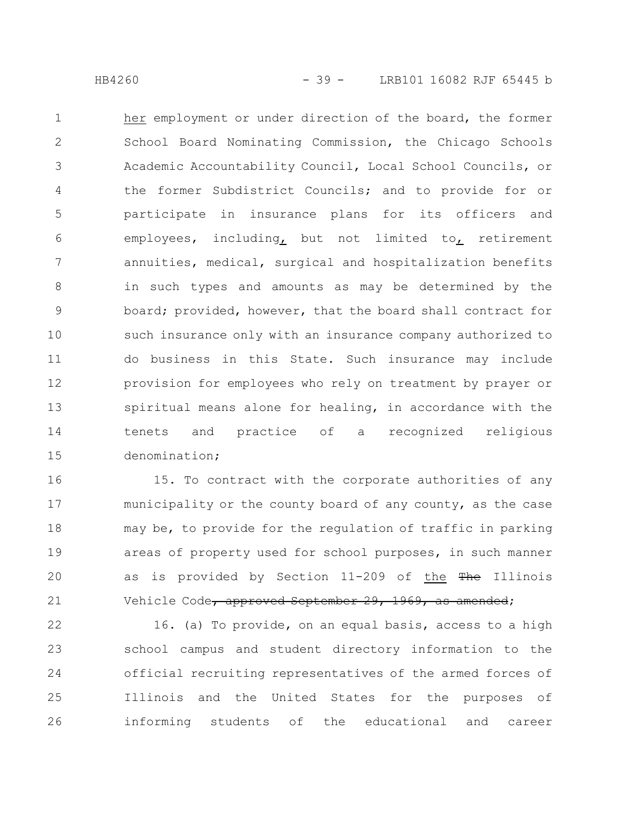her employment or under direction of the board, the former School Board Nominating Commission, the Chicago Schools Academic Accountability Council, Local School Councils, or the former Subdistrict Councils; and to provide for or participate in insurance plans for its officers and employees, including, but not limited to, retirement annuities, medical, surgical and hospitalization benefits in such types and amounts as may be determined by the board; provided, however, that the board shall contract for such insurance only with an insurance company authorized to do business in this State. Such insurance may include provision for employees who rely on treatment by prayer or spiritual means alone for healing, in accordance with the tenets and practice of a recognized religious denomination; 1 2 3 4 5 6 7 8 9 10 11 12 13 14 15

15. To contract with the corporate authorities of any municipality or the county board of any county, as the case may be, to provide for the regulation of traffic in parking areas of property used for school purposes, in such manner as is provided by Section 11-209 of the The Illinois Vehicle Code, approved September 29, 1969, as amended; 16 17 18 19 20 21

16. (a) To provide, on an equal basis, access to a high school campus and student directory information to the official recruiting representatives of the armed forces of Illinois and the United States for the purposes of informing students of the educational and career 22 23 24 25 26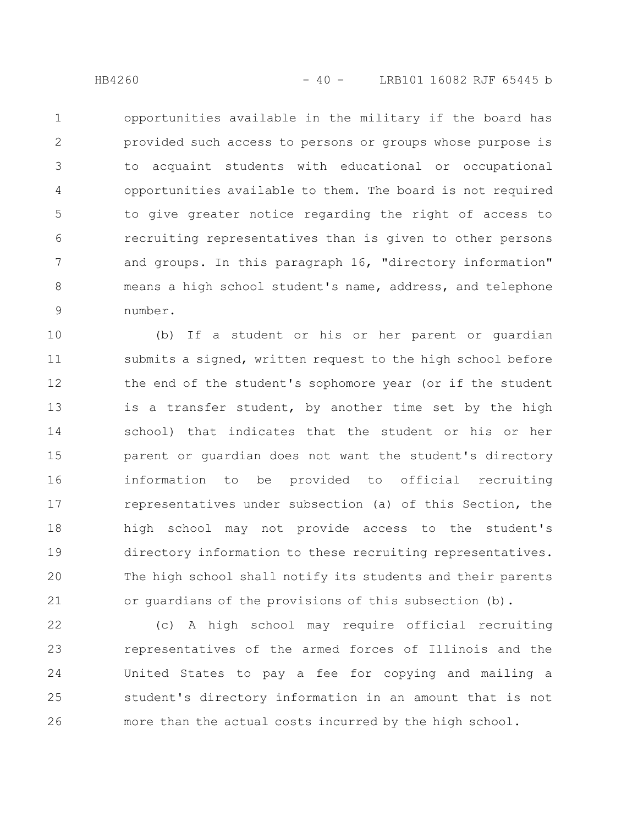opportunities available in the military if the board has provided such access to persons or groups whose purpose is to acquaint students with educational or occupational opportunities available to them. The board is not required to give greater notice regarding the right of access to recruiting representatives than is given to other persons and groups. In this paragraph 16, "directory information" means a high school student's name, address, and telephone number. 1 2 3 4 5 6 7 8 9

(b) If a student or his or her parent or guardian submits a signed, written request to the high school before the end of the student's sophomore year (or if the student is a transfer student, by another time set by the high school) that indicates that the student or his or her parent or guardian does not want the student's directory information to be provided to official recruiting representatives under subsection (a) of this Section, the high school may not provide access to the student's directory information to these recruiting representatives. The high school shall notify its students and their parents or guardians of the provisions of this subsection (b). 10 11 12 13 14 15 16 17 18 19 20 21

(c) A high school may require official recruiting representatives of the armed forces of Illinois and the United States to pay a fee for copying and mailing a student's directory information in an amount that is not more than the actual costs incurred by the high school. 22 23 24 25 26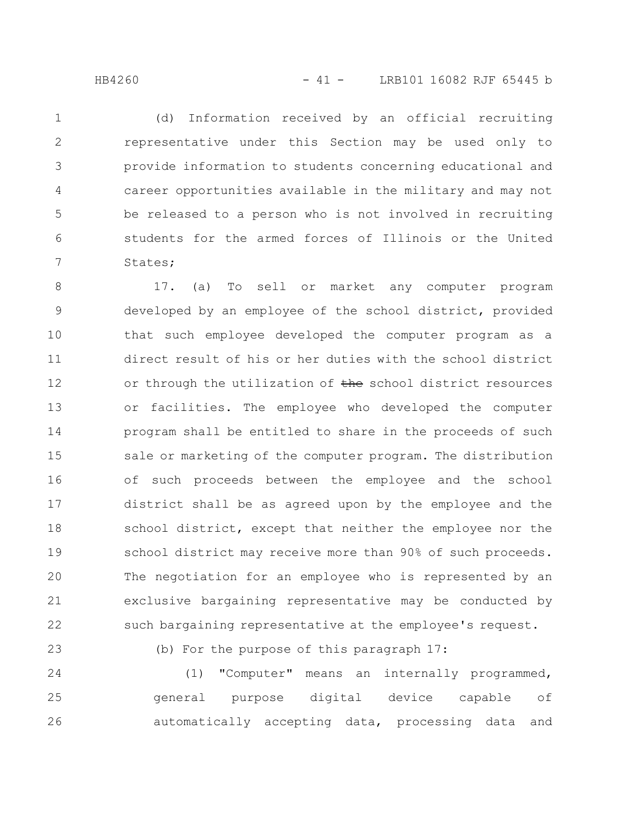(d) Information received by an official recruiting representative under this Section may be used only to provide information to students concerning educational and career opportunities available in the military and may not be released to a person who is not involved in recruiting students for the armed forces of Illinois or the United States; 1 2 3 4 5 6 7

17. (a) To sell or market any computer program developed by an employee of the school district, provided that such employee developed the computer program as a direct result of his or her duties with the school district or through the utilization of the school district resources or facilities. The employee who developed the computer program shall be entitled to share in the proceeds of such sale or marketing of the computer program. The distribution of such proceeds between the employee and the school district shall be as agreed upon by the employee and the school district, except that neither the employee nor the school district may receive more than 90% of such proceeds. The negotiation for an employee who is represented by an exclusive bargaining representative may be conducted by such bargaining representative at the employee's request. 8 9 10 11 12 13 14 15 16 17 18 19 20 21 22

23

(b) For the purpose of this paragraph 17:

(1) "Computer" means an internally programmed, general purpose digital device capable of automatically accepting data, processing data and 24 25 26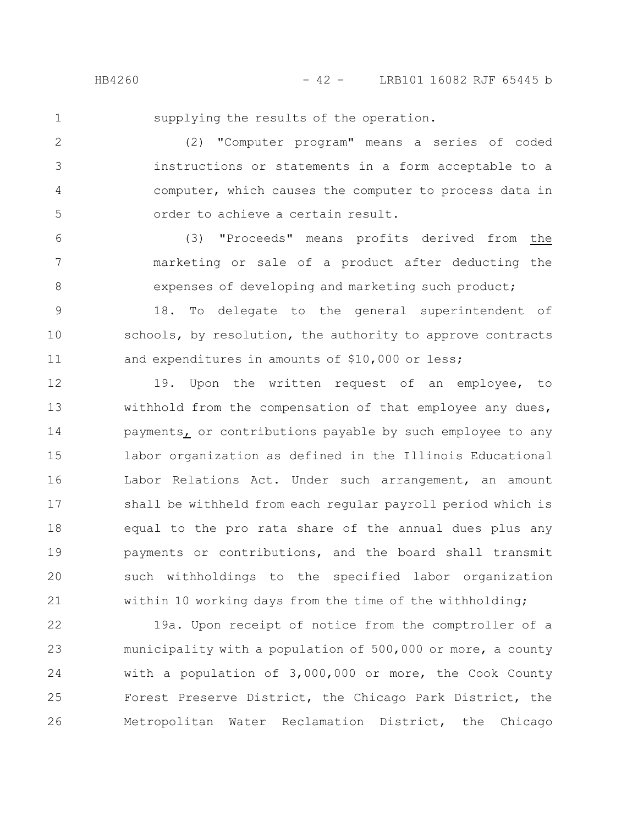1

supplying the results of the operation.

(2) "Computer program" means a series of coded instructions or statements in a form acceptable to a computer, which causes the computer to process data in order to achieve a certain result. 2 3 4 5

(3) "Proceeds" means profits derived from the marketing or sale of a product after deducting the expenses of developing and marketing such product; 6 7 8

18. To delegate to the general superintendent of schools, by resolution, the authority to approve contracts and expenditures in amounts of \$10,000 or less; 9 10 11

19. Upon the written request of an employee, to withhold from the compensation of that employee any dues, payments, or contributions payable by such employee to any labor organization as defined in the Illinois Educational Labor Relations Act. Under such arrangement, an amount shall be withheld from each regular payroll period which is equal to the pro rata share of the annual dues plus any payments or contributions, and the board shall transmit such withholdings to the specified labor organization within 10 working days from the time of the withholding; 12 13 14 15 16 17 18 19 20 21

19a. Upon receipt of notice from the comptroller of a municipality with a population of 500,000 or more, a county with a population of 3,000,000 or more, the Cook County Forest Preserve District, the Chicago Park District, the Metropolitan Water Reclamation District, the Chicago 22 23 24 25 26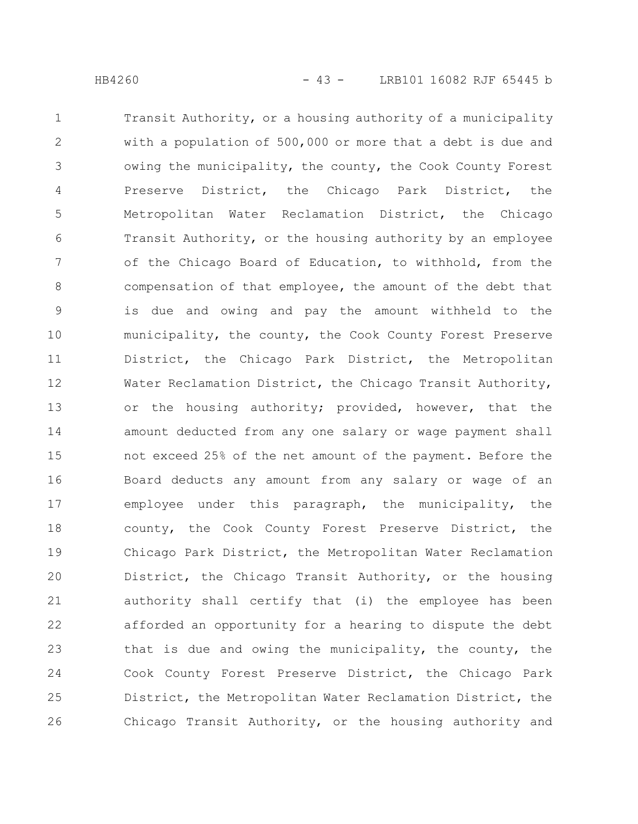Transit Authority, or a housing authority of a municipality with a population of 500,000 or more that a debt is due and owing the municipality, the county, the Cook County Forest Preserve District, the Chicago Park District, the Metropolitan Water Reclamation District, the Chicago Transit Authority, or the housing authority by an employee of the Chicago Board of Education, to withhold, from the compensation of that employee, the amount of the debt that is due and owing and pay the amount withheld to the municipality, the county, the Cook County Forest Preserve District, the Chicago Park District, the Metropolitan Water Reclamation District, the Chicago Transit Authority, or the housing authority; provided, however, that the amount deducted from any one salary or wage payment shall not exceed 25% of the net amount of the payment. Before the Board deducts any amount from any salary or wage of an employee under this paragraph, the municipality, the county, the Cook County Forest Preserve District, the Chicago Park District, the Metropolitan Water Reclamation District, the Chicago Transit Authority, or the housing authority shall certify that (i) the employee has been afforded an opportunity for a hearing to dispute the debt that is due and owing the municipality, the county, the Cook County Forest Preserve District, the Chicago Park District, the Metropolitan Water Reclamation District, the Chicago Transit Authority, or the housing authority and 1 2 3 4 5 6 7 8 9 10 11 12 13 14 15 16 17 18 19 20 21 22 23 24 25 26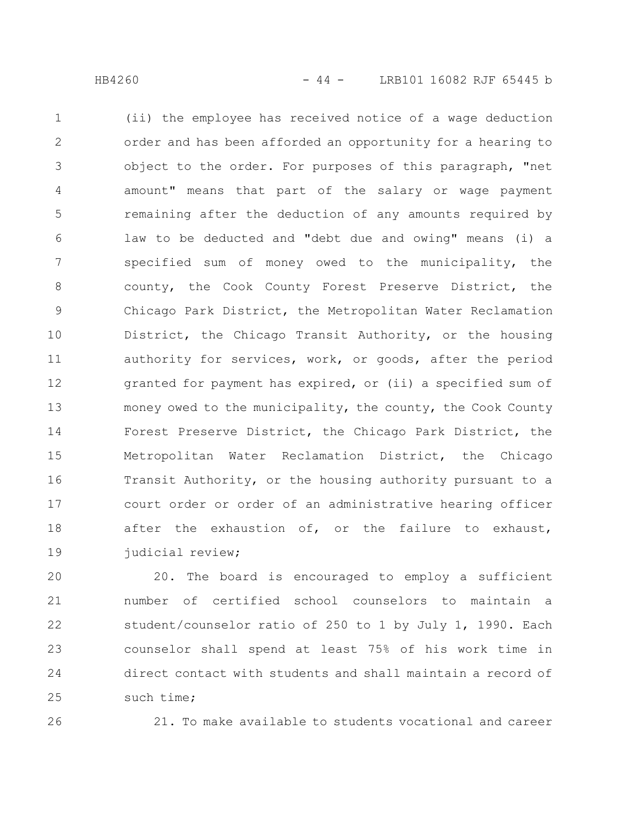(ii) the employee has received notice of a wage deduction order and has been afforded an opportunity for a hearing to object to the order. For purposes of this paragraph, "net amount" means that part of the salary or wage payment remaining after the deduction of any amounts required by law to be deducted and "debt due and owing" means (i) a specified sum of money owed to the municipality, the county, the Cook County Forest Preserve District, the Chicago Park District, the Metropolitan Water Reclamation District, the Chicago Transit Authority, or the housing authority for services, work, or goods, after the period granted for payment has expired, or (ii) a specified sum of money owed to the municipality, the county, the Cook County Forest Preserve District, the Chicago Park District, the Metropolitan Water Reclamation District, the Chicago Transit Authority, or the housing authority pursuant to a court order or order of an administrative hearing officer after the exhaustion of, or the failure to exhaust, judicial review; 1 2 3 4 5 6 7 8 9 10 11 12 13 14 15 16 17 18 19

20. The board is encouraged to employ a sufficient number of certified school counselors to maintain a student/counselor ratio of 250 to 1 by July 1, 1990. Each counselor shall spend at least 75% of his work time in direct contact with students and shall maintain a record of such time; 20 21 22 23 24 25

26

21. To make available to students vocational and career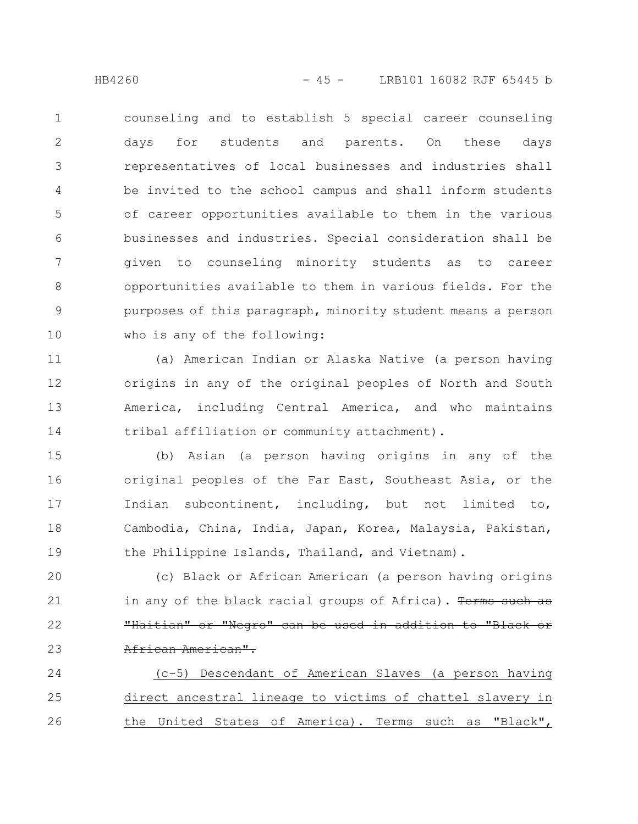counseling and to establish 5 special career counseling days for students and parents. On these days representatives of local businesses and industries shall be invited to the school campus and shall inform students of career opportunities available to them in the various businesses and industries. Special consideration shall be given to counseling minority students as to career opportunities available to them in various fields. For the purposes of this paragraph, minority student means a person who is any of the following: 1 2 3 4 5 6 7 8 9 10

(a) American Indian or Alaska Native (a person having origins in any of the original peoples of North and South America, including Central America, and who maintains tribal affiliation or community attachment). 11 12 13 14

(b) Asian (a person having origins in any of the original peoples of the Far East, Southeast Asia, or the Indian subcontinent, including, but not limited to, Cambodia, China, India, Japan, Korea, Malaysia, Pakistan, the Philippine Islands, Thailand, and Vietnam). 15 16 17 18 19

(c) Black or African American (a person having origins in any of the black racial groups of Africa). Terms such as "Haitian" or "Negro" can be used in addition to "Black or African American". 20 21 22 23

(c-5) Descendant of American Slaves (a person having direct ancestral lineage to victims of chattel slavery in the United States of America). Terms such as "Black", 24 25 26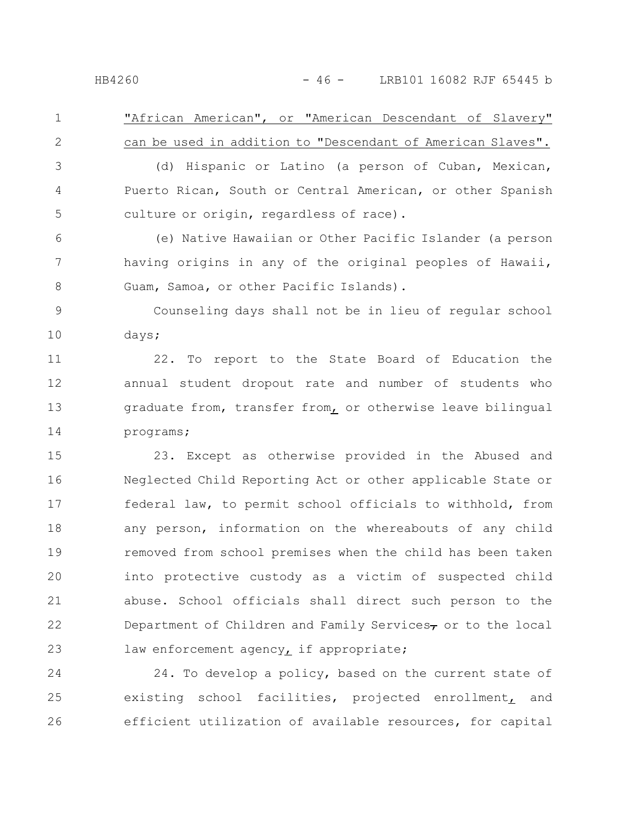"African American", or "American Descendant of Slavery" can be used in addition to "Descendant of American Slaves". 1 2

(d) Hispanic or Latino (a person of Cuban, Mexican, Puerto Rican, South or Central American, or other Spanish culture or origin, regardless of race). 3 4 5

(e) Native Hawaiian or Other Pacific Islander (a person having origins in any of the original peoples of Hawaii, Guam, Samoa, or other Pacific Islands). 6 7 8

Counseling days shall not be in lieu of regular school days; 9 10

22. To report to the State Board of Education the annual student dropout rate and number of students who graduate from, transfer from, or otherwise leave bilingual programs; 11 12 13 14

23. Except as otherwise provided in the Abused and Neglected Child Reporting Act or other applicable State or federal law, to permit school officials to withhold, from any person, information on the whereabouts of any child removed from school premises when the child has been taken into protective custody as a victim of suspected child abuse. School officials shall direct such person to the Department of Children and Family Services $\tau$  or to the local law enforcement agency, if appropriate; 15 16 17 18 19 20 21 22 23

24. To develop a policy, based on the current state of existing school facilities, projected enrollment, and efficient utilization of available resources, for capital 24 25 26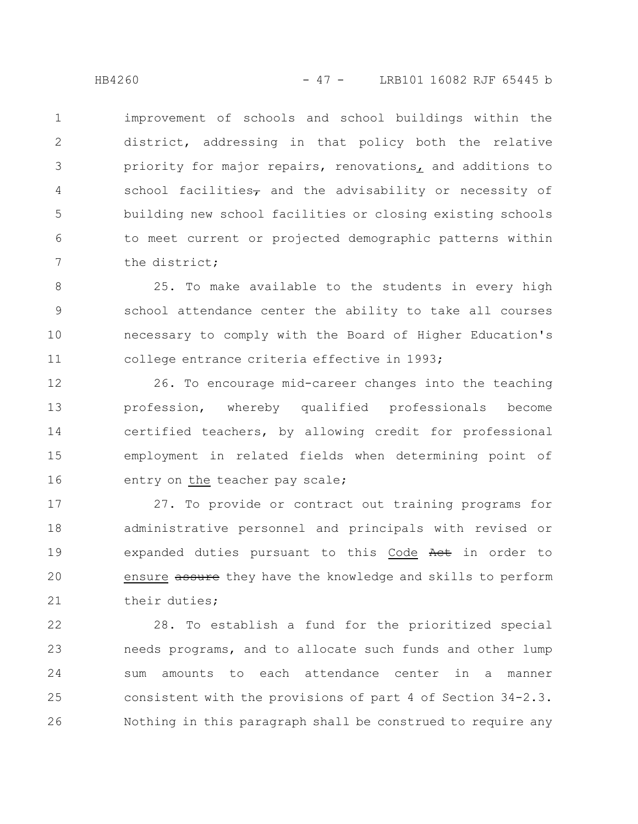improvement of schools and school buildings within the district, addressing in that policy both the relative priority for major repairs, renovations, and additions to school facilities, and the advisability or necessity of building new school facilities or closing existing schools to meet current or projected demographic patterns within the district; 1 2 3 4 5 6 7

25. To make available to the students in every high school attendance center the ability to take all courses necessary to comply with the Board of Higher Education's college entrance criteria effective in 1993; 8 9 10 11

26. To encourage mid-career changes into the teaching profession, whereby qualified professionals become certified teachers, by allowing credit for professional employment in related fields when determining point of entry on the teacher pay scale; 12 13 14 15 16

27. To provide or contract out training programs for administrative personnel and principals with revised or expanded duties pursuant to this Code Act in order to ensure assure they have the knowledge and skills to perform their duties; 17 18 19 20 21

28. To establish a fund for the prioritized special needs programs, and to allocate such funds and other lump sum amounts to each attendance center in a manner consistent with the provisions of part 4 of Section 34-2.3. Nothing in this paragraph shall be construed to require any 22 23 24 25 26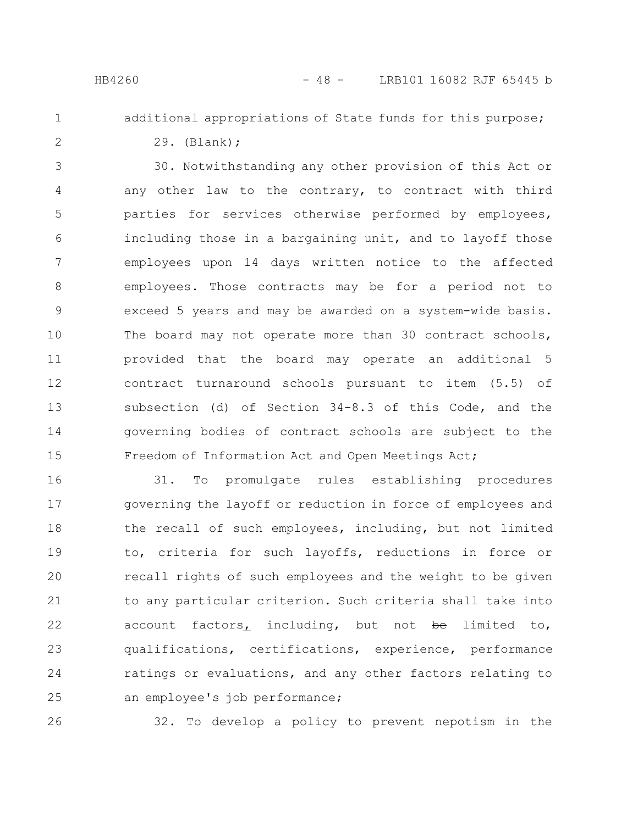1

## additional appropriations of State funds for this purpose;

2

29. (Blank);

30. Notwithstanding any other provision of this Act or any other law to the contrary, to contract with third parties for services otherwise performed by employees, including those in a bargaining unit, and to layoff those employees upon 14 days written notice to the affected employees. Those contracts may be for a period not to exceed 5 years and may be awarded on a system-wide basis. The board may not operate more than 30 contract schools, provided that the board may operate an additional 5 contract turnaround schools pursuant to item (5.5) of subsection (d) of Section 34-8.3 of this Code, and the governing bodies of contract schools are subject to the Freedom of Information Act and Open Meetings Act; 3 4 5 6 7 8 9 10 11 12 13 14 15

31. To promulgate rules establishing procedures governing the layoff or reduction in force of employees and the recall of such employees, including, but not limited to, criteria for such layoffs, reductions in force or recall rights of such employees and the weight to be given to any particular criterion. Such criteria shall take into account factors, including, but not be limited to, qualifications, certifications, experience, performance ratings or evaluations, and any other factors relating to an employee's job performance; 16 17 18 19 20 21 22 23 24 25

26

32. To develop a policy to prevent nepotism in the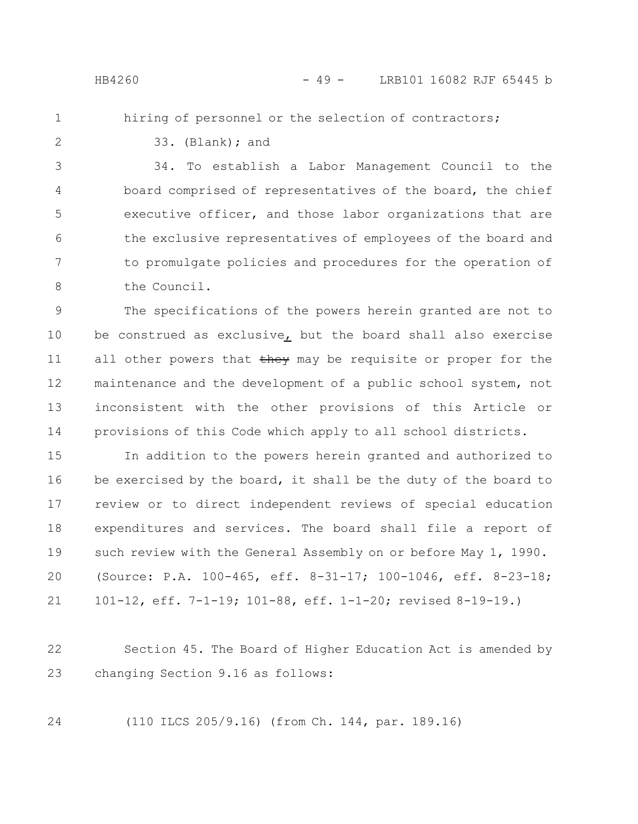hiring of personnel or the selection of contractors;

1 2

33. (Blank); and

34. To establish a Labor Management Council to the board comprised of representatives of the board, the chief executive officer, and those labor organizations that are the exclusive representatives of employees of the board and to promulgate policies and procedures for the operation of the Council. 3 4 5 6 7 8

The specifications of the powers herein granted are not to be construed as exclusive, but the board shall also exercise all other powers that they may be requisite or proper for the maintenance and the development of a public school system, not inconsistent with the other provisions of this Article or provisions of this Code which apply to all school districts. 9 10 11 12 13 14

In addition to the powers herein granted and authorized to be exercised by the board, it shall be the duty of the board to review or to direct independent reviews of special education expenditures and services. The board shall file a report of such review with the General Assembly on or before May 1, 1990. (Source: P.A. 100-465, eff. 8-31-17; 100-1046, eff. 8-23-18; 101-12, eff. 7-1-19; 101-88, eff. 1-1-20; revised 8-19-19.) 15 16 17 18 19 20 21

Section 45. The Board of Higher Education Act is amended by changing Section 9.16 as follows: 22 23

24

(110 ILCS 205/9.16) (from Ch. 144, par. 189.16)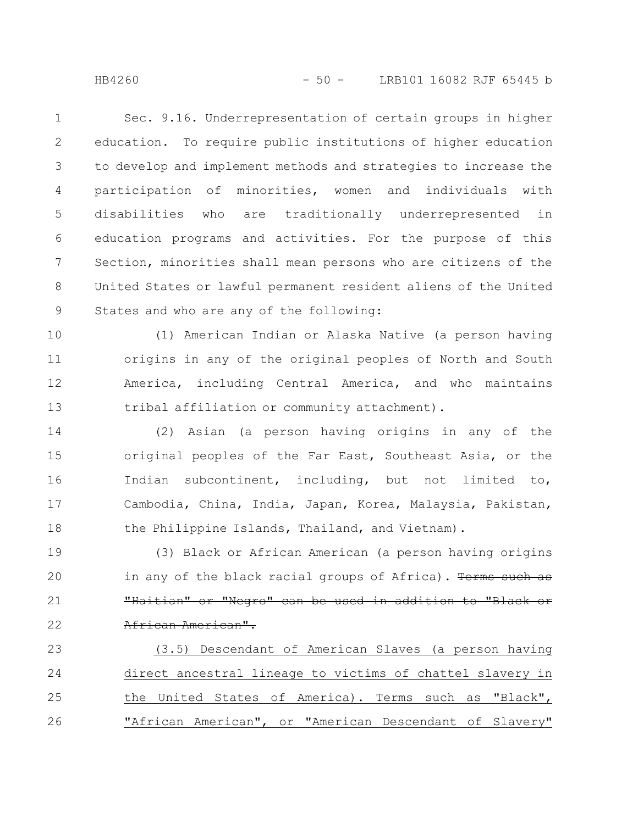Sec. 9.16. Underrepresentation of certain groups in higher education. To require public institutions of higher education to develop and implement methods and strategies to increase the participation of minorities, women and individuals with disabilities who are traditionally underrepresented in education programs and activities. For the purpose of this Section, minorities shall mean persons who are citizens of the United States or lawful permanent resident aliens of the United States and who are any of the following: 1 2 3 4 5 6 7 8 9

(1) American Indian or Alaska Native (a person having origins in any of the original peoples of North and South America, including Central America, and who maintains tribal affiliation or community attachment). 10 11 12 13

(2) Asian (a person having origins in any of the original peoples of the Far East, Southeast Asia, or the Indian subcontinent, including, but not limited to, Cambodia, China, India, Japan, Korea, Malaysia, Pakistan, the Philippine Islands, Thailand, and Vietnam). 14 15 16 17 18

(3) Black or African American (a person having origins in any of the black racial groups of Africa). Terms such as "Haitian" or "Negro" can be used in addition to "Black or African American". 19 20 21 22

(3.5) Descendant of American Slaves (a person having direct ancestral lineage to victims of chattel slavery in the United States of America). Terms such as "Black", "African American", or "American Descendant of Slavery" 23 24 25 26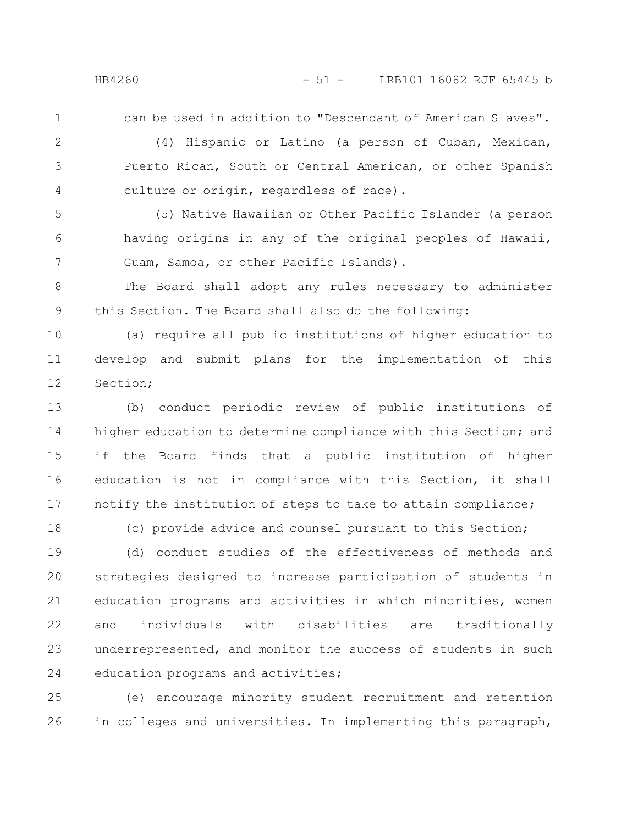1

18

can be used in addition to "Descendant of American Slaves".

(4) Hispanic or Latino (a person of Cuban, Mexican, Puerto Rican, South or Central American, or other Spanish culture or origin, regardless of race). 2 3 4

(5) Native Hawaiian or Other Pacific Islander (a person having origins in any of the original peoples of Hawaii, Guam, Samoa, or other Pacific Islands). 5 6 7

The Board shall adopt any rules necessary to administer this Section. The Board shall also do the following: 8 9

(a) require all public institutions of higher education to develop and submit plans for the implementation of this Section; 10 11 12

(b) conduct periodic review of public institutions of higher education to determine compliance with this Section; and if the Board finds that a public institution of higher education is not in compliance with this Section, it shall notify the institution of steps to take to attain compliance; 13 14 15 16 17

(c) provide advice and counsel pursuant to this Section;

(d) conduct studies of the effectiveness of methods and strategies designed to increase participation of students in education programs and activities in which minorities, women and individuals with disabilities are traditionally underrepresented, and monitor the success of students in such education programs and activities; 19 20 21 22 23 24

(e) encourage minority student recruitment and retention in colleges and universities. In implementing this paragraph, 25 26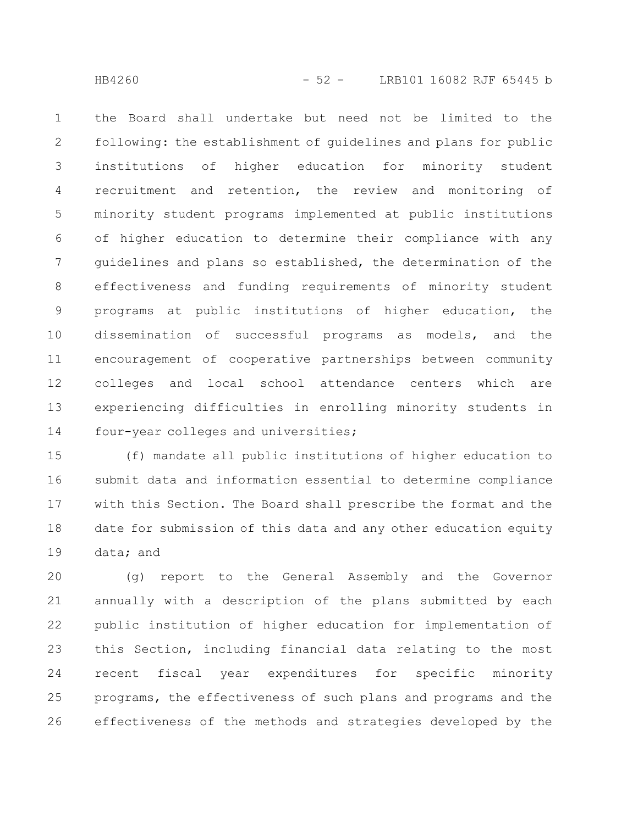the Board shall undertake but need not be limited to the following: the establishment of guidelines and plans for public institutions of higher education for minority student recruitment and retention, the review and monitoring of minority student programs implemented at public institutions of higher education to determine their compliance with any guidelines and plans so established, the determination of the effectiveness and funding requirements of minority student programs at public institutions of higher education, the dissemination of successful programs as models, and the encouragement of cooperative partnerships between community colleges and local school attendance centers which are experiencing difficulties in enrolling minority students in four-year colleges and universities; 1 2 3 4 5 6 7 8 9 10 11 12 13 14

(f) mandate all public institutions of higher education to submit data and information essential to determine compliance with this Section. The Board shall prescribe the format and the date for submission of this data and any other education equity data; and 15 16 17 18 19

(g) report to the General Assembly and the Governor annually with a description of the plans submitted by each public institution of higher education for implementation of this Section, including financial data relating to the most recent fiscal year expenditures for specific minority programs, the effectiveness of such plans and programs and the effectiveness of the methods and strategies developed by the 20 21 22 23 24 25 26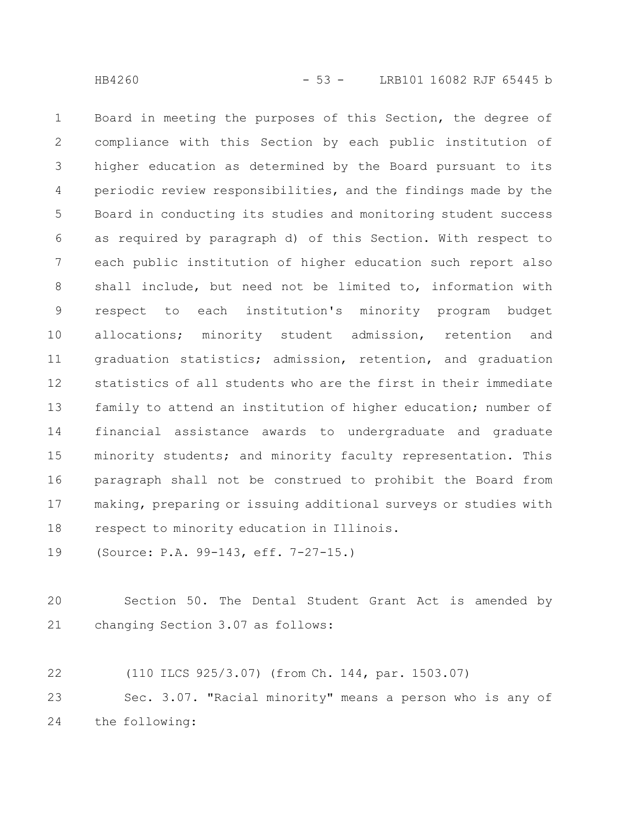Board in meeting the purposes of this Section, the degree of compliance with this Section by each public institution of higher education as determined by the Board pursuant to its periodic review responsibilities, and the findings made by the Board in conducting its studies and monitoring student success as required by paragraph d) of this Section. With respect to each public institution of higher education such report also shall include, but need not be limited to, information with respect to each institution's minority program budget allocations; minority student admission, retention and graduation statistics; admission, retention, and graduation statistics of all students who are the first in their immediate family to attend an institution of higher education; number of financial assistance awards to undergraduate and graduate minority students; and minority faculty representation. This paragraph shall not be construed to prohibit the Board from making, preparing or issuing additional surveys or studies with respect to minority education in Illinois. 1 2 3 4 5 6 7 8 9 10 11 12 13 14 15 16 17 18

(Source: P.A. 99-143, eff. 7-27-15.) 19

Section 50. The Dental Student Grant Act is amended by changing Section 3.07 as follows: 20 21

(110 ILCS 925/3.07) (from Ch. 144, par. 1503.07) Sec. 3.07. "Racial minority" means a person who is any of 22 23

the following: 24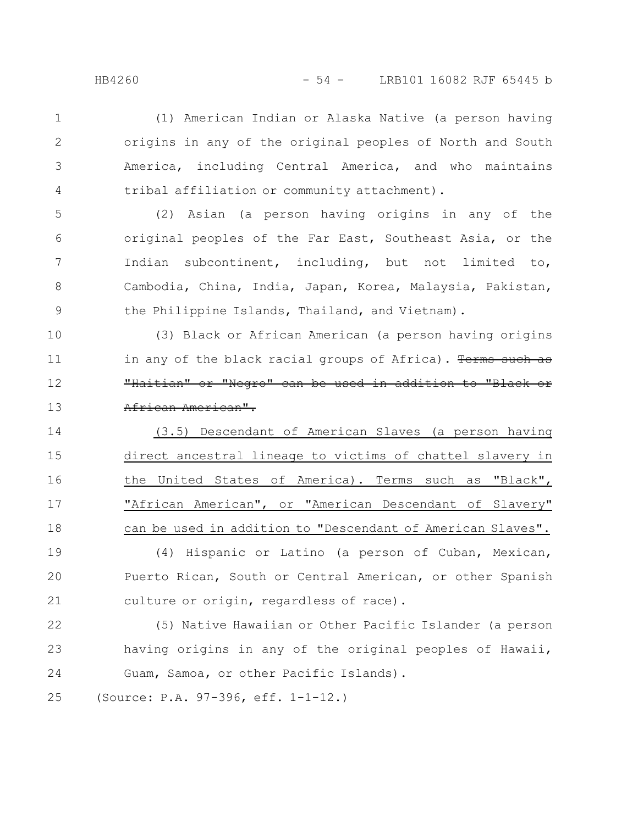1

2

3

4

(1) American Indian or Alaska Native (a person having origins in any of the original peoples of North and South America, including Central America, and who maintains tribal affiliation or community attachment).

(2) Asian (a person having origins in any of the original peoples of the Far East, Southeast Asia, or the Indian subcontinent, including, but not limited to, Cambodia, China, India, Japan, Korea, Malaysia, Pakistan, the Philippine Islands, Thailand, and Vietnam). 5 6 7 8 9

(3) Black or African American (a person having origins in any of the black racial groups of Africa). Terms such as "Haitian" or "Negro" can be used in addition to "Black African American". 10 11 12 13

(3.5) Descendant of American Slaves (a person having direct ancestral lineage to victims of chattel slavery in the United States of America). Terms such as "Black", "African American", or "American Descendant of Slavery" can be used in addition to "Descendant of American Slaves". 14 15 16 17 18

(4) Hispanic or Latino (a person of Cuban, Mexican, Puerto Rican, South or Central American, or other Spanish culture or origin, regardless of race). 19 20 21

(5) Native Hawaiian or Other Pacific Islander (a person having origins in any of the original peoples of Hawaii, Guam, Samoa, or other Pacific Islands). 22 23 24

(Source: P.A. 97-396, eff. 1-1-12.) 25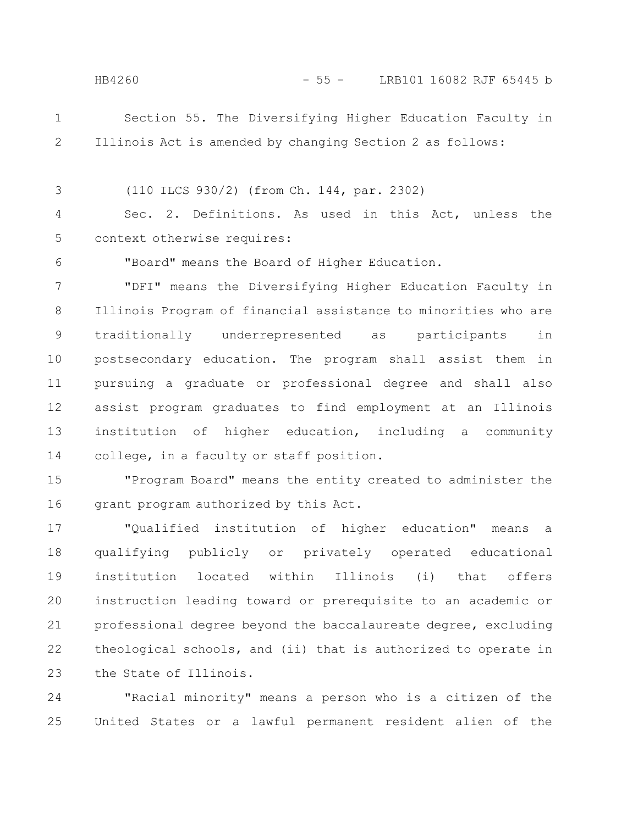6

## HB4260 - 55 - LRB101 16082 RJF 65445 b

Section 55. The Diversifying Higher Education Faculty in Illinois Act is amended by changing Section 2 as follows: 1 2

(110 ILCS 930/2) (from Ch. 144, par. 2302) 3

Sec. 2. Definitions. As used in this Act, unless the context otherwise requires: 4 5

"Board" means the Board of Higher Education.

"DFI" means the Diversifying Higher Education Faculty in Illinois Program of financial assistance to minorities who are traditionally underrepresented as participants in postsecondary education. The program shall assist them in pursuing a graduate or professional degree and shall also assist program graduates to find employment at an Illinois institution of higher education, including a community college, in a faculty or staff position. 7 8 9 10 11 12 13 14

"Program Board" means the entity created to administer the grant program authorized by this Act. 15 16

"Qualified institution of higher education" means a qualifying publicly or privately operated educational institution located within Illinois (i) that offers instruction leading toward or prerequisite to an academic or professional degree beyond the baccalaureate degree, excluding theological schools, and (ii) that is authorized to operate in the State of Illinois. 17 18 19 20 21 22 23

"Racial minority" means a person who is a citizen of the United States or a lawful permanent resident alien of the 24 25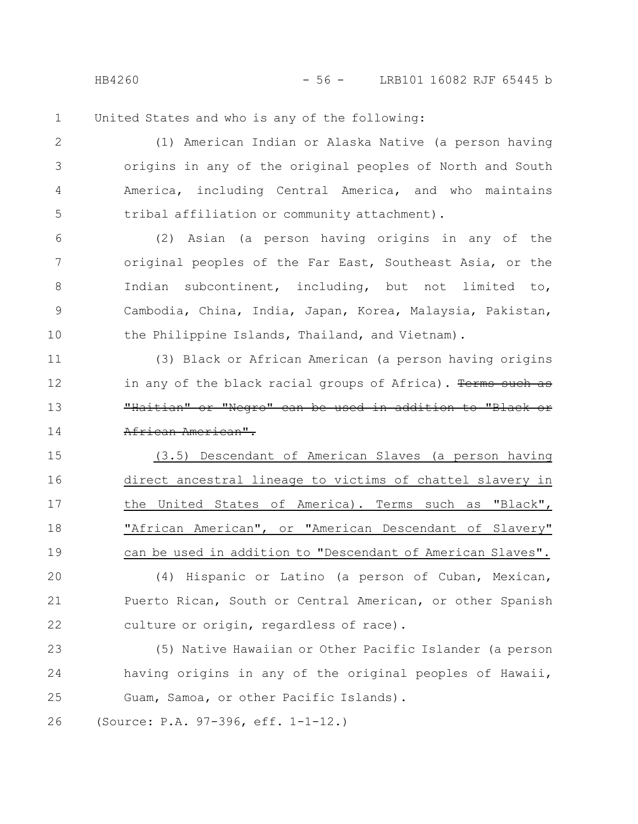HB4260 - 56 - LRB101 16082 RJF 65445 b

United States and who is any of the following: 1

(1) American Indian or Alaska Native (a person having origins in any of the original peoples of North and South America, including Central America, and who maintains tribal affiliation or community attachment). 2 3 4 5

(2) Asian (a person having origins in any of the original peoples of the Far East, Southeast Asia, or the Indian subcontinent, including, but not limited to, Cambodia, China, India, Japan, Korea, Malaysia, Pakistan, the Philippine Islands, Thailand, and Vietnam). 6 7 8 9 10

(3) Black or African American (a person having origins in any of the black racial groups of Africa). Terms such as "Haitian" or "Negro" can be used in addition to "Black African American". 11 12 13 14

(3.5) Descendant of American Slaves (a person having direct ancestral lineage to victims of chattel slavery in the United States of America). Terms such as "Black", "African American", or "American Descendant of Slavery" can be used in addition to "Descendant of American Slaves". 15 16 17 18 19

(4) Hispanic or Latino (a person of Cuban, Mexican, Puerto Rican, South or Central American, or other Spanish culture or origin, regardless of race). 20 21 22

(5) Native Hawaiian or Other Pacific Islander (a person having origins in any of the original peoples of Hawaii, Guam, Samoa, or other Pacific Islands). 23 24 25

(Source: P.A. 97-396, eff. 1-1-12.) 26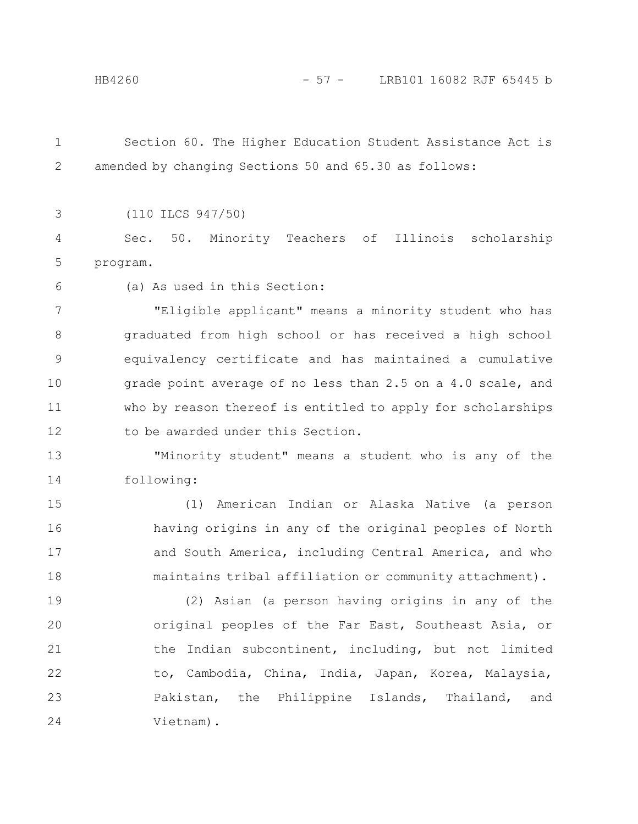Section 60. The Higher Education Student Assistance Act is amended by changing Sections 50 and 65.30 as follows: 1 2

3

(110 ILCS 947/50)

Sec. 50. Minority Teachers of Illinois scholarship program. 4 5

6

(a) As used in this Section:

"Eligible applicant" means a minority student who has graduated from high school or has received a high school equivalency certificate and has maintained a cumulative grade point average of no less than 2.5 on a 4.0 scale, and who by reason thereof is entitled to apply for scholarships to be awarded under this Section. 7 8 9 10 11 12

"Minority student" means a student who is any of the following: 13 14

(1) American Indian or Alaska Native (a person having origins in any of the original peoples of North and South America, including Central America, and who maintains tribal affiliation or community attachment). 15 16 17 18

(2) Asian (a person having origins in any of the original peoples of the Far East, Southeast Asia, or the Indian subcontinent, including, but not limited to, Cambodia, China, India, Japan, Korea, Malaysia, Pakistan, the Philippine Islands, Thailand, and Vietnam). 19 20 21 22 23 24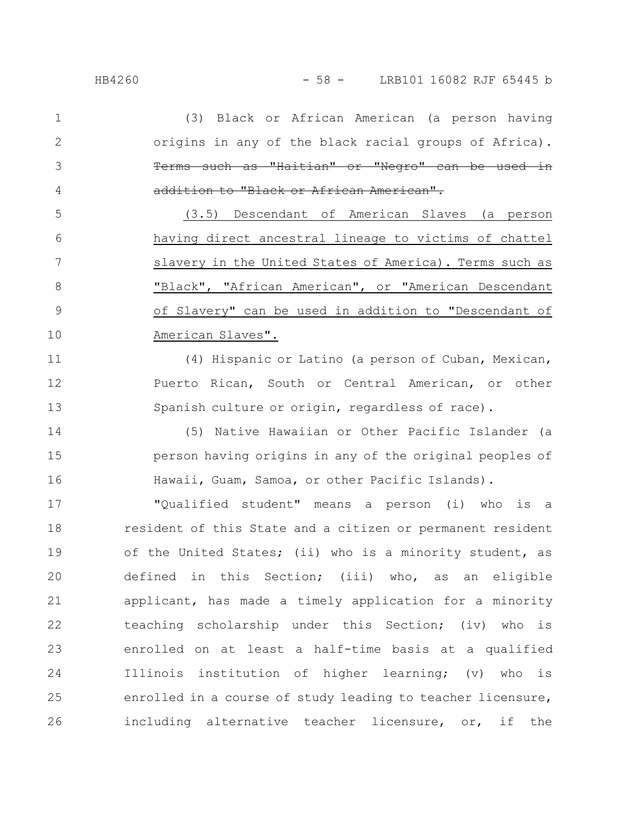(3) Black or African American (a person having origins in any of the black racial groups of Africa). Terms such as "Haitian" or "Negro" can be used addition to "Black or African American". 1 2 3 4

(3.5) Descendant of American Slaves (a person having direct ancestral lineage to victims of chattel slavery in the United States of America). Terms such as "Black", "African American", or "American Descendant of Slavery" can be used in addition to "Descendant of American Slaves". 5 6 7 8 9 10

(4) Hispanic or Latino (a person of Cuban, Mexican, Puerto Rican, South or Central American, or other Spanish culture or origin, regardless of race). 11 12 13

(5) Native Hawaiian or Other Pacific Islander (a person having origins in any of the original peoples of Hawaii, Guam, Samoa, or other Pacific Islands). 14 15 16

"Qualified student" means a person (i) who is a resident of this State and a citizen or permanent resident of the United States; (ii) who is a minority student, as defined in this Section; (iii) who, as an eligible applicant, has made a timely application for a minority teaching scholarship under this Section; (iv) who is enrolled on at least a half-time basis at a qualified Illinois institution of higher learning; (v) who is enrolled in a course of study leading to teacher licensure, including alternative teacher licensure, or, if the 17 18 19 20 21 22 23 24 25 26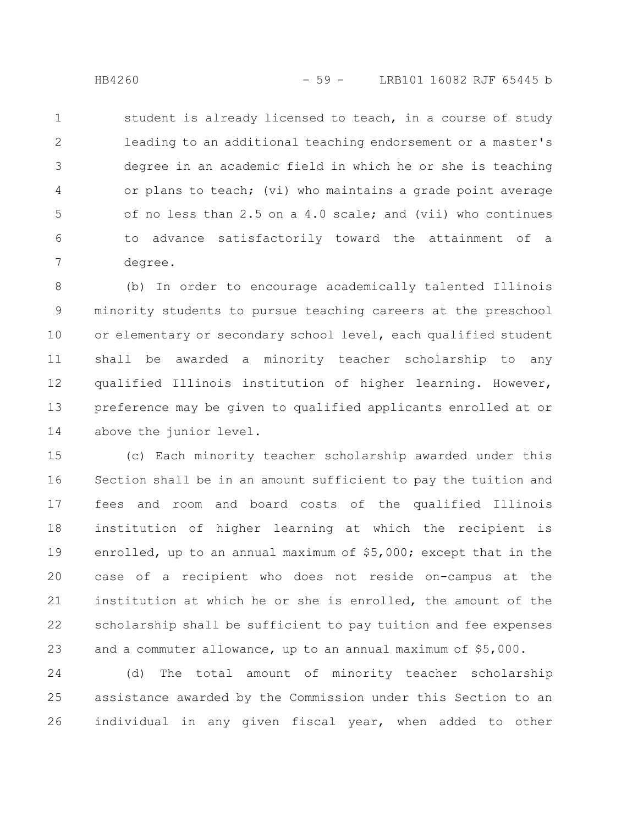student is already licensed to teach, in a course of study leading to an additional teaching endorsement or a master's degree in an academic field in which he or she is teaching or plans to teach; (vi) who maintains a grade point average of no less than 2.5 on a 4.0 scale; and (vii) who continues to advance satisfactorily toward the attainment of a degree. 1 2 3 4 5 6 7

(b) In order to encourage academically talented Illinois minority students to pursue teaching careers at the preschool or elementary or secondary school level, each qualified student shall be awarded a minority teacher scholarship to any qualified Illinois institution of higher learning. However, preference may be given to qualified applicants enrolled at or above the junior level. 8 9 10 11 12 13 14

(c) Each minority teacher scholarship awarded under this Section shall be in an amount sufficient to pay the tuition and fees and room and board costs of the qualified Illinois institution of higher learning at which the recipient is enrolled, up to an annual maximum of \$5,000; except that in the case of a recipient who does not reside on-campus at the institution at which he or she is enrolled, the amount of the scholarship shall be sufficient to pay tuition and fee expenses and a commuter allowance, up to an annual maximum of \$5,000. 15 16 17 18 19 20 21 22 23

(d) The total amount of minority teacher scholarship assistance awarded by the Commission under this Section to an individual in any given fiscal year, when added to other 24 25 26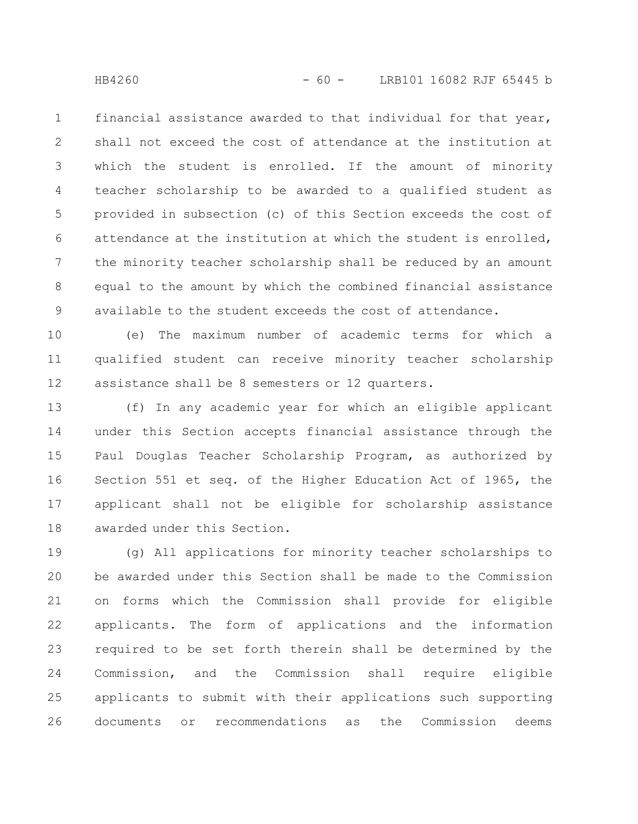financial assistance awarded to that individual for that year, shall not exceed the cost of attendance at the institution at which the student is enrolled. If the amount of minority teacher scholarship to be awarded to a qualified student as provided in subsection (c) of this Section exceeds the cost of attendance at the institution at which the student is enrolled, the minority teacher scholarship shall be reduced by an amount equal to the amount by which the combined financial assistance available to the student exceeds the cost of attendance. 1 2 3 4 5 6 7 8 9

(e) The maximum number of academic terms for which a qualified student can receive minority teacher scholarship assistance shall be 8 semesters or 12 quarters. 10 11 12

(f) In any academic year for which an eligible applicant under this Section accepts financial assistance through the Paul Douglas Teacher Scholarship Program, as authorized by Section 551 et seq. of the Higher Education Act of 1965, the applicant shall not be eligible for scholarship assistance awarded under this Section. 13 14 15 16 17 18

(g) All applications for minority teacher scholarships to be awarded under this Section shall be made to the Commission on forms which the Commission shall provide for eligible applicants. The form of applications and the information required to be set forth therein shall be determined by the Commission, and the Commission shall require eligible applicants to submit with their applications such supporting documents or recommendations as the Commission deems 19 20 21 22 23 24 25 26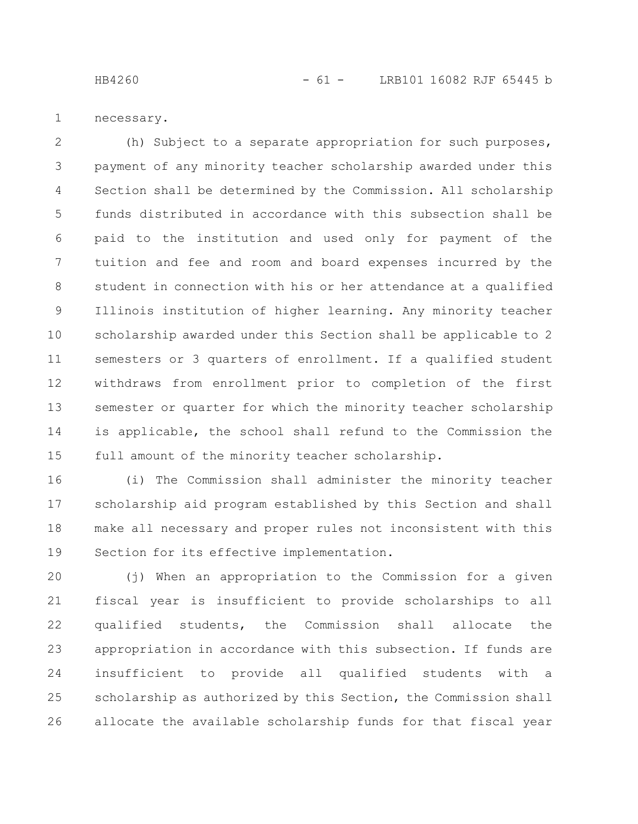HB4260 - 61 - LRB101 16082 RJF 65445 b

necessary. 1

(h) Subject to a separate appropriation for such purposes, payment of any minority teacher scholarship awarded under this Section shall be determined by the Commission. All scholarship funds distributed in accordance with this subsection shall be paid to the institution and used only for payment of the tuition and fee and room and board expenses incurred by the student in connection with his or her attendance at a qualified Illinois institution of higher learning. Any minority teacher scholarship awarded under this Section shall be applicable to 2 semesters or 3 quarters of enrollment. If a qualified student withdraws from enrollment prior to completion of the first semester or quarter for which the minority teacher scholarship is applicable, the school shall refund to the Commission the full amount of the minority teacher scholarship. 2 3 4 5 6 7 8 9 10 11 12 13 14 15

(i) The Commission shall administer the minority teacher scholarship aid program established by this Section and shall make all necessary and proper rules not inconsistent with this Section for its effective implementation. 16 17 18 19

(j) When an appropriation to the Commission for a given fiscal year is insufficient to provide scholarships to all qualified students, the Commission shall allocate the appropriation in accordance with this subsection. If funds are insufficient to provide all qualified students with a scholarship as authorized by this Section, the Commission shall allocate the available scholarship funds for that fiscal year 20 21 22 23 24 25 26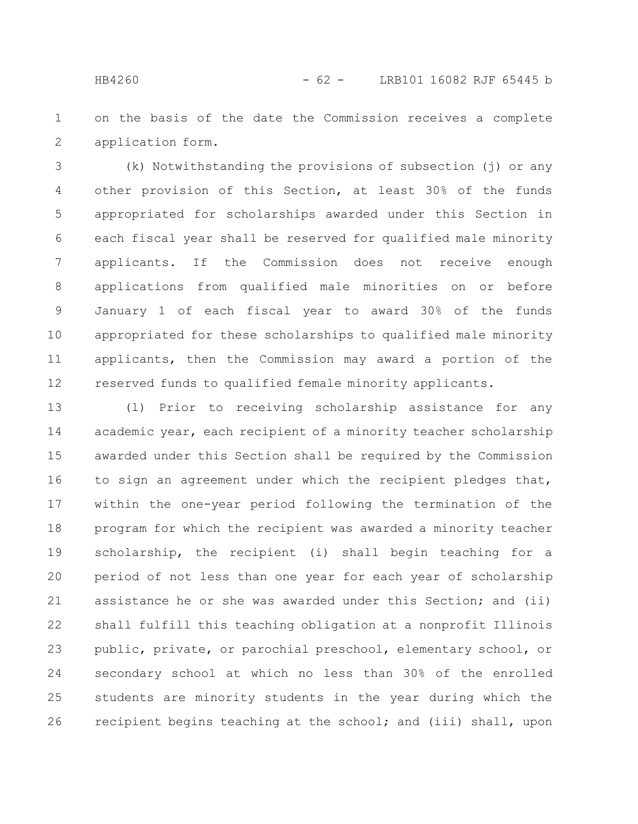on the basis of the date the Commission receives a complete application form. 1 2

(k) Notwithstanding the provisions of subsection (j) or any other provision of this Section, at least 30% of the funds appropriated for scholarships awarded under this Section in each fiscal year shall be reserved for qualified male minority applicants. If the Commission does not receive enough applications from qualified male minorities on or before January 1 of each fiscal year to award 30% of the funds appropriated for these scholarships to qualified male minority applicants, then the Commission may award a portion of the reserved funds to qualified female minority applicants. 3 4 5 6 7 8 9 10 11 12

(l) Prior to receiving scholarship assistance for any academic year, each recipient of a minority teacher scholarship awarded under this Section shall be required by the Commission to sign an agreement under which the recipient pledges that, within the one-year period following the termination of the program for which the recipient was awarded a minority teacher scholarship, the recipient (i) shall begin teaching for a period of not less than one year for each year of scholarship assistance he or she was awarded under this Section; and (ii) shall fulfill this teaching obligation at a nonprofit Illinois public, private, or parochial preschool, elementary school, or secondary school at which no less than 30% of the enrolled students are minority students in the year during which the recipient begins teaching at the school; and (iii) shall, upon 13 14 15 16 17 18 19 20 21 22 23 24 25 26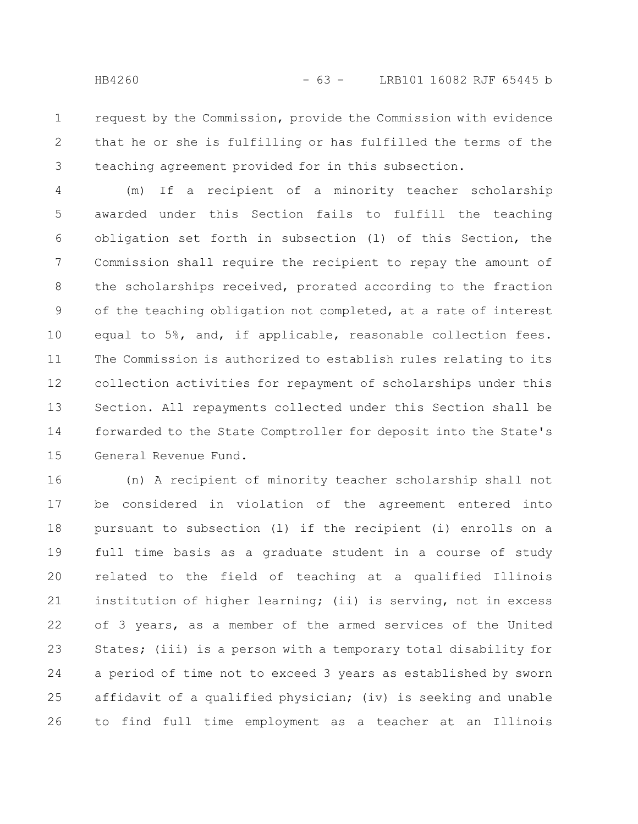request by the Commission, provide the Commission with evidence that he or she is fulfilling or has fulfilled the terms of the teaching agreement provided for in this subsection. 1 2 3

(m) If a recipient of a minority teacher scholarship awarded under this Section fails to fulfill the teaching obligation set forth in subsection (l) of this Section, the Commission shall require the recipient to repay the amount of the scholarships received, prorated according to the fraction of the teaching obligation not completed, at a rate of interest equal to 5%, and, if applicable, reasonable collection fees. The Commission is authorized to establish rules relating to its collection activities for repayment of scholarships under this Section. All repayments collected under this Section shall be forwarded to the State Comptroller for deposit into the State's General Revenue Fund. 4 5 6 7 8 9 10 11 12 13 14 15

(n) A recipient of minority teacher scholarship shall not be considered in violation of the agreement entered into pursuant to subsection (l) if the recipient (i) enrolls on a full time basis as a graduate student in a course of study related to the field of teaching at a qualified Illinois institution of higher learning; (ii) is serving, not in excess of 3 years, as a member of the armed services of the United States; (iii) is a person with a temporary total disability for a period of time not to exceed 3 years as established by sworn affidavit of a qualified physician; (iv) is seeking and unable to find full time employment as a teacher at an Illinois 16 17 18 19 20 21 22 23 24 25 26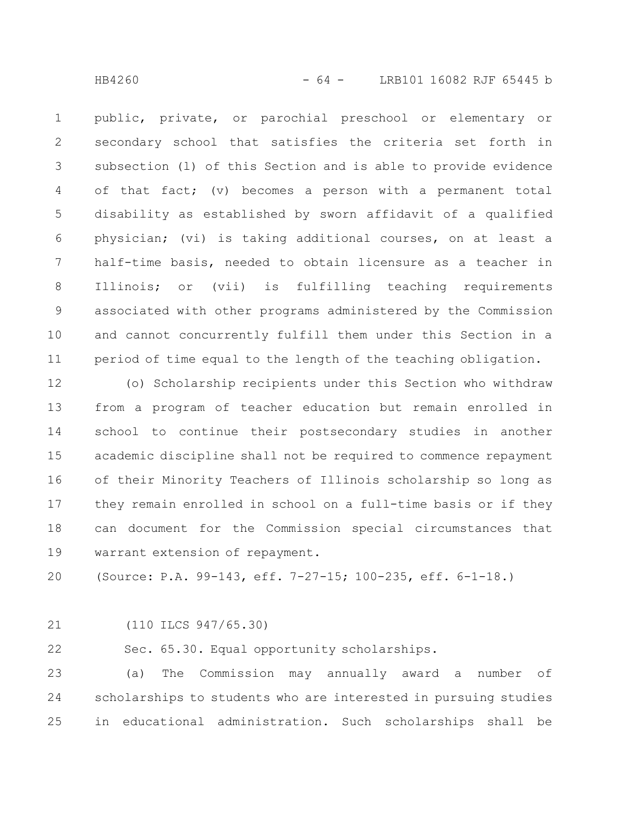public, private, or parochial preschool or elementary or secondary school that satisfies the criteria set forth in subsection (l) of this Section and is able to provide evidence of that fact; (v) becomes a person with a permanent total disability as established by sworn affidavit of a qualified physician; (vi) is taking additional courses, on at least a half-time basis, needed to obtain licensure as a teacher in Illinois; or (vii) is fulfilling teaching requirements associated with other programs administered by the Commission and cannot concurrently fulfill them under this Section in a period of time equal to the length of the teaching obligation. 1 2 3 4 5 6 7 8 9 10 11

(o) Scholarship recipients under this Section who withdraw from a program of teacher education but remain enrolled in school to continue their postsecondary studies in another academic discipline shall not be required to commence repayment of their Minority Teachers of Illinois scholarship so long as they remain enrolled in school on a full-time basis or if they can document for the Commission special circumstances that warrant extension of repayment. 12 13 14 15 16 17 18 19

(Source: P.A. 99-143, eff. 7-27-15; 100-235, eff. 6-1-18.) 20

21

(110 ILCS 947/65.30)

Sec. 65.30. Equal opportunity scholarships. 22

(a) The Commission may annually award a number of scholarships to students who are interested in pursuing studies in educational administration. Such scholarships shall be 23 24 25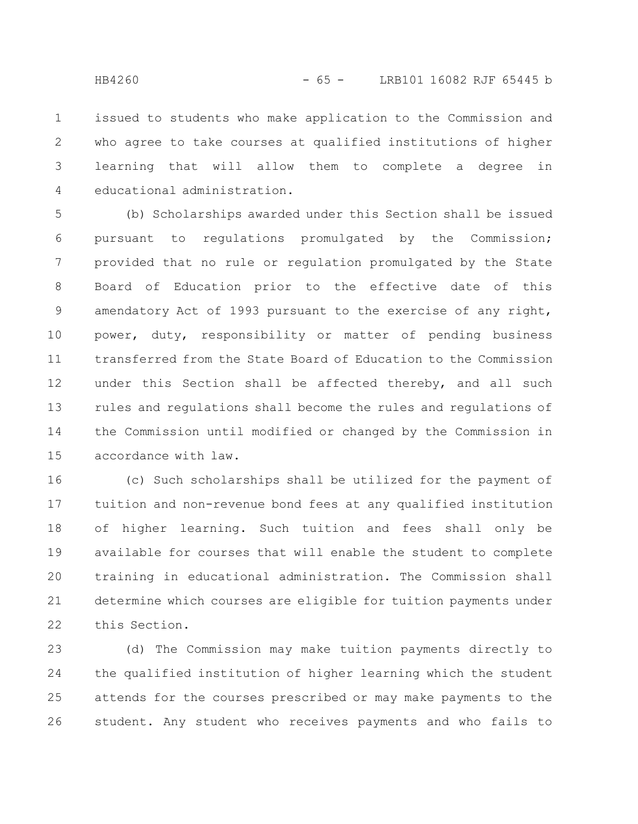issued to students who make application to the Commission and who agree to take courses at qualified institutions of higher learning that will allow them to complete a degree in educational administration. 1 2 3 4

(b) Scholarships awarded under this Section shall be issued pursuant to regulations promulgated by the Commission; provided that no rule or regulation promulgated by the State Board of Education prior to the effective date of this amendatory Act of 1993 pursuant to the exercise of any right, power, duty, responsibility or matter of pending business transferred from the State Board of Education to the Commission under this Section shall be affected thereby, and all such rules and regulations shall become the rules and regulations of the Commission until modified or changed by the Commission in accordance with law. 5 6 7 8 9 10 11 12 13 14 15

(c) Such scholarships shall be utilized for the payment of tuition and non-revenue bond fees at any qualified institution of higher learning. Such tuition and fees shall only be available for courses that will enable the student to complete training in educational administration. The Commission shall determine which courses are eligible for tuition payments under this Section. 16 17 18 19 20 21 22

(d) The Commission may make tuition payments directly to the qualified institution of higher learning which the student attends for the courses prescribed or may make payments to the student. Any student who receives payments and who fails to 23 24 25 26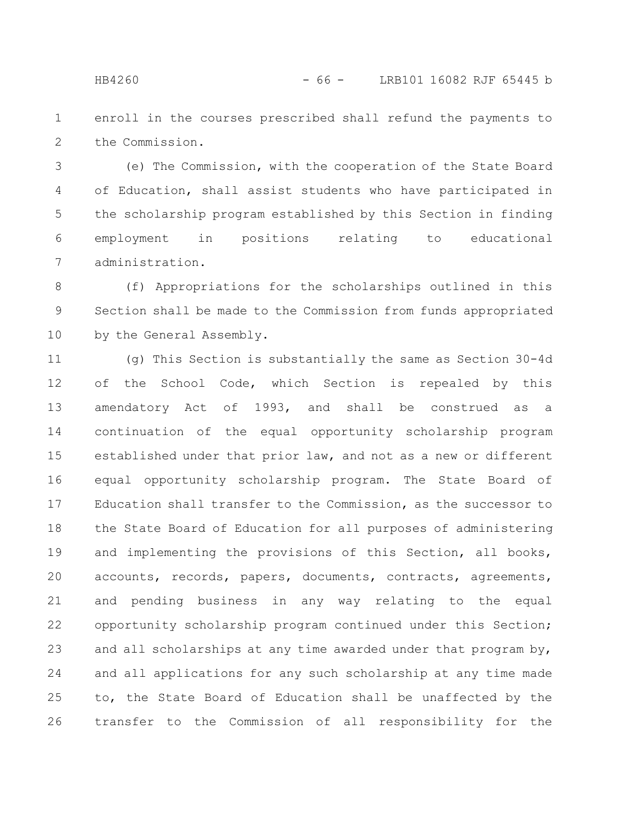enroll in the courses prescribed shall refund the payments to the Commission. 1 2

(e) The Commission, with the cooperation of the State Board of Education, shall assist students who have participated in the scholarship program established by this Section in finding employment in positions relating to educational administration. 3 4 5 6 7

(f) Appropriations for the scholarships outlined in this Section shall be made to the Commission from funds appropriated by the General Assembly. 8 9 10

(g) This Section is substantially the same as Section 30-4d of the School Code, which Section is repealed by this amendatory Act of 1993, and shall be construed as a continuation of the equal opportunity scholarship program established under that prior law, and not as a new or different equal opportunity scholarship program. The State Board of Education shall transfer to the Commission, as the successor to the State Board of Education for all purposes of administering and implementing the provisions of this Section, all books, accounts, records, papers, documents, contracts, agreements, and pending business in any way relating to the equal opportunity scholarship program continued under this Section; and all scholarships at any time awarded under that program by, and all applications for any such scholarship at any time made to, the State Board of Education shall be unaffected by the transfer to the Commission of all responsibility for the 11 12 13 14 15 16 17 18 19 20 21 22 23 24 25 26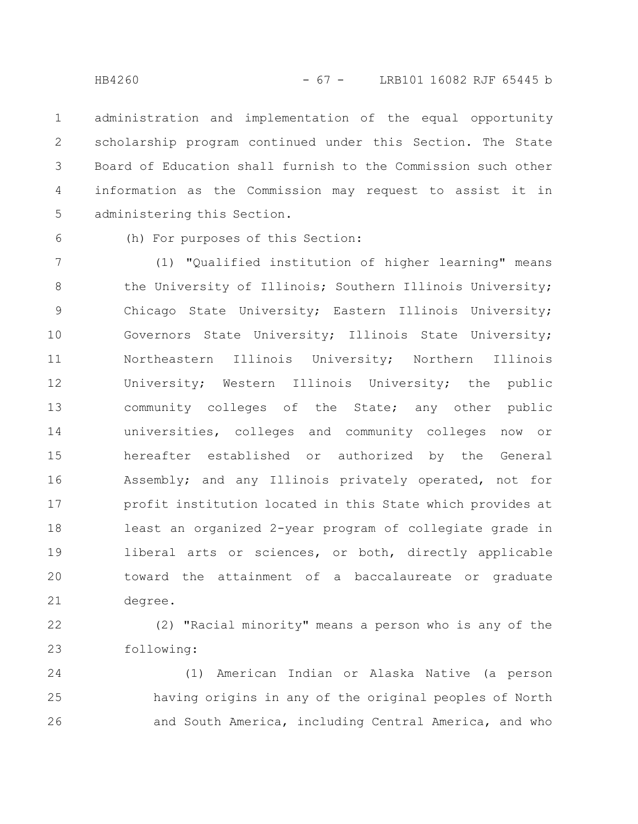administration and implementation of the equal opportunity scholarship program continued under this Section. The State Board of Education shall furnish to the Commission such other information as the Commission may request to assist it in administering this Section. 1 2 3 4 5

6

(h) For purposes of this Section:

(1) "Qualified institution of higher learning" means the University of Illinois; Southern Illinois University; Chicago State University; Eastern Illinois University; Governors State University; Illinois State University; Northeastern Illinois University; Northern Illinois University; Western Illinois University; the public community colleges of the State; any other public universities, colleges and community colleges now or hereafter established or authorized by the General Assembly; and any Illinois privately operated, not for profit institution located in this State which provides at least an organized 2-year program of collegiate grade in liberal arts or sciences, or both, directly applicable toward the attainment of a baccalaureate or graduate degree. 7 8 9 10 11 12 13 14 15 16 17 18 19 20 21

(2) "Racial minority" means a person who is any of the following: 22 23

(1) American Indian or Alaska Native (a person having origins in any of the original peoples of North and South America, including Central America, and who 24 25 26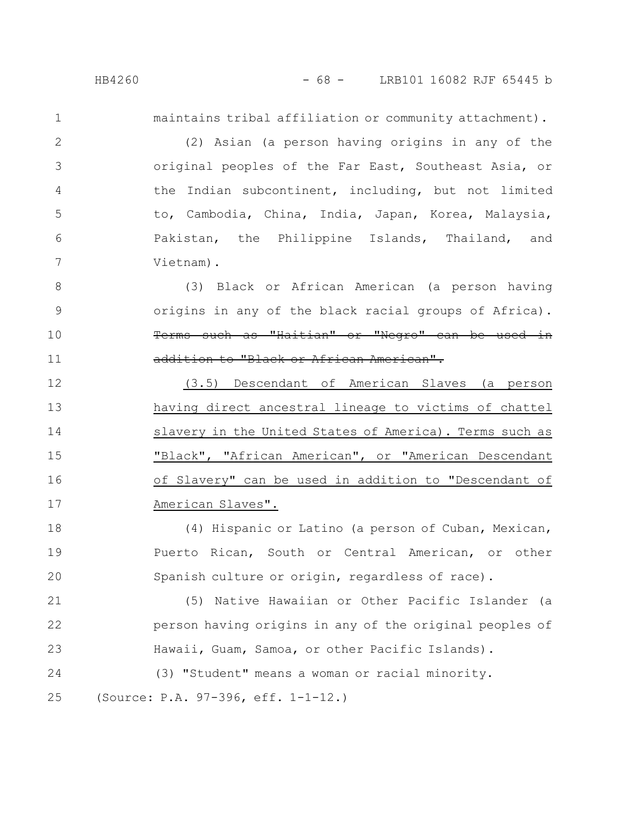1

2

3

4

5

6

7

maintains tribal affiliation or community attachment).

(2) Asian (a person having origins in any of the original peoples of the Far East, Southeast Asia, or the Indian subcontinent, including, but not limited to, Cambodia, China, India, Japan, Korea, Malaysia, Pakistan, the Philippine Islands, Thailand, and Vietnam).

(3) Black or African American (a person having origins in any of the black racial groups of Africa). Terms such as "Haitian" or "Negro" can be used in addition to "Black or African American". 8 9 10 11

(3.5) Descendant of American Slaves (a person having direct ancestral lineage to victims of chattel slavery in the United States of America). Terms such as "Black", "African American", or "American Descendant of Slavery" can be used in addition to "Descendant of American Slaves". 12 13 14 15 16 17

(4) Hispanic or Latino (a person of Cuban, Mexican, Puerto Rican, South or Central American, or other Spanish culture or origin, regardless of race). 18 19 20

(5) Native Hawaiian or Other Pacific Islander (a person having origins in any of the original peoples of Hawaii, Guam, Samoa, or other Pacific Islands). 21 22 23

(3) "Student" means a woman or racial minority. (Source: P.A. 97-396, eff. 1-1-12.) 24 25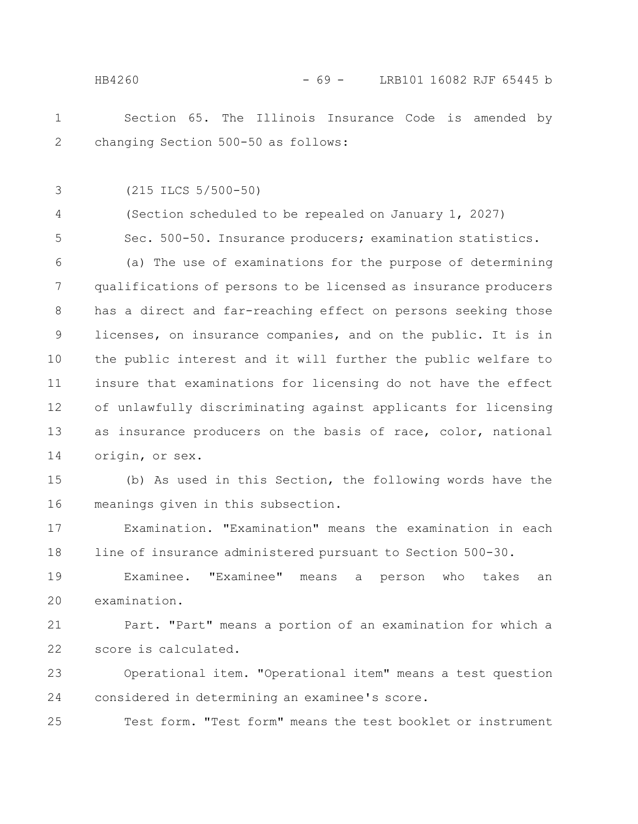Section 65. The Illinois Insurance Code is amended by changing Section 500-50 as follows: 1 2

(215 ILCS 5/500-50) 3

(Section scheduled to be repealed on January 1, 2027) Sec. 500-50. Insurance producers; examination statistics. 4 5

(a) The use of examinations for the purpose of determining qualifications of persons to be licensed as insurance producers has a direct and far-reaching effect on persons seeking those licenses, on insurance companies, and on the public. It is in the public interest and it will further the public welfare to insure that examinations for licensing do not have the effect of unlawfully discriminating against applicants for licensing as insurance producers on the basis of race, color, national origin, or sex. 6 7 8 9 10 11 12 13 14

(b) As used in this Section, the following words have the meanings given in this subsection. 15 16

Examination. "Examination" means the examination in each line of insurance administered pursuant to Section 500-30. 17 18

Examinee. "Examinee" means a person who takes an examination. 19 20

Part. "Part" means a portion of an examination for which a score is calculated. 21 22

Operational item. "Operational item" means a test question considered in determining an examinee's score. 23 24

Test form. "Test form" means the test booklet or instrument 25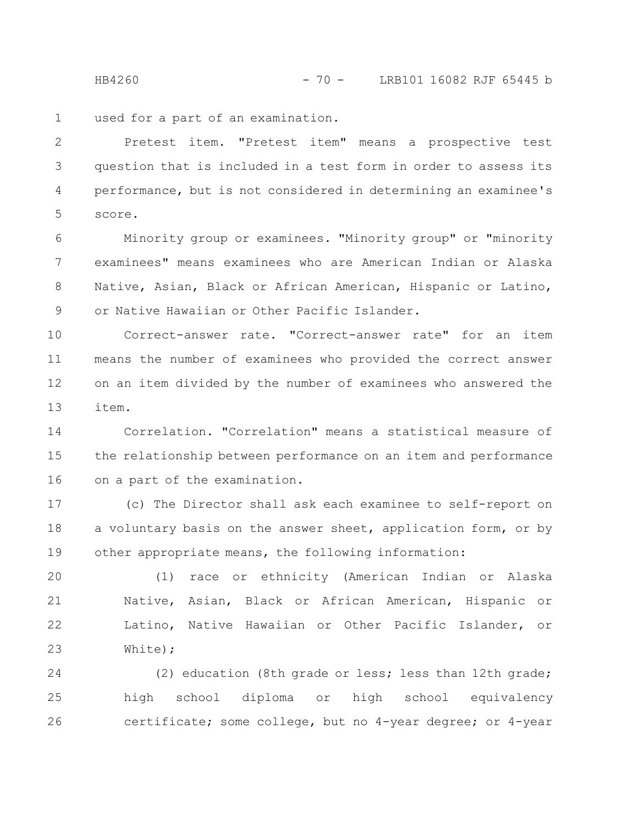HB4260 - 70 - LRB101 16082 RJF 65445 b

used for a part of an examination. 1

Pretest item. "Pretest item" means a prospective test question that is included in a test form in order to assess its performance, but is not considered in determining an examinee's score. 2 3 4 5

Minority group or examinees. "Minority group" or "minority examinees" means examinees who are American Indian or Alaska Native, Asian, Black or African American, Hispanic or Latino, or Native Hawaiian or Other Pacific Islander. 6 7 8 9

Correct-answer rate. "Correct-answer rate" for an item means the number of examinees who provided the correct answer on an item divided by the number of examinees who answered the item. 10 11 12 13

Correlation. "Correlation" means a statistical measure of the relationship between performance on an item and performance on a part of the examination. 14 15 16

(c) The Director shall ask each examinee to self-report on a voluntary basis on the answer sheet, application form, or by other appropriate means, the following information: 17 18 19

(1) race or ethnicity (American Indian or Alaska Native, Asian, Black or African American, Hispanic or Latino, Native Hawaiian or Other Pacific Islander, or White); 20 21 22 23

(2) education (8th grade or less; less than 12th grade; high school diploma or high school equivalency certificate; some college, but no 4-year degree; or 4-year 24 25 26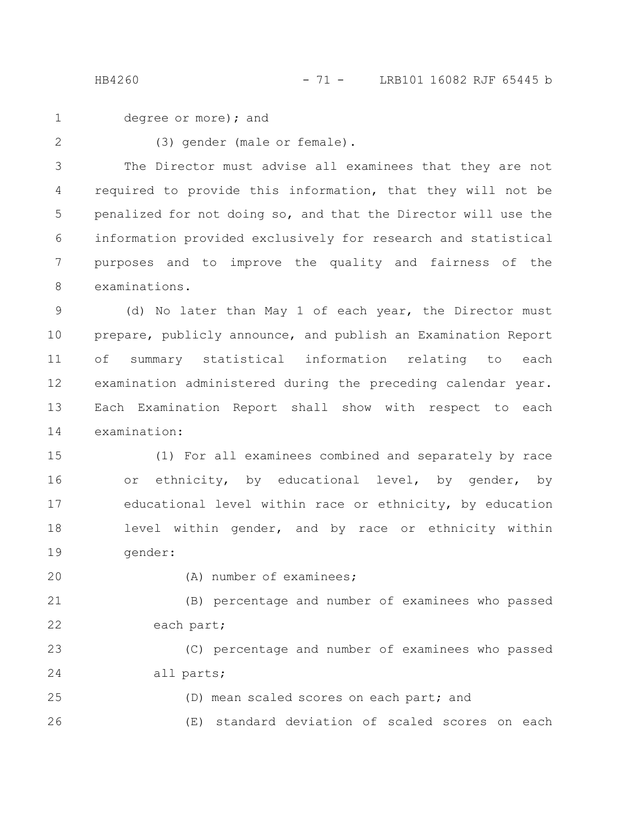degree or more); and 1

2

(3) gender (male or female).

The Director must advise all examinees that they are not required to provide this information, that they will not be penalized for not doing so, and that the Director will use the information provided exclusively for research and statistical purposes and to improve the quality and fairness of the examinations. 3 4 5 6 7 8

(d) No later than May 1 of each year, the Director must prepare, publicly announce, and publish an Examination Report of summary statistical information relating to each examination administered during the preceding calendar year. Each Examination Report shall show with respect to each examination: 9 10 11 12 13 14

(1) For all examinees combined and separately by race or ethnicity, by educational level, by gender, by educational level within race or ethnicity, by education level within gender, and by race or ethnicity within gender: 15 16 17 18 19

20

(A) number of examinees;

(B) percentage and number of examinees who passed each part; 21 22

(C) percentage and number of examinees who passed all parts; 23 24

(D) mean scaled scores on each part; and (E) standard deviation of scaled scores on each 25 26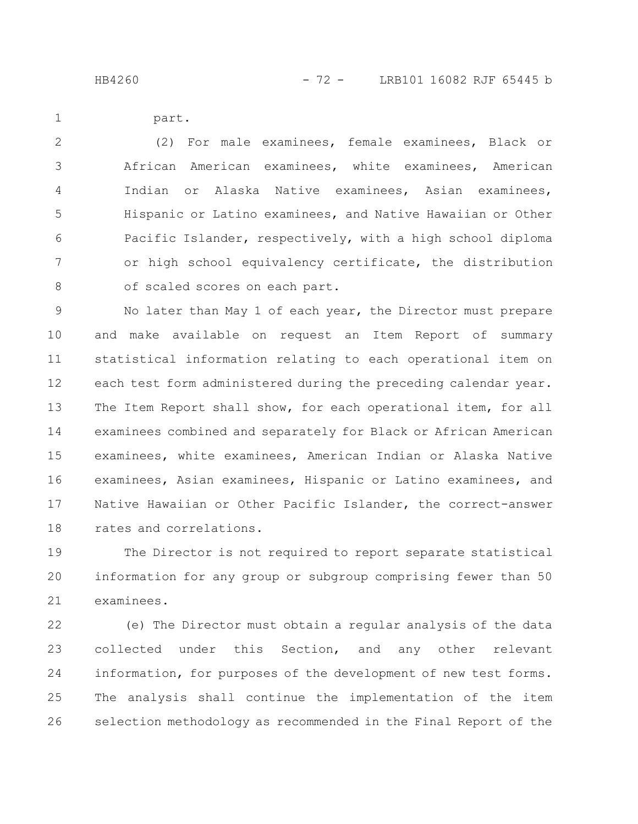part.

1

(2) For male examinees, female examinees, Black or African American examinees, white examinees, American Indian or Alaska Native examinees, Asian examinees, Hispanic or Latino examinees, and Native Hawaiian or Other Pacific Islander, respectively, with a high school diploma or high school equivalency certificate, the distribution of scaled scores on each part. 2 3 4 5 6 7 8

No later than May 1 of each year, the Director must prepare and make available on request an Item Report of summary statistical information relating to each operational item on each test form administered during the preceding calendar year. The Item Report shall show, for each operational item, for all examinees combined and separately for Black or African American examinees, white examinees, American Indian or Alaska Native examinees, Asian examinees, Hispanic or Latino examinees, and Native Hawaiian or Other Pacific Islander, the correct-answer rates and correlations. 9 10 11 12 13 14 15 16 17 18

The Director is not required to report separate statistical information for any group or subgroup comprising fewer than 50 examinees. 19 20 21

(e) The Director must obtain a regular analysis of the data collected under this Section, and any other relevant information, for purposes of the development of new test forms. The analysis shall continue the implementation of the item selection methodology as recommended in the Final Report of the 22 23 24 25 26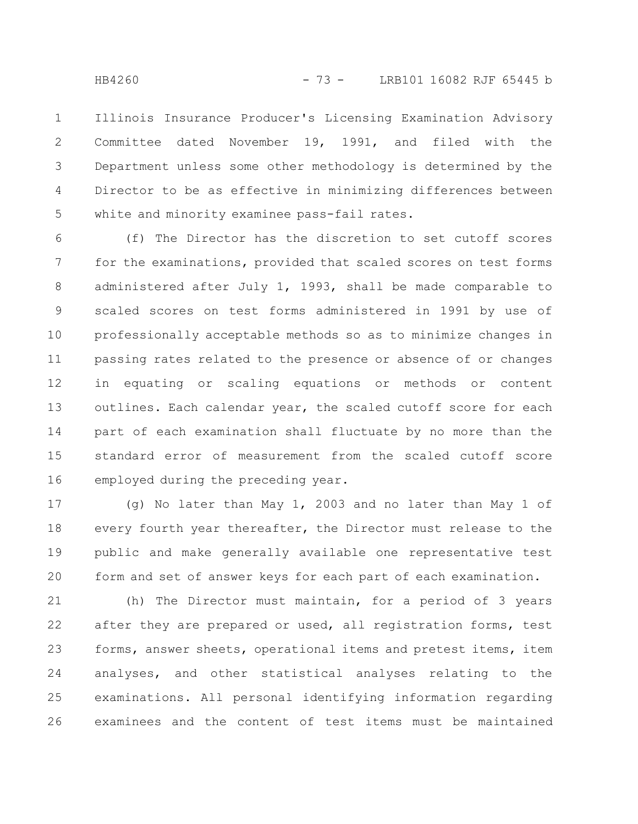Illinois Insurance Producer's Licensing Examination Advisory Committee dated November 19, 1991, and filed with the Department unless some other methodology is determined by the Director to be as effective in minimizing differences between white and minority examinee pass-fail rates. 1 2 3 4 5

(f) The Director has the discretion to set cutoff scores for the examinations, provided that scaled scores on test forms administered after July 1, 1993, shall be made comparable to scaled scores on test forms administered in 1991 by use of professionally acceptable methods so as to minimize changes in passing rates related to the presence or absence of or changes in equating or scaling equations or methods or content outlines. Each calendar year, the scaled cutoff score for each part of each examination shall fluctuate by no more than the standard error of measurement from the scaled cutoff score employed during the preceding year. 6 7 8 9 10 11 12 13 14 15 16

(g) No later than May 1, 2003 and no later than May 1 of every fourth year thereafter, the Director must release to the public and make generally available one representative test form and set of answer keys for each part of each examination. 17 18 19 20

(h) The Director must maintain, for a period of 3 years after they are prepared or used, all registration forms, test forms, answer sheets, operational items and pretest items, item analyses, and other statistical analyses relating to the examinations. All personal identifying information regarding examinees and the content of test items must be maintained 21 22 23 24 25 26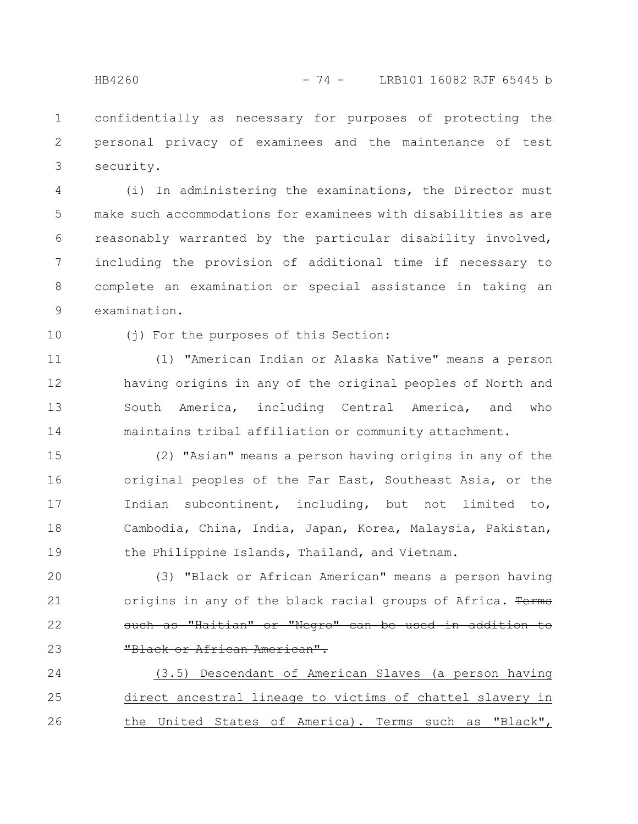confidentially as necessary for purposes of protecting the personal privacy of examinees and the maintenance of test security. 1 2 3

(i) In administering the examinations, the Director must make such accommodations for examinees with disabilities as are reasonably warranted by the particular disability involved, including the provision of additional time if necessary to complete an examination or special assistance in taking an examination. 4 5 6 7 8 9

10

(j) For the purposes of this Section:

(1) "American Indian or Alaska Native" means a person having origins in any of the original peoples of North and South America, including Central America, and who maintains tribal affiliation or community attachment. 11 12 13 14

(2) "Asian" means a person having origins in any of the original peoples of the Far East, Southeast Asia, or the Indian subcontinent, including, but not limited to, Cambodia, China, India, Japan, Korea, Malaysia, Pakistan, the Philippine Islands, Thailand, and Vietnam. 15 16 17 18 19

(3) "Black or African American" means a person having origins in any of the black racial groups of Africa. Terms such as "Haitian" or "Negro" can be used in addition to "Black or African American". 20 21 22 23

(3.5) Descendant of American Slaves (a person having direct ancestral lineage to victims of chattel slavery in the United States of America). Terms such as "Black", 24 25 26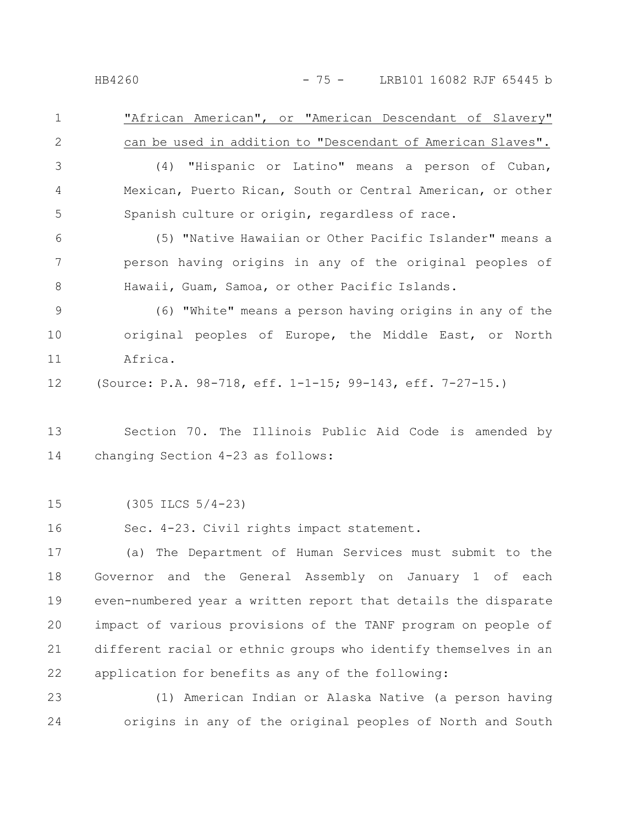"African American", or "American Descendant of Slavery" can be used in addition to "Descendant of American Slaves". (4) "Hispanic or Latino" means a person of Cuban, Mexican, Puerto Rican, South or Central American, or other Spanish culture or origin, regardless of race. (5) "Native Hawaiian or Other Pacific Islander" means a person having origins in any of the original peoples of 1 2 3 4 5 6 7

(6) "White" means a person having origins in any of the original peoples of Europe, the Middle East, or North Africa. 9 10 11

Hawaii, Guam, Samoa, or other Pacific Islands.

(Source: P.A. 98-718, eff. 1-1-15; 99-143, eff. 7-27-15.) 12

Section 70. The Illinois Public Aid Code is amended by changing Section 4-23 as follows: 13 14

(305 ILCS 5/4-23) 15

Sec. 4-23. Civil rights impact statement. 16

(a) The Department of Human Services must submit to the Governor and the General Assembly on January 1 of each even-numbered year a written report that details the disparate impact of various provisions of the TANF program on people of different racial or ethnic groups who identify themselves in an application for benefits as any of the following: 17 18 19 20 21 22

(1) American Indian or Alaska Native (a person having origins in any of the original peoples of North and South 23 24

8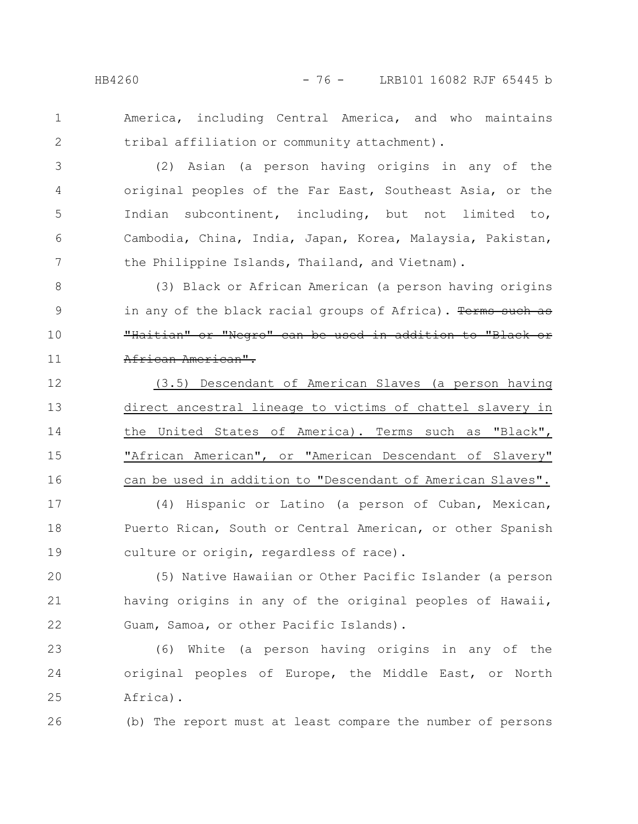2

America, including Central America, and who maintains tribal affiliation or community attachment).

(2) Asian (a person having origins in any of the original peoples of the Far East, Southeast Asia, or the Indian subcontinent, including, but not limited to, Cambodia, China, India, Japan, Korea, Malaysia, Pakistan, the Philippine Islands, Thailand, and Vietnam). 3 4 5 6 7

(3) Black or African American (a person having origins in any of the black racial groups of Africa). Terms such as "Haitian" or "Negro" can be used in addition to "Black or African American". 8 9 10 11

(3.5) Descendant of American Slaves (a person having direct ancestral lineage to victims of chattel slavery in the United States of America). Terms such as "Black", "African American", or "American Descendant of Slavery" can be used in addition to "Descendant of American Slaves". 12 13 14 15 16

(4) Hispanic or Latino (a person of Cuban, Mexican, Puerto Rican, South or Central American, or other Spanish culture or origin, regardless of race). 17 18 19

(5) Native Hawaiian or Other Pacific Islander (a person having origins in any of the original peoples of Hawaii, Guam, Samoa, or other Pacific Islands). 20 21 22

(6) White (a person having origins in any of the original peoples of Europe, the Middle East, or North Africa). 23 24 25

(b) The report must at least compare the number of persons 26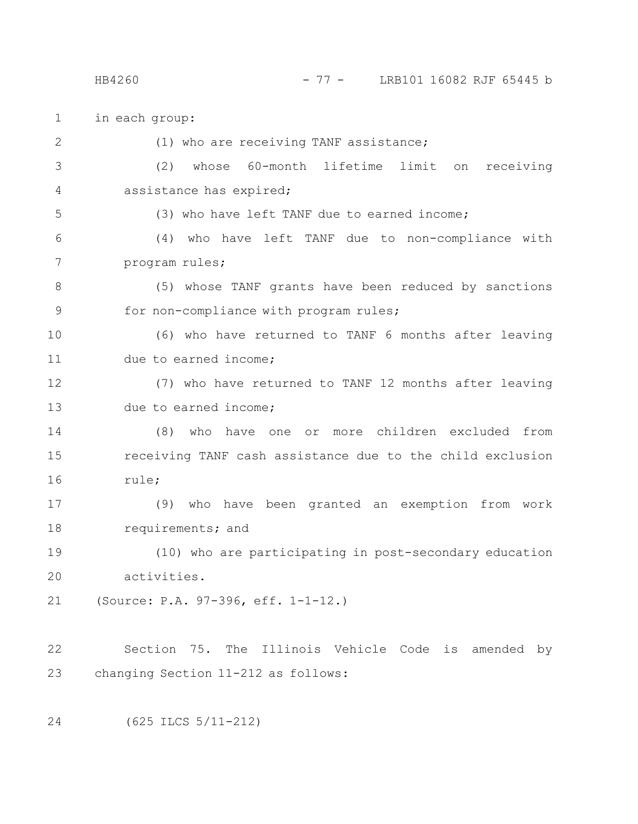## HB4260 - 77 - LRB101 16082 RJF 65445 b

in each group: (1) who are receiving TANF assistance; (2) whose 60-month lifetime limit on receiving assistance has expired; (3) who have left TANF due to earned income; (4) who have left TANF due to non-compliance with program rules; (5) whose TANF grants have been reduced by sanctions for non-compliance with program rules; (6) who have returned to TANF 6 months after leaving due to earned income; (7) who have returned to TANF 12 months after leaving due to earned income; (8) who have one or more children excluded from receiving TANF cash assistance due to the child exclusion rule; (9) who have been granted an exemption from work requirements; and (10) who are participating in post-secondary education activities. (Source: P.A. 97-396, eff. 1-1-12.) Section 75. The Illinois Vehicle Code is amended by changing Section 11-212 as follows: (625 ILCS 5/11-212) 1 2 3 4 5 6 7 8 9 10 11 12 13 14 15 16 17 18 19 20 21 22 23 24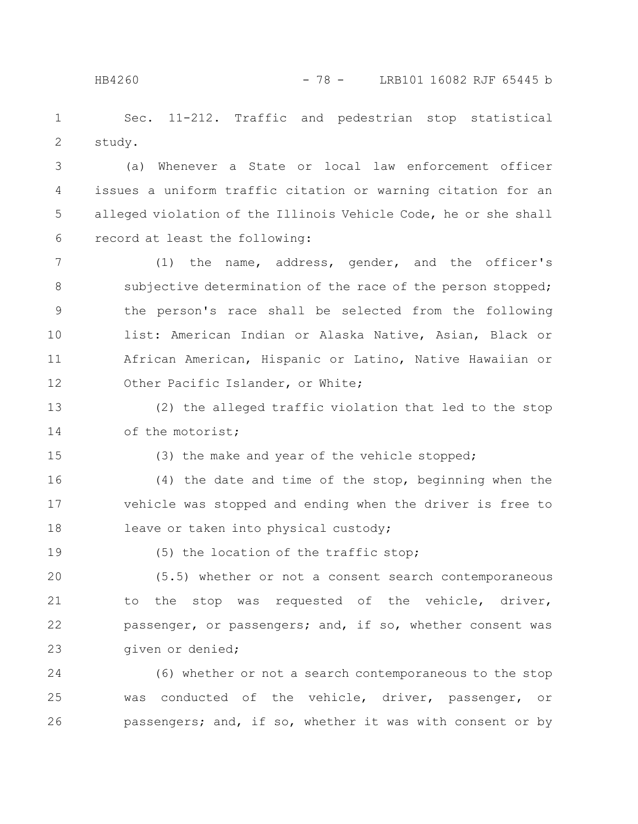Sec. 11-212. Traffic and pedestrian stop statistical study. 1 2

(a) Whenever a State or local law enforcement officer issues a uniform traffic citation or warning citation for an alleged violation of the Illinois Vehicle Code, he or she shall record at least the following: 3 4 5 6

(1) the name, address, gender, and the officer's subjective determination of the race of the person stopped; the person's race shall be selected from the following list: American Indian or Alaska Native, Asian, Black or African American, Hispanic or Latino, Native Hawaiian or Other Pacific Islander, or White; 7 8 9 10 11 12

(2) the alleged traffic violation that led to the stop of the motorist; 13 14

15

(3) the make and year of the vehicle stopped;

(4) the date and time of the stop, beginning when the vehicle was stopped and ending when the driver is free to leave or taken into physical custody; 16 17 18

19

(5) the location of the traffic stop;

(5.5) whether or not a consent search contemporaneous to the stop was requested of the vehicle, driver, passenger, or passengers; and, if so, whether consent was given or denied; 20 21 22 23

(6) whether or not a search contemporaneous to the stop was conducted of the vehicle, driver, passenger, or passengers; and, if so, whether it was with consent or by 24 25 26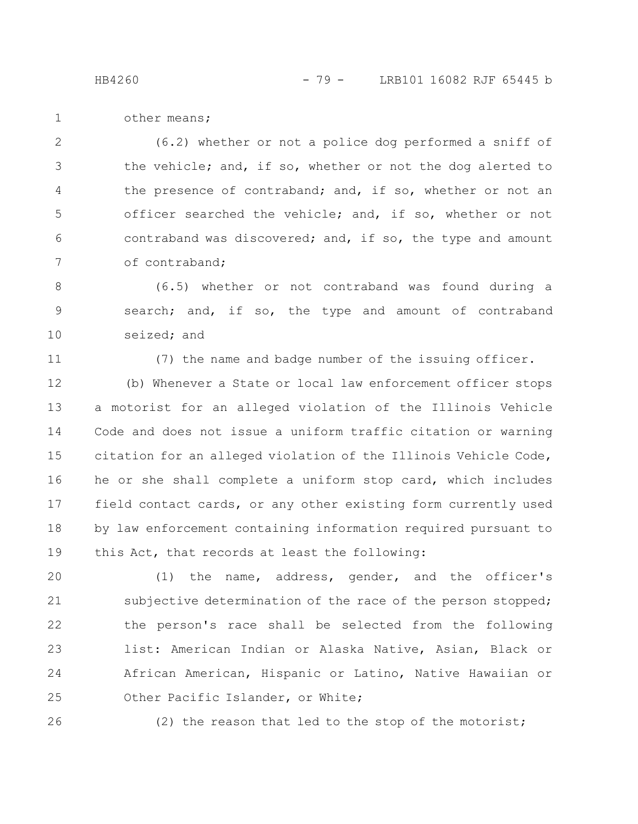other means; 1

(6.2) whether or not a police dog performed a sniff of the vehicle; and, if so, whether or not the dog alerted to the presence of contraband; and, if so, whether or not an officer searched the vehicle; and, if so, whether or not contraband was discovered; and, if so, the type and amount of contraband; 2 3 4 5 6 7

(6.5) whether or not contraband was found during a search; and, if so, the type and amount of contraband seized; and 8 9 10

11

(7) the name and badge number of the issuing officer.

(b) Whenever a State or local law enforcement officer stops a motorist for an alleged violation of the Illinois Vehicle Code and does not issue a uniform traffic citation or warning citation for an alleged violation of the Illinois Vehicle Code, he or she shall complete a uniform stop card, which includes field contact cards, or any other existing form currently used by law enforcement containing information required pursuant to this Act, that records at least the following: 12 13 14 15 16 17 18 19

(1) the name, address, gender, and the officer's subjective determination of the race of the person stopped; the person's race shall be selected from the following list: American Indian or Alaska Native, Asian, Black or African American, Hispanic or Latino, Native Hawaiian or Other Pacific Islander, or White; 20 21 22 23 24 25

26

(2) the reason that led to the stop of the motorist;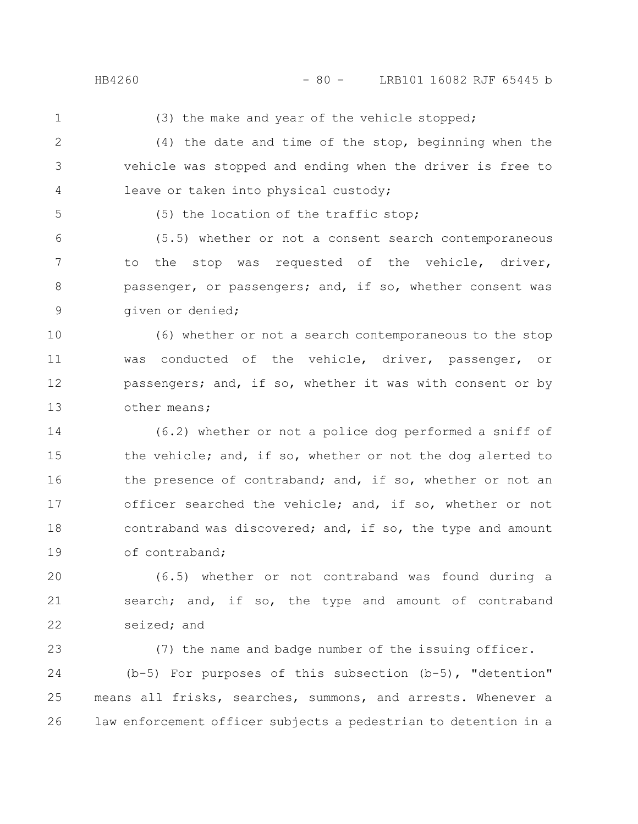(3) the make and year of the vehicle stopped;

- (4) the date and time of the stop, beginning when the vehicle was stopped and ending when the driver is free to leave or taken into physical custody; 2 3 4
- 5

(5) the location of the traffic stop;

(5.5) whether or not a consent search contemporaneous to the stop was requested of the vehicle, driver, passenger, or passengers; and, if so, whether consent was given or denied; 6 7 8 9

(6) whether or not a search contemporaneous to the stop was conducted of the vehicle, driver, passenger, or passengers; and, if so, whether it was with consent or by other means; 10 11 12 13

(6.2) whether or not a police dog performed a sniff of the vehicle; and, if so, whether or not the dog alerted to the presence of contraband; and, if so, whether or not an officer searched the vehicle; and, if so, whether or not contraband was discovered; and, if so, the type and amount of contraband; 14 15 16 17 18 19

(6.5) whether or not contraband was found during a search; and, if so, the type and amount of contraband seized; and 20 21 22

(7) the name and badge number of the issuing officer. (b-5) For purposes of this subsection (b-5), "detention" means all frisks, searches, summons, and arrests. Whenever a law enforcement officer subjects a pedestrian to detention in a 23 24 25 26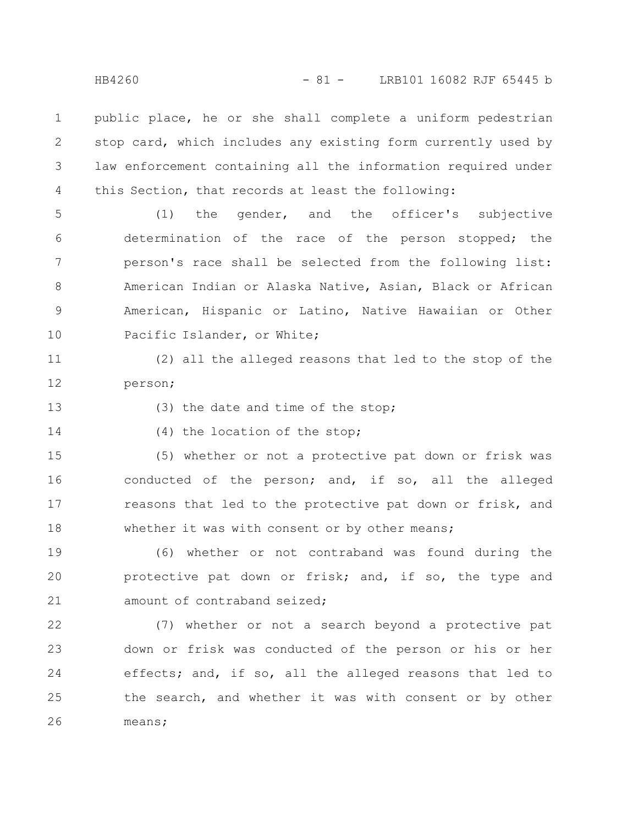public place, he or she shall complete a uniform pedestrian stop card, which includes any existing form currently used by law enforcement containing all the information required under this Section, that records at least the following: 1 2 3 4

(1) the gender, and the officer's subjective determination of the race of the person stopped; the person's race shall be selected from the following list: American Indian or Alaska Native, Asian, Black or African American, Hispanic or Latino, Native Hawaiian or Other Pacific Islander, or White; 5 6 7 8 9 10

(2) all the alleged reasons that led to the stop of the person; 11 12

13

(3) the date and time of the stop;

14

(4) the location of the stop;

(5) whether or not a protective pat down or frisk was conducted of the person; and, if so, all the alleged reasons that led to the protective pat down or frisk, and whether it was with consent or by other means; 15 16 17 18

(6) whether or not contraband was found during the protective pat down or frisk; and, if so, the type and amount of contraband seized; 19 20 21

(7) whether or not a search beyond a protective pat down or frisk was conducted of the person or his or her effects; and, if so, all the alleged reasons that led to the search, and whether it was with consent or by other means; 22 23 24 25 26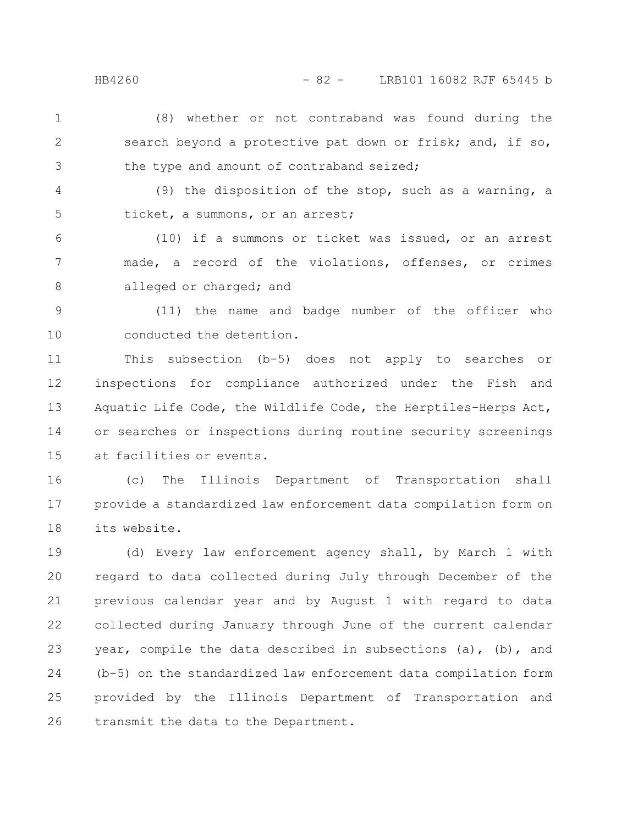(8) whether or not contraband was found during the search beyond a protective pat down or frisk; and, if so, the type and amount of contraband seized; 1 2 3

(9) the disposition of the stop, such as a warning, a ticket, a summons, or an arrest; 4 5

(10) if a summons or ticket was issued, or an arrest made, a record of the violations, offenses, or crimes alleged or charged; and 6 7 8

(11) the name and badge number of the officer who conducted the detention. 9 10

This subsection (b-5) does not apply to searches or inspections for compliance authorized under the Fish and Aquatic Life Code, the Wildlife Code, the Herptiles-Herps Act, or searches or inspections during routine security screenings at facilities or events. 11 12 13 14 15

(c) The Illinois Department of Transportation shall provide a standardized law enforcement data compilation form on its website. 16 17 18

(d) Every law enforcement agency shall, by March 1 with regard to data collected during July through December of the previous calendar year and by August 1 with regard to data collected during January through June of the current calendar year, compile the data described in subsections (a), (b), and (b-5) on the standardized law enforcement data compilation form provided by the Illinois Department of Transportation and transmit the data to the Department. 19 20 21 22 23 24 25 26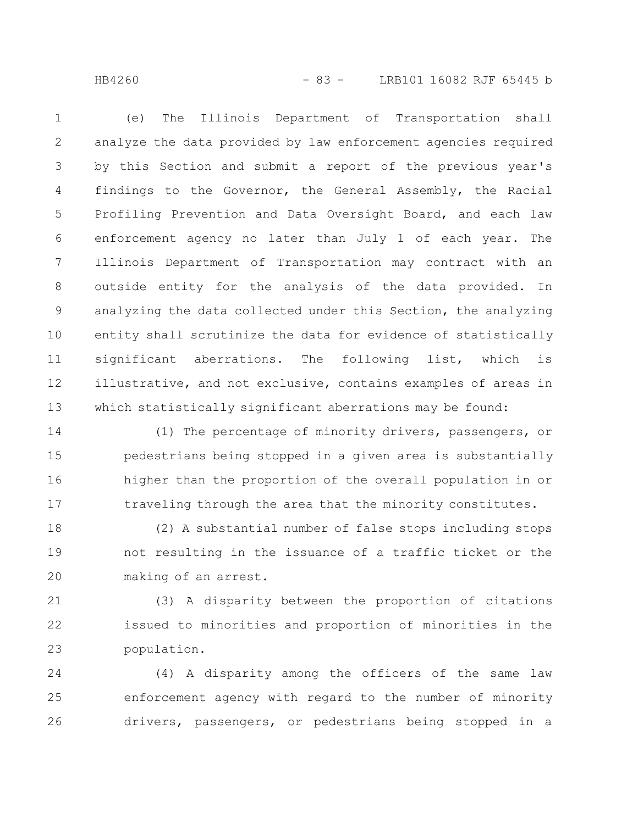## HB4260 - 83 - LRB101 16082 RJF 65445 b

(e) The Illinois Department of Transportation shall analyze the data provided by law enforcement agencies required by this Section and submit a report of the previous year's findings to the Governor, the General Assembly, the Racial Profiling Prevention and Data Oversight Board, and each law enforcement agency no later than July 1 of each year. The Illinois Department of Transportation may contract with an outside entity for the analysis of the data provided. In analyzing the data collected under this Section, the analyzing entity shall scrutinize the data for evidence of statistically significant aberrations. The following list, which is illustrative, and not exclusive, contains examples of areas in which statistically significant aberrations may be found: 1 2 3 4 5 6 7 8 9 10 11 12 13

(1) The percentage of minority drivers, passengers, or pedestrians being stopped in a given area is substantially higher than the proportion of the overall population in or traveling through the area that the minority constitutes. 14 15 16 17

(2) A substantial number of false stops including stops not resulting in the issuance of a traffic ticket or the making of an arrest. 18 19 20

(3) A disparity between the proportion of citations issued to minorities and proportion of minorities in the population. 21 22 23

(4) A disparity among the officers of the same law enforcement agency with regard to the number of minority drivers, passengers, or pedestrians being stopped in a 24 25 26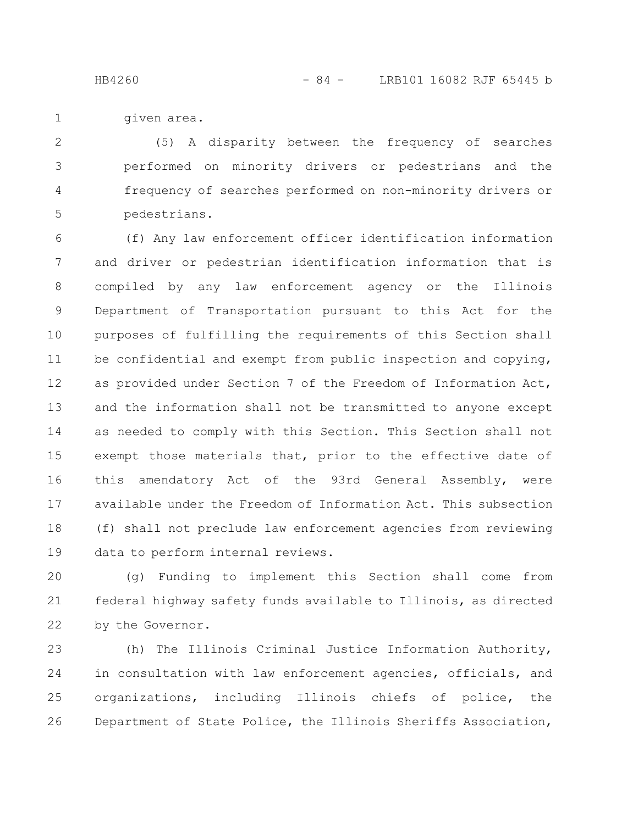given area. 1

(5) A disparity between the frequency of searches performed on minority drivers or pedestrians and the frequency of searches performed on non-minority drivers or pedestrians. 2 3 4 5

(f) Any law enforcement officer identification information and driver or pedestrian identification information that is compiled by any law enforcement agency or the Illinois Department of Transportation pursuant to this Act for the purposes of fulfilling the requirements of this Section shall be confidential and exempt from public inspection and copying, as provided under Section 7 of the Freedom of Information Act, and the information shall not be transmitted to anyone except as needed to comply with this Section. This Section shall not exempt those materials that, prior to the effective date of this amendatory Act of the 93rd General Assembly, were available under the Freedom of Information Act. This subsection (f) shall not preclude law enforcement agencies from reviewing data to perform internal reviews. 6 7 8 9 10 11 12 13 14 15 16 17 18 19

(g) Funding to implement this Section shall come from federal highway safety funds available to Illinois, as directed by the Governor. 20 21 22

(h) The Illinois Criminal Justice Information Authority, in consultation with law enforcement agencies, officials, and organizations, including Illinois chiefs of police, the Department of State Police, the Illinois Sheriffs Association, 23 24 25 26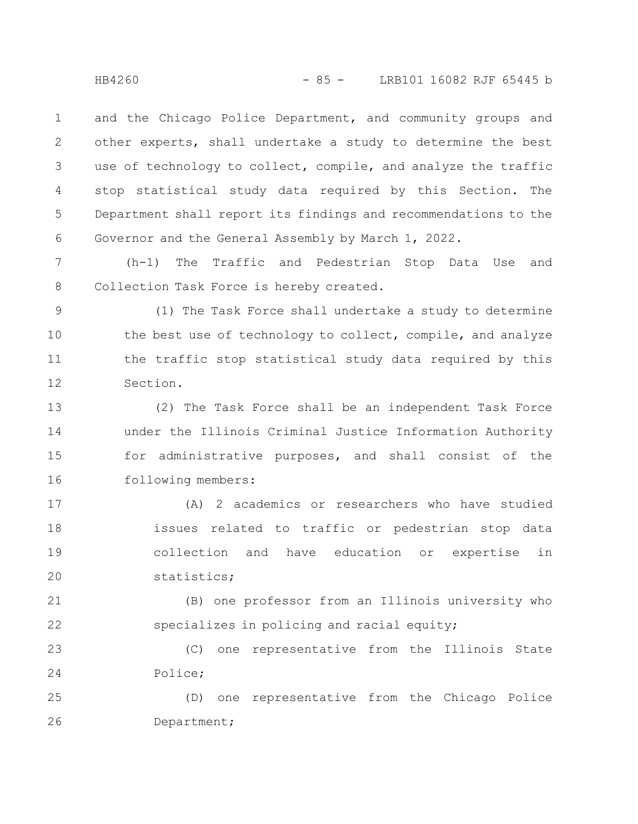and the Chicago Police Department, and community groups and other experts, shall undertake a study to determine the best use of technology to collect, compile, and analyze the traffic stop statistical study data required by this Section. The Department shall report its findings and recommendations to the Governor and the General Assembly by March 1, 2022. 1 2 3 4 5 6

(h-1) The Traffic and Pedestrian Stop Data Use and Collection Task Force is hereby created. 7 8

(1) The Task Force shall undertake a study to determine the best use of technology to collect, compile, and analyze the traffic stop statistical study data required by this Section. 9 10 11 12

(2) The Task Force shall be an independent Task Force under the Illinois Criminal Justice Information Authority for administrative purposes, and shall consist of the following members: 13 14 15 16

(A) 2 academics or researchers who have studied issues related to traffic or pedestrian stop data collection and have education or expertise in statistics; 17 18 19 20

(B) one professor from an Illinois university who specializes in policing and racial equity; 21 22

(C) one representative from the Illinois State Police; 23 24

(D) one representative from the Chicago Police Department; 25 26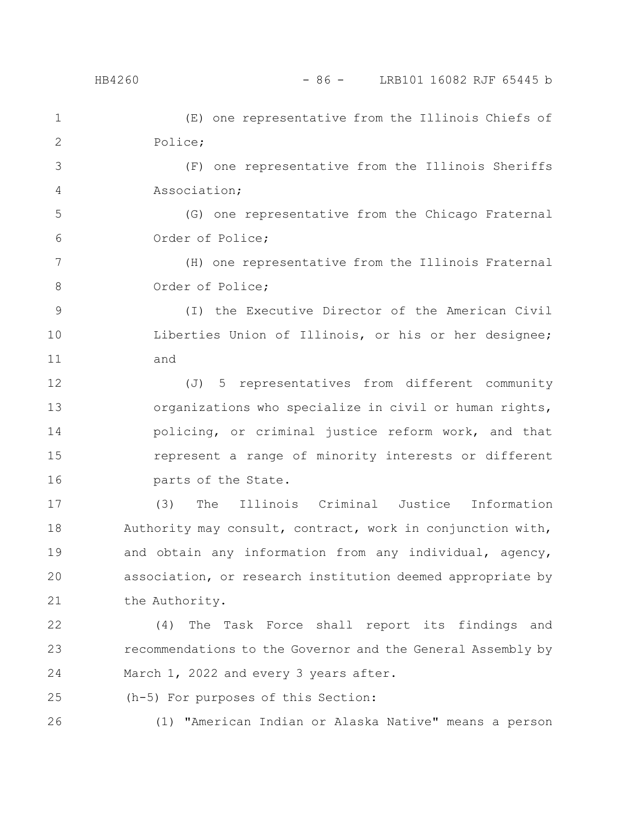(E) one representative from the Illinois Chiefs of Police; 1 2

(F) one representative from the Illinois Sheriffs Association; 3 4

(G) one representative from the Chicago Fraternal Order of Police; 5 6

(H) one representative from the Illinois Fraternal Order of Police; 7 8

(I) the Executive Director of the American Civil Liberties Union of Illinois, or his or her designee; and 9 10 11

(J) 5 representatives from different community organizations who specialize in civil or human rights, policing, or criminal justice reform work, and that represent a range of minority interests or different parts of the State. 12 13 14 15 16

(3) The Illinois Criminal Justice Information Authority may consult, contract, work in conjunction with, and obtain any information from any individual, agency, association, or research institution deemed appropriate by the Authority. 17 18 19 20 21

(4) The Task Force shall report its findings and recommendations to the Governor and the General Assembly by March 1, 2022 and every 3 years after. 22 23 24

(h-5) For purposes of this Section: 25

26

(1) "American Indian or Alaska Native" means a person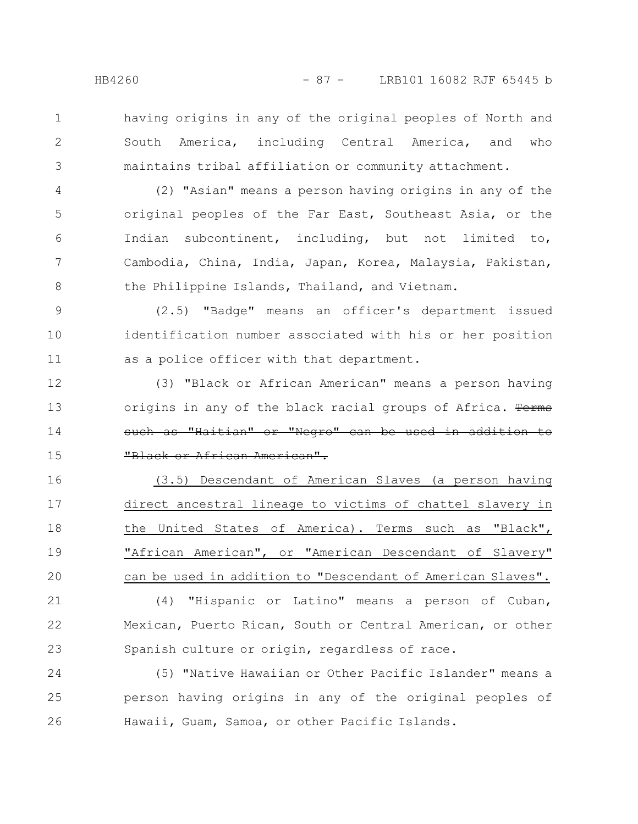3

1

having origins in any of the original peoples of North and South America, including Central America, and who maintains tribal affiliation or community attachment.

(2) "Asian" means a person having origins in any of the original peoples of the Far East, Southeast Asia, or the Indian subcontinent, including, but not limited to, Cambodia, China, India, Japan, Korea, Malaysia, Pakistan, the Philippine Islands, Thailand, and Vietnam. 4 5 6 7 8

(2.5) "Badge" means an officer's department issued identification number associated with his or her position as a police officer with that department. 9 10 11

(3) "Black or African American" means a person having origins in any of the black racial groups of Africa. Terms such as "Haitian" or "Negro" can be used in addition to "Black or African American". 12 13 14 15

(3.5) Descendant of American Slaves (a person having direct ancestral lineage to victims of chattel slavery in the United States of America). Terms such as "Black", "African American", or "American Descendant of Slavery" can be used in addition to "Descendant of American Slaves". 16 17 18 19 20

(4) "Hispanic or Latino" means a person of Cuban, Mexican, Puerto Rican, South or Central American, or other Spanish culture or origin, regardless of race. 21 22 23

(5) "Native Hawaiian or Other Pacific Islander" means a person having origins in any of the original peoples of Hawaii, Guam, Samoa, or other Pacific Islands. 24 25 26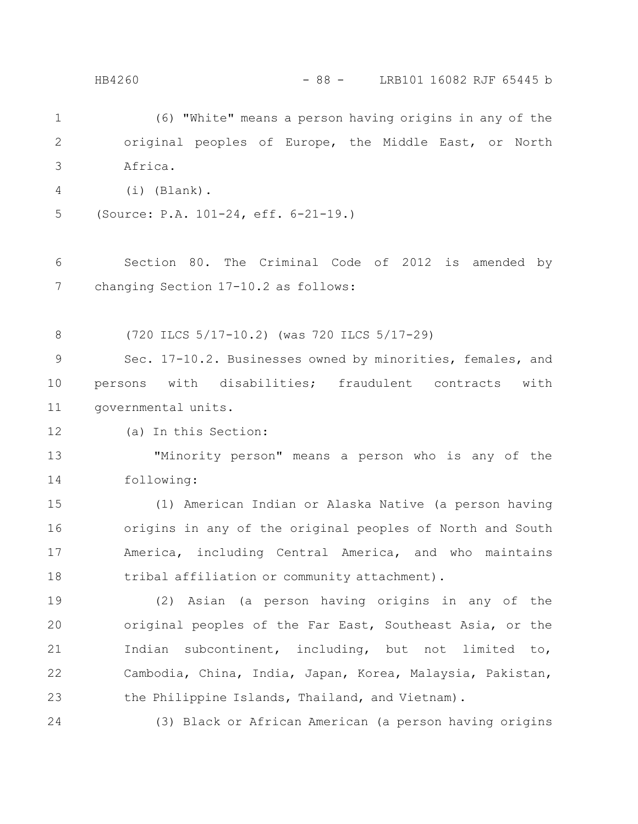(6) "White" means a person having origins in any of the original peoples of Europe, the Middle East, or North Africa. (i) (Blank). (Source: P.A. 101-24, eff. 6-21-19.) Section 80. The Criminal Code of 2012 is amended by changing Section 17-10.2 as follows: (720 ILCS 5/17-10.2) (was 720 ILCS 5/17-29) Sec. 17-10.2. Businesses owned by minorities, females, and persons with disabilities; fraudulent contracts with governmental units. (a) In this Section: "Minority person" means a person who is any of the following: (1) American Indian or Alaska Native (a person having origins in any of the original peoples of North and South America, including Central America, and who maintains tribal affiliation or community attachment). (2) Asian (a person having origins in any of the original peoples of the Far East, Southeast Asia, or the Indian subcontinent, including, but not limited to, Cambodia, China, India, Japan, Korea, Malaysia, Pakistan, the Philippine Islands, Thailand, and Vietnam). (3) Black or African American (a person having origins 1 2 3 4 5 6 7 8 9 10 11 12 13 14 15 16 17 18 19 20 21 22 23 24 HB4260 - 88 - LRB101 16082 RJF 65445 b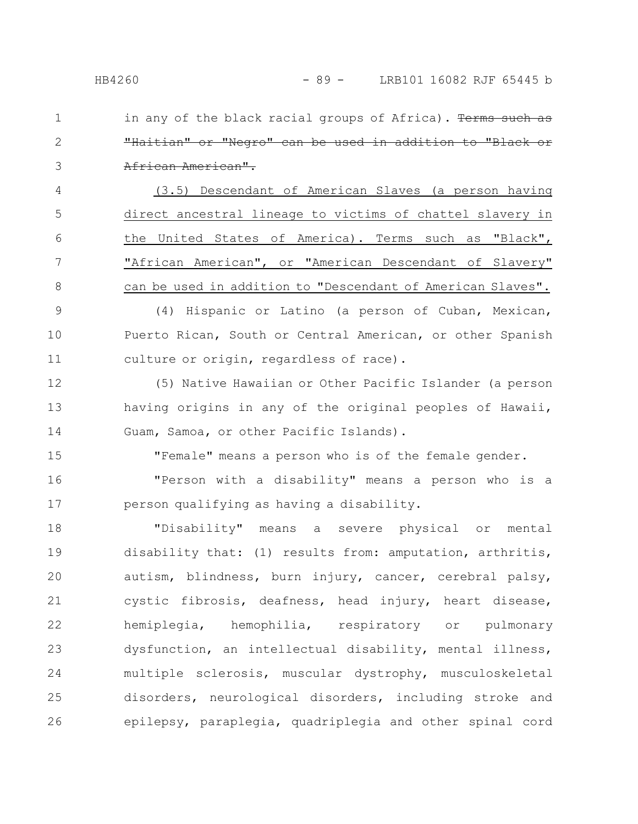in any of the black racial groups of Africa). Terms such "Haitian" or "Negro" can be used in addition to "Black or African American". 1 2 3

(3.5) Descendant of American Slaves (a person having direct ancestral lineage to victims of chattel slavery in the United States of America). Terms such as "Black", "African American", or "American Descendant of Slavery" can be used in addition to "Descendant of American Slaves". 4 5 6 7 8

(4) Hispanic or Latino (a person of Cuban, Mexican, Puerto Rican, South or Central American, or other Spanish culture or origin, regardless of race). 9 10 11

(5) Native Hawaiian or Other Pacific Islander (a person having origins in any of the original peoples of Hawaii, Guam, Samoa, or other Pacific Islands). 12 13 14

"Female" means a person who is of the female gender.

"Person with a disability" means a person who is a person qualifying as having a disability. 16 17

"Disability" means a severe physical or mental disability that: (1) results from: amputation, arthritis, autism, blindness, burn injury, cancer, cerebral palsy, cystic fibrosis, deafness, head injury, heart disease, hemiplegia, hemophilia, respiratory or pulmonary dysfunction, an intellectual disability, mental illness, multiple sclerosis, muscular dystrophy, musculoskeletal disorders, neurological disorders, including stroke and epilepsy, paraplegia, quadriplegia and other spinal cord 18 19 20 21 22 23 24 25 26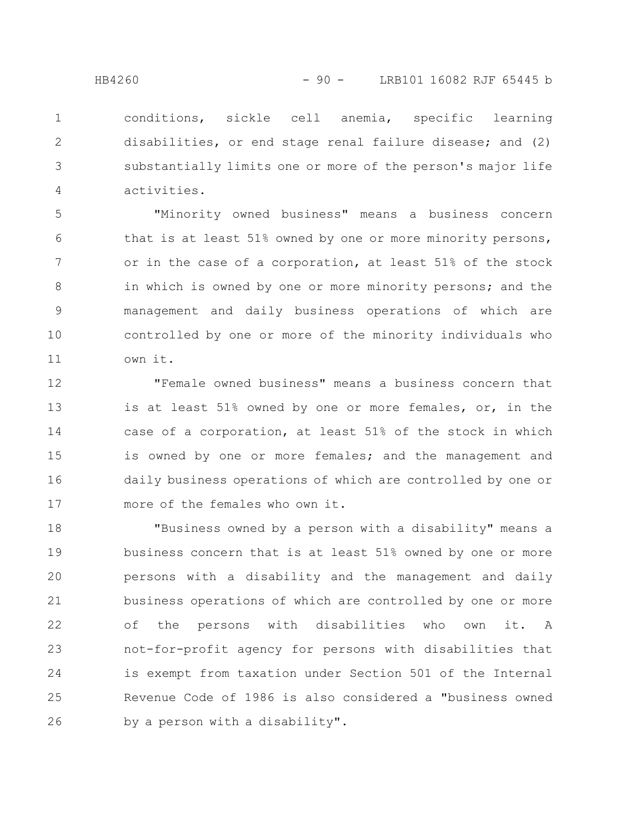conditions, sickle cell anemia, specific learning disabilities, or end stage renal failure disease; and (2) substantially limits one or more of the person's major life activities. 1 2 3 4

"Minority owned business" means a business concern that is at least 51% owned by one or more minority persons, or in the case of a corporation, at least 51% of the stock in which is owned by one or more minority persons; and the management and daily business operations of which are controlled by one or more of the minority individuals who own it. 5 6 7 8 9 10 11

"Female owned business" means a business concern that is at least 51% owned by one or more females, or, in the case of a corporation, at least 51% of the stock in which is owned by one or more females; and the management and daily business operations of which are controlled by one or more of the females who own it. 12 13 14 15 16 17

"Business owned by a person with a disability" means a business concern that is at least 51% owned by one or more persons with a disability and the management and daily business operations of which are controlled by one or more of the persons with disabilities who own it. A not-for-profit agency for persons with disabilities that is exempt from taxation under Section 501 of the Internal Revenue Code of 1986 is also considered a "business owned by a person with a disability". 18 19 20 21 22 23 24 25 26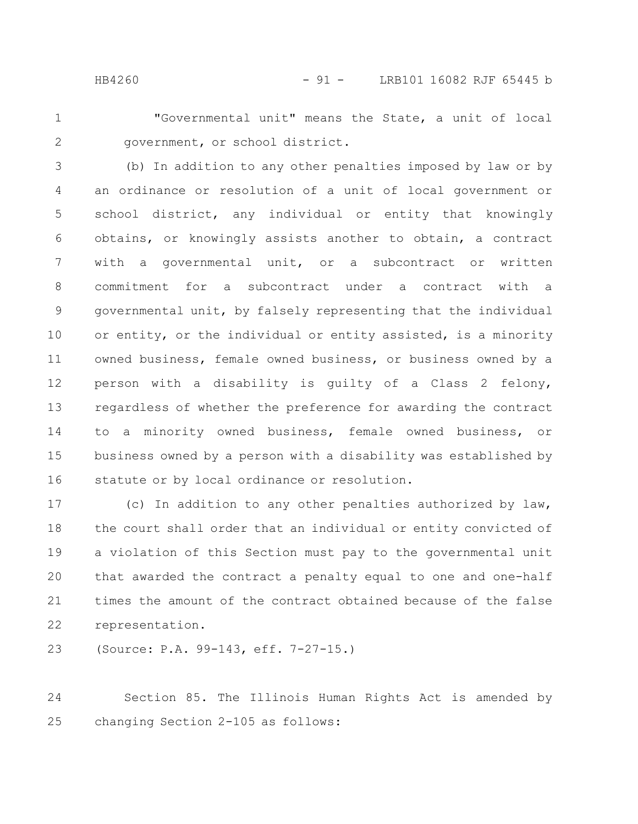2

"Governmental unit" means the State, a unit of local government, or school district.

(b) In addition to any other penalties imposed by law or by an ordinance or resolution of a unit of local government or school district, any individual or entity that knowingly obtains, or knowingly assists another to obtain, a contract with a governmental unit, or a subcontract or written commitment for a subcontract under a contract with a governmental unit, by falsely representing that the individual or entity, or the individual or entity assisted, is a minority owned business, female owned business, or business owned by a person with a disability is guilty of a Class 2 felony, regardless of whether the preference for awarding the contract to a minority owned business, female owned business, or business owned by a person with a disability was established by statute or by local ordinance or resolution. 3 4 5 6 7 8 9 10 11 12 13 14 15 16

(c) In addition to any other penalties authorized by law, the court shall order that an individual or entity convicted of a violation of this Section must pay to the governmental unit that awarded the contract a penalty equal to one and one-half times the amount of the contract obtained because of the false representation. 17 18 19 20 21 22

(Source: P.A. 99-143, eff. 7-27-15.) 23

Section 85. The Illinois Human Rights Act is amended by changing Section 2-105 as follows: 24 25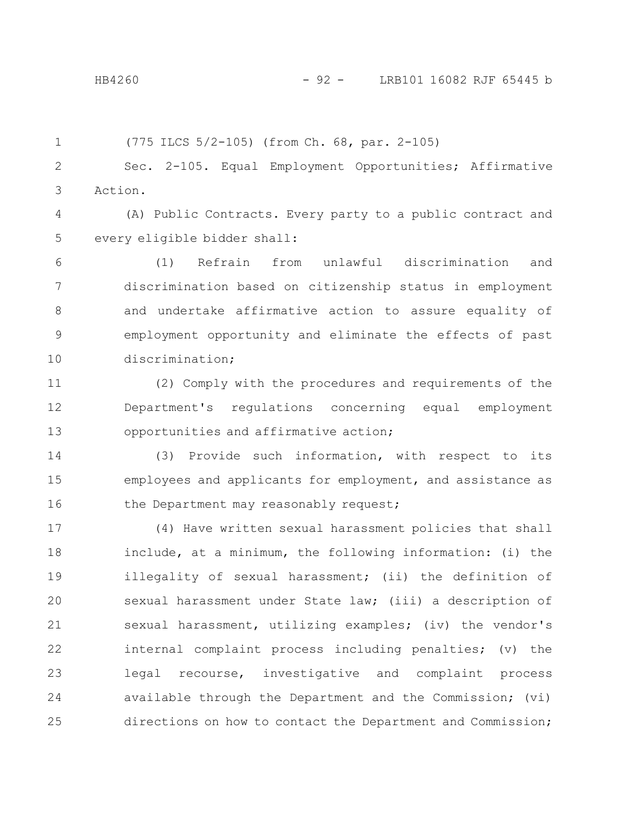|  | $(775$ ILCS $5/2-105)$ (from Ch. 68, par. 2-105) |
|--|--------------------------------------------------|
|--|--------------------------------------------------|

Sec. 2-105. Equal Employment Opportunities; Affirmative Action. 2 3

(A) Public Contracts. Every party to a public contract and every eligible bidder shall: 4 5

(1) Refrain from unlawful discrimination and discrimination based on citizenship status in employment and undertake affirmative action to assure equality of employment opportunity and eliminate the effects of past discrimination; 6 7 8 9 10

(2) Comply with the procedures and requirements of the Department's regulations concerning equal employment opportunities and affirmative action; 11 12 13

(3) Provide such information, with respect to its employees and applicants for employment, and assistance as the Department may reasonably request; 14 15 16

(4) Have written sexual harassment policies that shall include, at a minimum, the following information: (i) the illegality of sexual harassment; (ii) the definition of sexual harassment under State law; (iii) a description of sexual harassment, utilizing examples; (iv) the vendor's internal complaint process including penalties; (v) the legal recourse, investigative and complaint process available through the Department and the Commission; (vi) directions on how to contact the Department and Commission; 17 18 19 20 21 22 23 24 25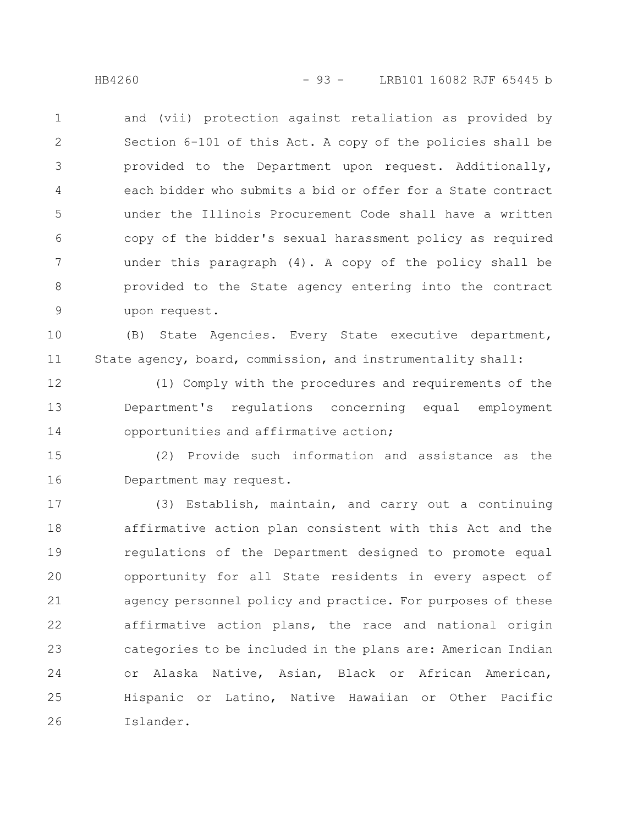and (vii) protection against retaliation as provided by Section 6-101 of this Act. A copy of the policies shall be provided to the Department upon request. Additionally, each bidder who submits a bid or offer for a State contract under the Illinois Procurement Code shall have a written copy of the bidder's sexual harassment policy as required under this paragraph (4). A copy of the policy shall be provided to the State agency entering into the contract upon request. 1 2 3 4 5 6 7 8 9

(B) State Agencies. Every State executive department, State agency, board, commission, and instrumentality shall: 10 11

(1) Comply with the procedures and requirements of the Department's regulations concerning equal employment opportunities and affirmative action; 12 13 14

(2) Provide such information and assistance as the Department may request. 15 16

(3) Establish, maintain, and carry out a continuing affirmative action plan consistent with this Act and the regulations of the Department designed to promote equal opportunity for all State residents in every aspect of agency personnel policy and practice. For purposes of these affirmative action plans, the race and national origin categories to be included in the plans are: American Indian or Alaska Native, Asian, Black or African American, Hispanic or Latino, Native Hawaiian or Other Pacific Islander. 17 18 19 20 21 22 23 24 25 26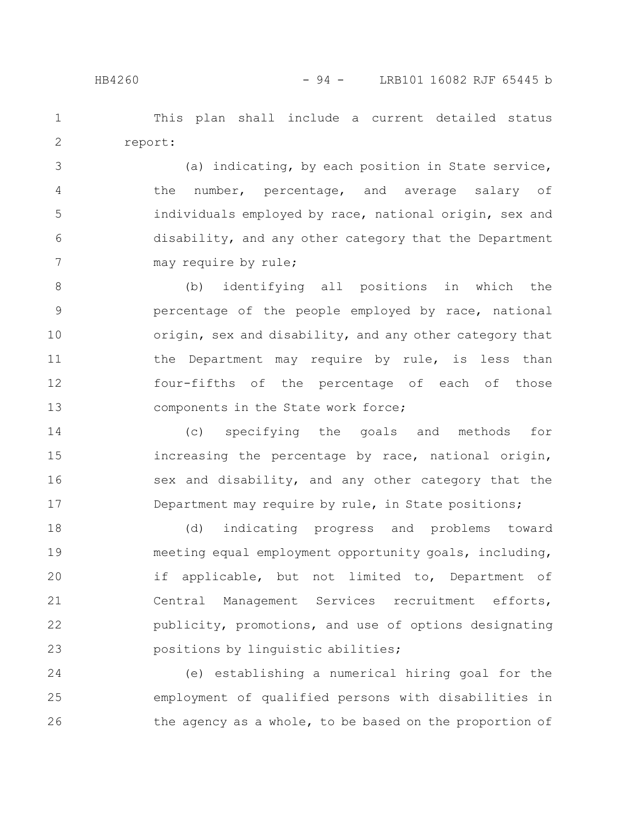This plan shall include a current detailed status report: 1 2

(a) indicating, by each position in State service, the number, percentage, and average salary of individuals employed by race, national origin, sex and disability, and any other category that the Department may require by rule; 3 4 5 6 7

(b) identifying all positions in which the percentage of the people employed by race, national origin, sex and disability, and any other category that the Department may require by rule, is less than four-fifths of the percentage of each of those components in the State work force; 8 9 10 11 12 13

(c) specifying the goals and methods for increasing the percentage by race, national origin, sex and disability, and any other category that the Department may require by rule, in State positions; 14 15 16 17

(d) indicating progress and problems toward meeting equal employment opportunity goals, including, if applicable, but not limited to, Department of Central Management Services recruitment efforts, publicity, promotions, and use of options designating positions by linguistic abilities; 18 19 20 21 22 23

(e) establishing a numerical hiring goal for the employment of qualified persons with disabilities in the agency as a whole, to be based on the proportion of 24 25 26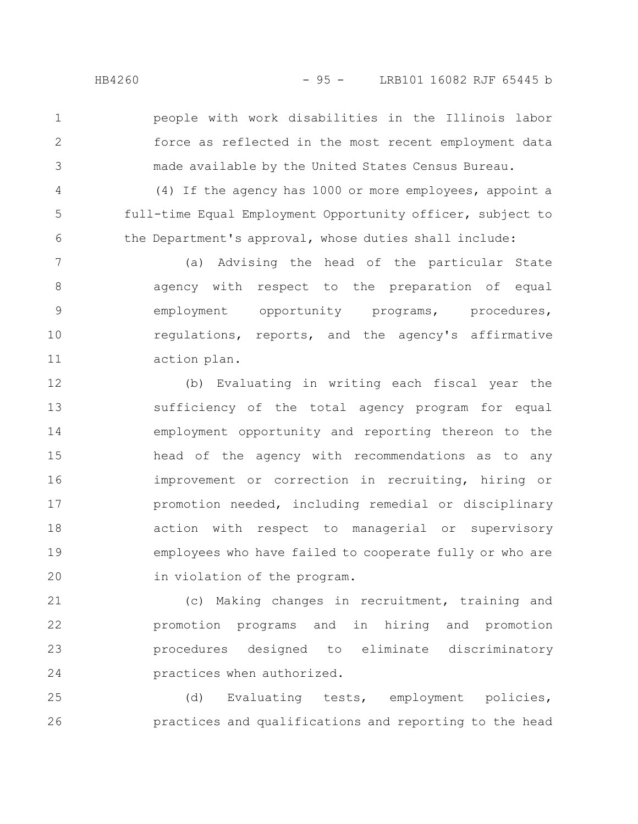people with work disabilities in the Illinois labor force as reflected in the most recent employment data made available by the United States Census Bureau.

(4) If the agency has 1000 or more employees, appoint a full-time Equal Employment Opportunity officer, subject to the Department's approval, whose duties shall include:

(a) Advising the head of the particular State agency with respect to the preparation of equal employment opportunity programs, procedures, regulations, reports, and the agency's affirmative action plan. 7 8 9 10 11

(b) Evaluating in writing each fiscal year the sufficiency of the total agency program for equal employment opportunity and reporting thereon to the head of the agency with recommendations as to any improvement or correction in recruiting, hiring or promotion needed, including remedial or disciplinary action with respect to managerial or supervisory employees who have failed to cooperate fully or who are in violation of the program. 12 13 14 15 16 17 18 19 20

(c) Making changes in recruitment, training and promotion programs and in hiring and promotion procedures designed to eliminate discriminatory practices when authorized. 21 22 23 24

(d) Evaluating tests, employment policies, practices and qualifications and reporting to the head 25 26

1

2

3

4

5

6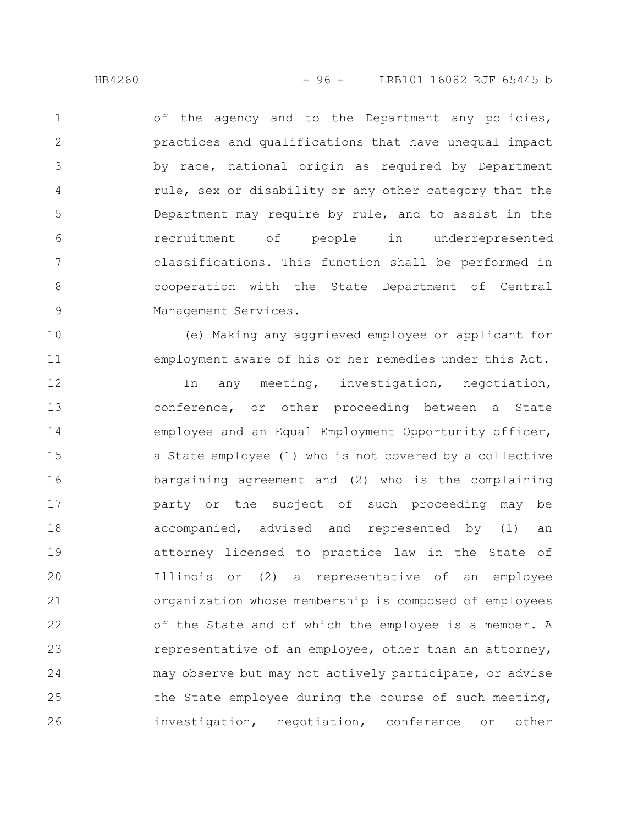11

of the agency and to the Department any policies, practices and qualifications that have unequal impact by race, national origin as required by Department rule, sex or disability or any other category that the Department may require by rule, and to assist in the recruitment of people in underrepresented classifications. This function shall be performed in cooperation with the State Department of Central Management Services. 1 2 3 4 5 6 7 8 9

(e) Making any aggrieved employee or applicant for employment aware of his or her remedies under this Act.

In any meeting, investigation, negotiation, conference, or other proceeding between a State employee and an Equal Employment Opportunity officer, a State employee (1) who is not covered by a collective bargaining agreement and (2) who is the complaining party or the subject of such proceeding may be accompanied, advised and represented by (1) an attorney licensed to practice law in the State of Illinois or (2) a representative of an employee organization whose membership is composed of employees of the State and of which the employee is a member. A representative of an employee, other than an attorney, may observe but may not actively participate, or advise the State employee during the course of such meeting, investigation, negotiation, conference or other 12 13 14 15 16 17 18 19 20 21 22 23 24 25 26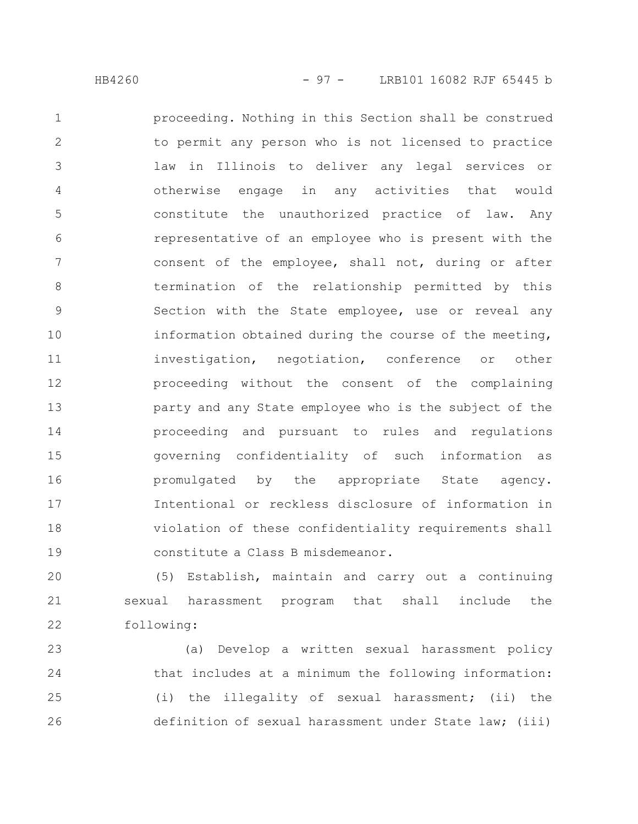proceeding. Nothing in this Section shall be construed to permit any person who is not licensed to practice law in Illinois to deliver any legal services or otherwise engage in any activities that would constitute the unauthorized practice of law. Any representative of an employee who is present with the consent of the employee, shall not, during or after termination of the relationship permitted by this Section with the State employee, use or reveal any information obtained during the course of the meeting, investigation, negotiation, conference or other proceeding without the consent of the complaining party and any State employee who is the subject of the proceeding and pursuant to rules and regulations governing confidentiality of such information as promulgated by the appropriate State agency. Intentional or reckless disclosure of information in violation of these confidentiality requirements shall constitute a Class B misdemeanor. 1 2 3 4 5 6 7 8 9 10 11 12 13 14 15 16 17 18 19

(5) Establish, maintain and carry out a continuing sexual harassment program that shall include the following: 20 21 22

(a) Develop a written sexual harassment policy that includes at a minimum the following information: (i) the illegality of sexual harassment; (ii) the definition of sexual harassment under State law; (iii) 23 24 25 26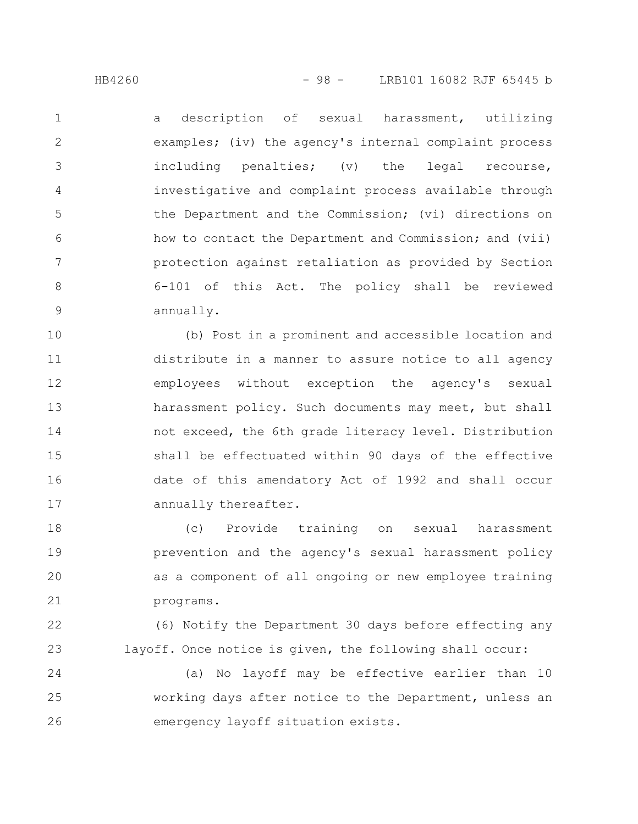a description of sexual harassment, utilizing examples; (iv) the agency's internal complaint process including penalties; (v) the legal recourse, investigative and complaint process available through the Department and the Commission; (vi) directions on how to contact the Department and Commission; and (vii) protection against retaliation as provided by Section 6-101 of this Act. The policy shall be reviewed annually. 1 2 3 4 5 6 7 8 9

(b) Post in a prominent and accessible location and distribute in a manner to assure notice to all agency employees without exception the agency's sexual harassment policy. Such documents may meet, but shall not exceed, the 6th grade literacy level. Distribution shall be effectuated within 90 days of the effective date of this amendatory Act of 1992 and shall occur annually thereafter. 10 11 12 13 14 15 16 17

(c) Provide training on sexual harassment prevention and the agency's sexual harassment policy as a component of all ongoing or new employee training programs. 18 19 20 21

(6) Notify the Department 30 days before effecting any layoff. Once notice is given, the following shall occur: 22 23

(a) No layoff may be effective earlier than 10 working days after notice to the Department, unless an emergency layoff situation exists. 24 25 26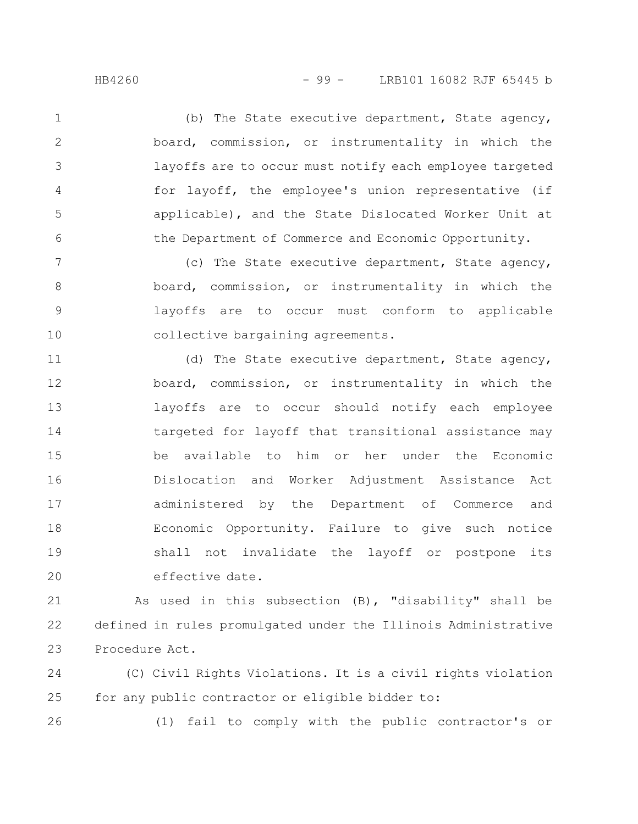(b) The State executive department, State agency, board, commission, or instrumentality in which the layoffs are to occur must notify each employee targeted for layoff, the employee's union representative (if applicable), and the State Dislocated Worker Unit at the Department of Commerce and Economic Opportunity. 1 2 3 4 5 6

(c) The State executive department, State agency, board, commission, or instrumentality in which the layoffs are to occur must conform to applicable collective bargaining agreements. 7 8 9 10

(d) The State executive department, State agency, board, commission, or instrumentality in which the layoffs are to occur should notify each employee targeted for layoff that transitional assistance may be available to him or her under the Economic Dislocation and Worker Adjustment Assistance Act administered by the Department of Commerce and Economic Opportunity. Failure to give such notice shall not invalidate the layoff or postpone its effective date. 11 12 13 14 15 16 17 18 19 20

As used in this subsection (B), "disability" shall be defined in rules promulgated under the Illinois Administrative Procedure Act. 21 22 23

(C) Civil Rights Violations. It is a civil rights violation for any public contractor or eligible bidder to: 24 25

26

(1) fail to comply with the public contractor's or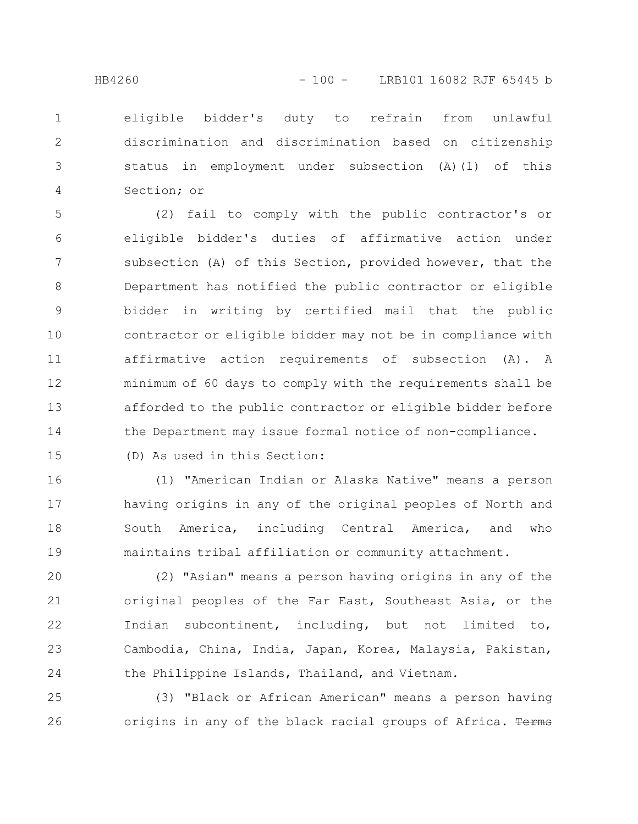eligible bidder's duty to refrain from unlawful discrimination and discrimination based on citizenship status in employment under subsection (A)(1) of this Section; or 1 2 3 4

(2) fail to comply with the public contractor's or eligible bidder's duties of affirmative action under subsection (A) of this Section, provided however, that the Department has notified the public contractor or eligible bidder in writing by certified mail that the public contractor or eligible bidder may not be in compliance with affirmative action requirements of subsection (A). A minimum of 60 days to comply with the requirements shall be afforded to the public contractor or eligible bidder before the Department may issue formal notice of non-compliance. 5 6 7 8 9 10 11 12 13 14

15

(D) As used in this Section:

(1) "American Indian or Alaska Native" means a person having origins in any of the original peoples of North and South America, including Central America, and who maintains tribal affiliation or community attachment. 16 17 18 19

(2) "Asian" means a person having origins in any of the original peoples of the Far East, Southeast Asia, or the Indian subcontinent, including, but not limited to, Cambodia, China, India, Japan, Korea, Malaysia, Pakistan, the Philippine Islands, Thailand, and Vietnam. 20 21 22 23 24

(3) "Black or African American" means a person having origins in any of the black racial groups of Africa. Terms 25 26